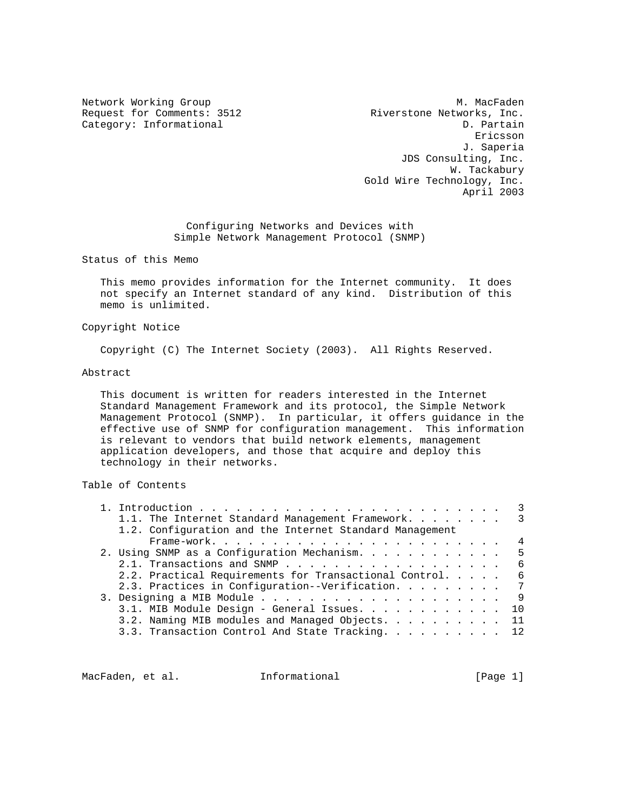Network Working Group and Month of the Music Methods of M. MacFaden Request for Comments: 3512 Riverstone Networks, Inc. Category: Informational D. Partain eric and the contract of the contract of the contract of the contract of the contract of the contract of the contract of the contract of the contract of the contract of the contract of the contract of the contract of the c J. Saperia JDS Consulting, Inc. W. Tackabury Gold Wire Technology, Inc. April 2003

> Configuring Networks and Devices with Simple Network Management Protocol (SNMP)

Status of this Memo

 This memo provides information for the Internet community. It does not specify an Internet standard of any kind. Distribution of this memo is unlimited.

#### Copyright Notice

Copyright (C) The Internet Society (2003). All Rights Reserved.

#### Abstract

 This document is written for readers interested in the Internet Standard Management Framework and its protocol, the Simple Network Management Protocol (SNMP). In particular, it offers guidance in the effective use of SNMP for configuration management. This information is relevant to vendors that build network elements, management application developers, and those that acquire and deploy this technology in their networks.

# Table of Contents

|  | 3                                                             |
|--|---------------------------------------------------------------|
|  | 1.1. The Internet Standard Management Framework. 3            |
|  | 1.2. Configuration and the Internet Standard Management       |
|  | 4                                                             |
|  | 2. Using SNMP as a Configuration Mechanism.<br>-5             |
|  | 6                                                             |
|  | 2.2. Practical Requirements for Transactional Control.<br>- 6 |
|  | 2.3. Practices in Configuration--Verification. 7              |
|  |                                                               |
|  | 3.1. MIB Module Design - General Issues.<br>10                |
|  | 3.2. Naming MIB modules and Managed Objects.<br>11            |
|  | 3.3. Transaction Control And State Tracking. 12               |
|  |                                                               |

MacFaden, et al. **Informational** [Page 1]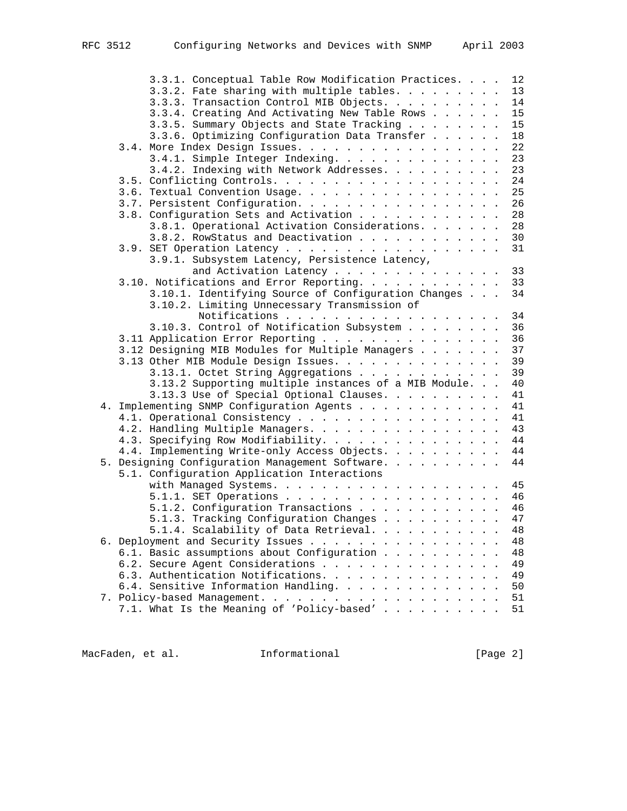| 3.3.1. Conceptual Table Row Modification Practices.   | 12 |
|-------------------------------------------------------|----|
| 3.3.2. Fate sharing with multiple tables.             | 13 |
| 3.3.3. Transaction Control MIB Objects.               | 14 |
|                                                       |    |
| 3.3.4. Creating And Activating New Table Rows         | 15 |
| 3.3.5. Summary Objects and State Tracking             | 15 |
| 3.3.6. Optimizing Configuration Data Transfer         | 18 |
| 3.4. More Index Design Issues.                        | 22 |
| 3.4.1. Simple Integer Indexing.                       | 23 |
| 3.4.2. Indexing with Network Addresses.               | 23 |
|                                                       | 24 |
| 3.6. Textual Convention Usage.                        | 25 |
| 3.7. Persistent Configuration.                        | 26 |
|                                                       |    |
| 3.8. Configuration Sets and Activation                | 28 |
| 3.8.1. Operational Activation Considerations.         | 28 |
| 3.8.2. RowStatus and Deactivation                     | 30 |
|                                                       | 31 |
| 3.9.1. Subsystem Latency, Persistence Latency,        |    |
| and Activation Latency                                | 33 |
| 3.10. Notifications and Error Reporting.              | 33 |
| 3.10.1. Identifying Source of Configuration Changes   | 34 |
| 3.10.2. Limiting Unnecessary Transmission of          |    |
| Notifications                                         | 34 |
|                                                       |    |
| 3.10.3. Control of Notification Subsystem             | 36 |
| 3.11 Application Error Reporting                      | 36 |
| 3.12 Designing MIB Modules for Multiple Managers      | 37 |
| 3.13 Other MIB Module Design Issues.                  | 39 |
| 3.13.1. Octet String Aggregations                     | 39 |
| 3.13.2 Supporting multiple instances of a MIB Module. | 40 |
| 3.13.3 Use of Special Optional Clauses.               | 41 |
|                                                       | 41 |
| 4. Implementing SNMP Configuration Agents             |    |
| 4.1. Operational Consistency                          | 41 |
| 4.2. Handling Multiple Managers.                      | 43 |
| 4.3. Specifying Row Modifiability.                    | 44 |
| 4.4. Implementing Write-only Access Objects.          | 44 |
| 5. Designing Configuration Management Software.       | 44 |
| 5.1. Configuration Application Interactions           |    |
|                                                       | 45 |
|                                                       | 46 |
| 5.1.2. Configuration Transactions                     | 46 |
|                                                       |    |
| 5.1.3. Tracking Configuration Changes                 | 47 |
| 5.1.4. Scalability of Data Retrieval.                 | 48 |
| 6. Deployment and Security Issues                     | 48 |
| 6.1. Basic assumptions about Configuration            | 48 |
| 6.2. Secure Agent Considerations                      | 49 |
| 6.3. Authentication Notifications.                    | 49 |
| 6.4. Sensitive Information Handling.                  | 50 |
|                                                       | 51 |
| 7.1. What Is the Meaning of 'Policy-based'            | 51 |
|                                                       |    |

MacFaden, et al. 1nformational 1999 [Page 2]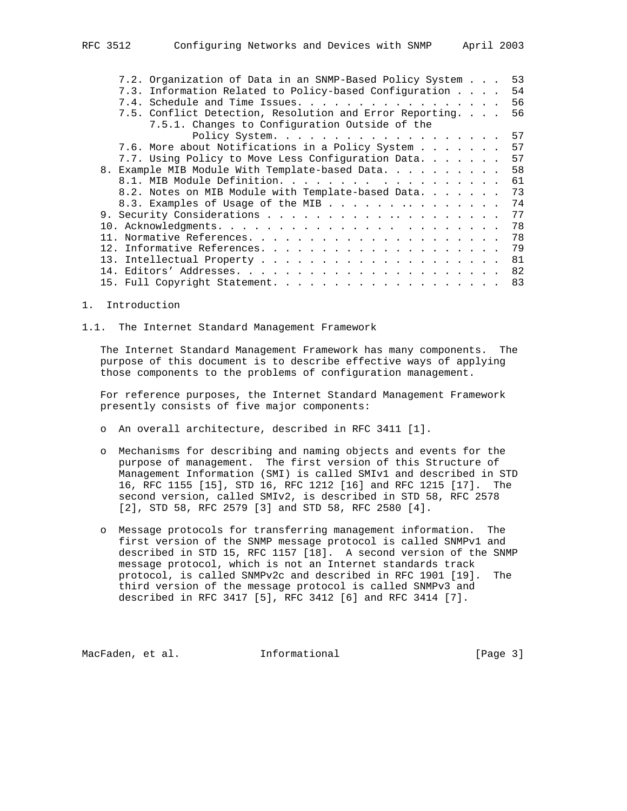| 7.2. Organization of Data in an SNMP-Based Policy System |  | 53 |
|----------------------------------------------------------|--|----|
| 7.3. Information Related to Policy-based Configuration   |  | 54 |
| 7.4. Schedule and Time Issues.                           |  | 56 |
| 7.5. Conflict Detection, Resolution and Error Reporting. |  | 56 |
| 7.5.1. Changes to Configuration Outside of the           |  |    |
| Policy System.                                           |  | 57 |
| 7.6. More about Notifications in a Policy System         |  | 57 |
| 7.7. Using Policy to Move Less Configuration Data.       |  | 57 |
| Example MIB Module With Template-based Data.<br>8.       |  | 58 |
| 8.1. MIB Module Definition.                              |  | 61 |
| 8.2. Notes on MIB Module with Template-based Data        |  | 73 |
| 8.3. Examples of Usage of the MIB                        |  | 74 |
|                                                          |  | 77 |
|                                                          |  | 78 |
|                                                          |  | 78 |
|                                                          |  | 79 |
|                                                          |  | 81 |
|                                                          |  | 82 |
|                                                          |  | 83 |
|                                                          |  |    |

#### 1. Introduction

1.1. The Internet Standard Management Framework

 The Internet Standard Management Framework has many components. The purpose of this document is to describe effective ways of applying those components to the problems of configuration management.

 For reference purposes, the Internet Standard Management Framework presently consists of five major components:

- o An overall architecture, described in RFC 3411 [1].
- o Mechanisms for describing and naming objects and events for the purpose of management. The first version of this Structure of Management Information (SMI) is called SMIv1 and described in STD 16, RFC 1155 [15], STD 16, RFC 1212 [16] and RFC 1215 [17]. The second version, called SMIv2, is described in STD 58, RFC 2578 [2], STD 58, RFC 2579 [3] and STD 58, RFC 2580 [4].
- o Message protocols for transferring management information. The first version of the SNMP message protocol is called SNMPv1 and described in STD 15, RFC 1157 [18]. A second version of the SNMP message protocol, which is not an Internet standards track protocol, is called SNMPv2c and described in RFC 1901 [19]. The third version of the message protocol is called SNMPv3 and described in RFC 3417 [5], RFC 3412 [6] and RFC 3414 [7].

MacFaden, et al. 1nformational [Page 3]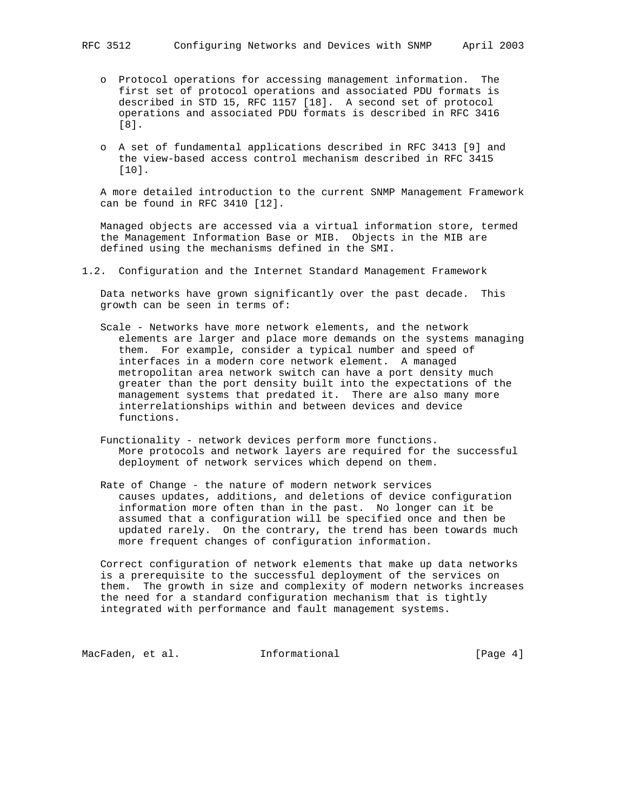- o Protocol operations for accessing management information. The first set of protocol operations and associated PDU formats is described in STD 15, RFC 1157 [18]. A second set of protocol operations and associated PDU formats is described in RFC 3416 [8].
- o A set of fundamental applications described in RFC 3413 [9] and the view-based access control mechanism described in RFC 3415 [10].

 A more detailed introduction to the current SNMP Management Framework can be found in RFC 3410 [12].

 Managed objects are accessed via a virtual information store, termed the Management Information Base or MIB. Objects in the MIB are defined using the mechanisms defined in the SMI.

1.2. Configuration and the Internet Standard Management Framework

 Data networks have grown significantly over the past decade. This growth can be seen in terms of:

- Scale Networks have more network elements, and the network elements are larger and place more demands on the systems managing them. For example, consider a typical number and speed of interfaces in a modern core network element. A managed metropolitan area network switch can have a port density much greater than the port density built into the expectations of the management systems that predated it. There are also many more interrelationships within and between devices and device functions.
- Functionality network devices perform more functions. More protocols and network layers are required for the successful deployment of network services which depend on them.
- Rate of Change the nature of modern network services causes updates, additions, and deletions of device configuration information more often than in the past. No longer can it be assumed that a configuration will be specified once and then be updated rarely. On the contrary, the trend has been towards much more frequent changes of configuration information.

 Correct configuration of network elements that make up data networks is a prerequisite to the successful deployment of the services on them. The growth in size and complexity of modern networks increases the need for a standard configuration mechanism that is tightly integrated with performance and fault management systems.

MacFaden, et al. 1nformational 1999 [Page 4]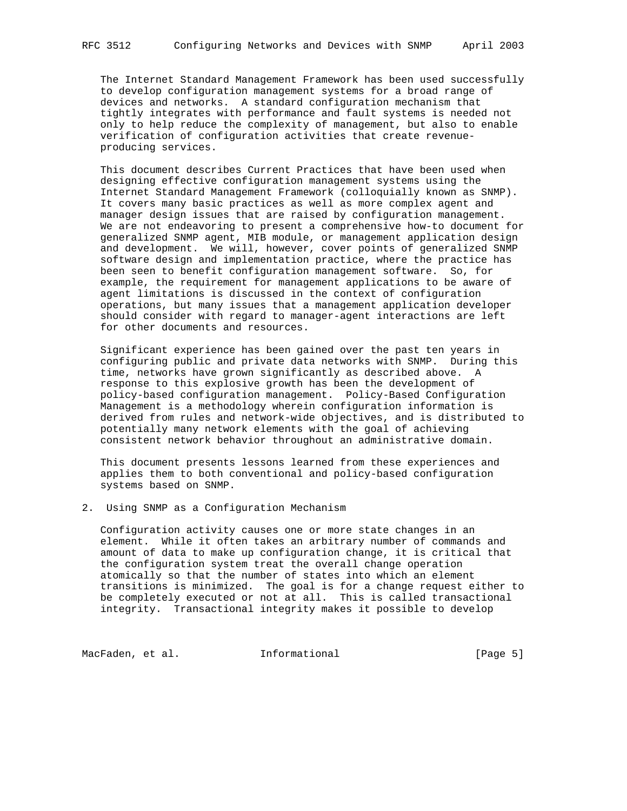The Internet Standard Management Framework has been used successfully to develop configuration management systems for a broad range of devices and networks. A standard configuration mechanism that tightly integrates with performance and fault systems is needed not only to help reduce the complexity of management, but also to enable verification of configuration activities that create revenue producing services.

 This document describes Current Practices that have been used when designing effective configuration management systems using the Internet Standard Management Framework (colloquially known as SNMP). It covers many basic practices as well as more complex agent and manager design issues that are raised by configuration management. We are not endeavoring to present a comprehensive how-to document for generalized SNMP agent, MIB module, or management application design and development. We will, however, cover points of generalized SNMP software design and implementation practice, where the practice has been seen to benefit configuration management software. So, for example, the requirement for management applications to be aware of agent limitations is discussed in the context of configuration operations, but many issues that a management application developer should consider with regard to manager-agent interactions are left for other documents and resources.

 Significant experience has been gained over the past ten years in configuring public and private data networks with SNMP. During this time, networks have grown significantly as described above. A response to this explosive growth has been the development of policy-based configuration management. Policy-Based Configuration Management is a methodology wherein configuration information is derived from rules and network-wide objectives, and is distributed to potentially many network elements with the goal of achieving consistent network behavior throughout an administrative domain.

 This document presents lessons learned from these experiences and applies them to both conventional and policy-based configuration systems based on SNMP.

2. Using SNMP as a Configuration Mechanism

 Configuration activity causes one or more state changes in an element. While it often takes an arbitrary number of commands and amount of data to make up configuration change, it is critical that the configuration system treat the overall change operation atomically so that the number of states into which an element transitions is minimized. The goal is for a change request either to be completely executed or not at all. This is called transactional integrity. Transactional integrity makes it possible to develop

MacFaden, et al. 1nformational 1999 [Page 5]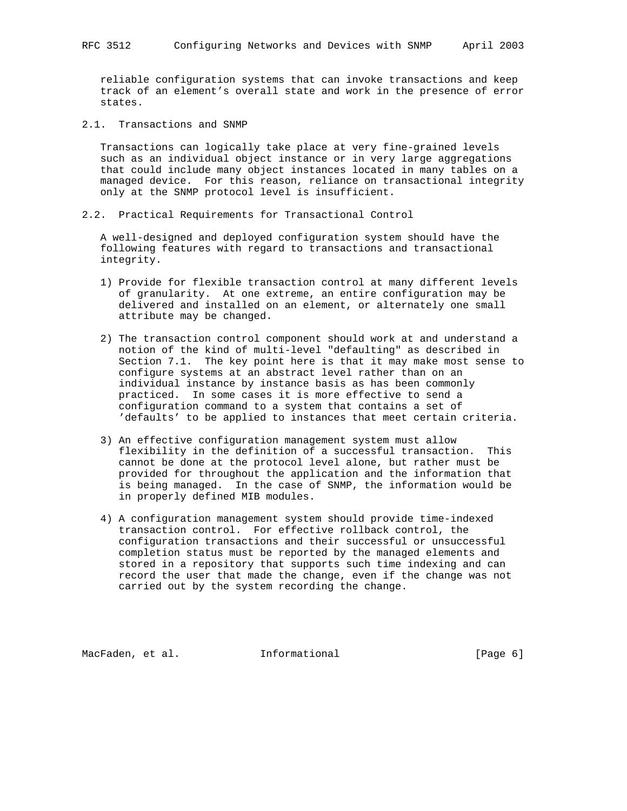reliable configuration systems that can invoke transactions and keep track of an element's overall state and work in the presence of error states.

2.1. Transactions and SNMP

 Transactions can logically take place at very fine-grained levels such as an individual object instance or in very large aggregations that could include many object instances located in many tables on a managed device. For this reason, reliance on transactional integrity only at the SNMP protocol level is insufficient.

2.2. Practical Requirements for Transactional Control

 A well-designed and deployed configuration system should have the following features with regard to transactions and transactional integrity.

- 1) Provide for flexible transaction control at many different levels of granularity. At one extreme, an entire configuration may be delivered and installed on an element, or alternately one small attribute may be changed.
- 2) The transaction control component should work at and understand a notion of the kind of multi-level "defaulting" as described in Section 7.1. The key point here is that it may make most sense to configure systems at an abstract level rather than on an individual instance by instance basis as has been commonly practiced. In some cases it is more effective to send a configuration command to a system that contains a set of 'defaults' to be applied to instances that meet certain criteria.
- 3) An effective configuration management system must allow flexibility in the definition of a successful transaction. This cannot be done at the protocol level alone, but rather must be provided for throughout the application and the information that is being managed. In the case of SNMP, the information would be in properly defined MIB modules.
- 4) A configuration management system should provide time-indexed transaction control. For effective rollback control, the configuration transactions and their successful or unsuccessful completion status must be reported by the managed elements and stored in a repository that supports such time indexing and can record the user that made the change, even if the change was not carried out by the system recording the change.

MacFaden, et al. 1nformational (Page 6)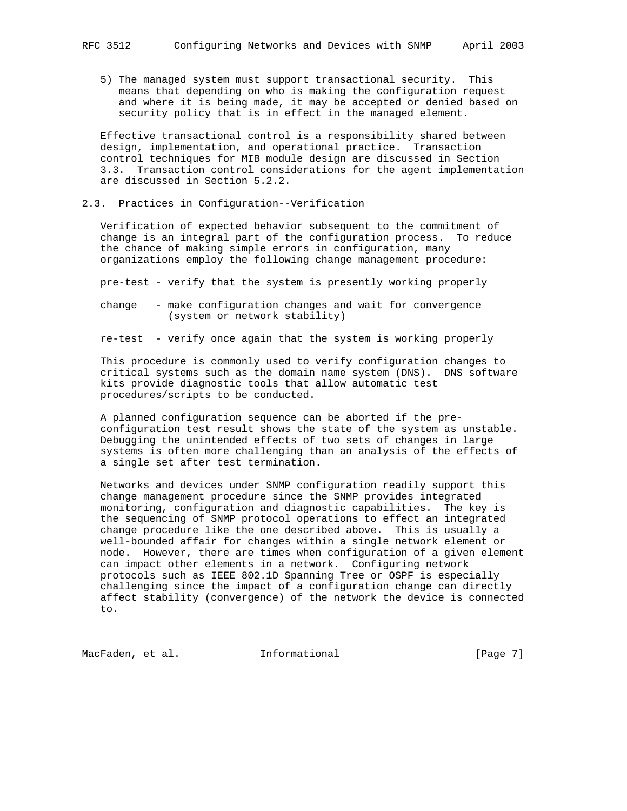5) The managed system must support transactional security. This means that depending on who is making the configuration request and where it is being made, it may be accepted or denied based on security policy that is in effect in the managed element.

 Effective transactional control is a responsibility shared between design, implementation, and operational practice. Transaction control techniques for MIB module design are discussed in Section 3.3. Transaction control considerations for the agent implementation are discussed in Section 5.2.2.

2.3. Practices in Configuration--Verification

 Verification of expected behavior subsequent to the commitment of change is an integral part of the configuration process. To reduce the chance of making simple errors in configuration, many organizations employ the following change management procedure:

pre-test - verify that the system is presently working properly

- change make configuration changes and wait for convergence (system or network stability)
- re-test verify once again that the system is working properly

 This procedure is commonly used to verify configuration changes to critical systems such as the domain name system (DNS). DNS software kits provide diagnostic tools that allow automatic test procedures/scripts to be conducted.

 A planned configuration sequence can be aborted if the pre configuration test result shows the state of the system as unstable. Debugging the unintended effects of two sets of changes in large systems is often more challenging than an analysis of the effects of a single set after test termination.

 Networks and devices under SNMP configuration readily support this change management procedure since the SNMP provides integrated monitoring, configuration and diagnostic capabilities. The key is the sequencing of SNMP protocol operations to effect an integrated change procedure like the one described above. This is usually a well-bounded affair for changes within a single network element or node. However, there are times when configuration of a given element can impact other elements in a network. Configuring network protocols such as IEEE 802.1D Spanning Tree or OSPF is especially challenging since the impact of a configuration change can directly affect stability (convergence) of the network the device is connected to.

MacFaden, et al. 1nformational 1999 [Page 7]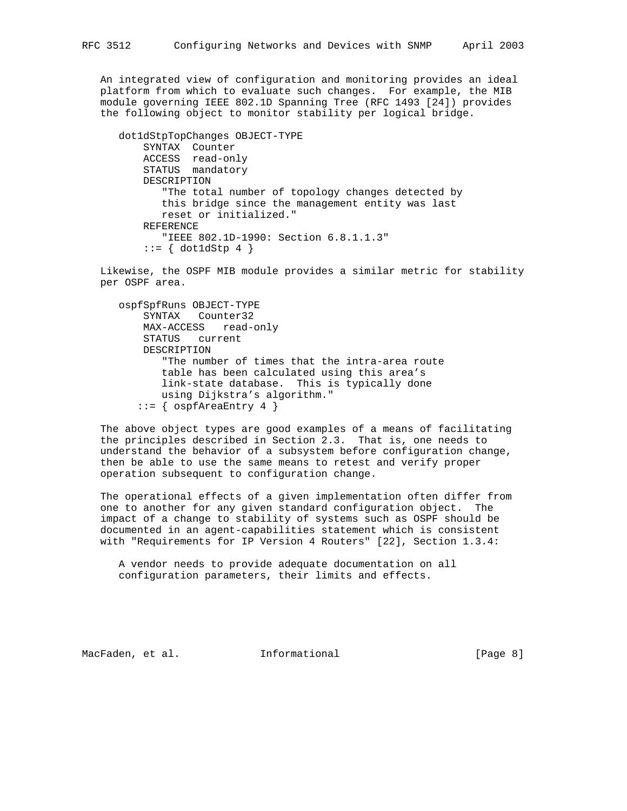An integrated view of configuration and monitoring provides an ideal platform from which to evaluate such changes. For example, the MIB module governing IEEE 802.1D Spanning Tree (RFC 1493 [24]) provides the following object to monitor stability per logical bridge.

```
 dot1dStpTopChanges OBJECT-TYPE
     SYNTAX Counter
     ACCESS read-only
     STATUS mandatory
     DESCRIPTION
        "The total number of topology changes detected by
        this bridge since the management entity was last
        reset or initialized."
     REFERENCE
        "IEEE 802.1D-1990: Section 6.8.1.1.3"
    ::= \{ dot1 dStp 4 \}
```
 Likewise, the OSPF MIB module provides a similar metric for stability per OSPF area.

```
 ospfSpfRuns OBJECT-TYPE
    SYNTAX Counter32
    MAX-ACCESS read-only
    STATUS current
    DESCRIPTION
        "The number of times that the intra-area route
        table has been calculated using this area's
        link-state database. This is typically done
        using Dijkstra's algorithm."
   ::= { ospfAreaEntry 4 }
```
 The above object types are good examples of a means of facilitating the principles described in Section 2.3. That is, one needs to understand the behavior of a subsystem before configuration change, then be able to use the same means to retest and verify proper operation subsequent to configuration change.

 The operational effects of a given implementation often differ from one to another for any given standard configuration object. The impact of a change to stability of systems such as OSPF should be documented in an agent-capabilities statement which is consistent with "Requirements for IP Version 4 Routers" [22], Section 1.3.4:

 A vendor needs to provide adequate documentation on all configuration parameters, their limits and effects.

MacFaden, et al. 1nformational 1999 [Page 8]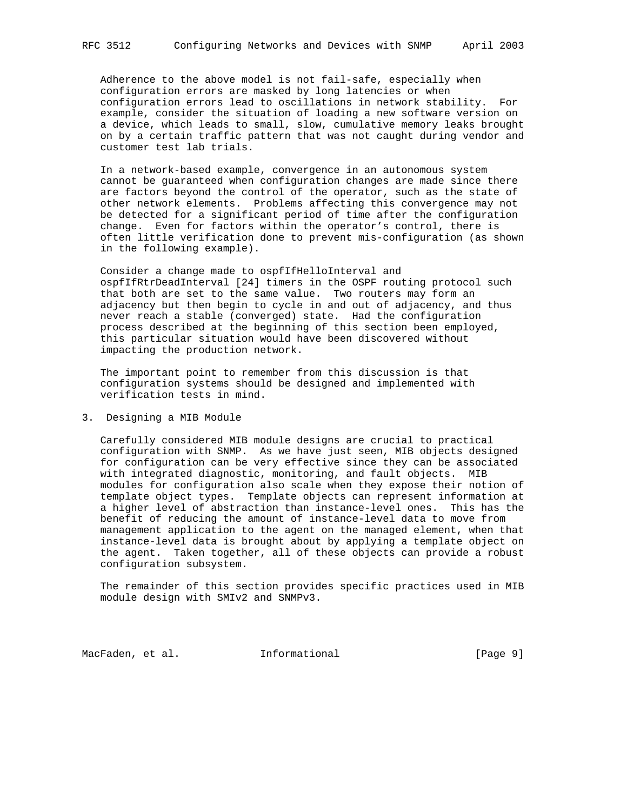Adherence to the above model is not fail-safe, especially when configuration errors are masked by long latencies or when configuration errors lead to oscillations in network stability. For example, consider the situation of loading a new software version on a device, which leads to small, slow, cumulative memory leaks brought on by a certain traffic pattern that was not caught during vendor and customer test lab trials.

 In a network-based example, convergence in an autonomous system cannot be guaranteed when configuration changes are made since there are factors beyond the control of the operator, such as the state of other network elements. Problems affecting this convergence may not be detected for a significant period of time after the configuration change. Even for factors within the operator's control, there is often little verification done to prevent mis-configuration (as shown in the following example).

 Consider a change made to ospfIfHelloInterval and ospfIfRtrDeadInterval [24] timers in the OSPF routing protocol such that both are set to the same value. Two routers may form an adjacency but then begin to cycle in and out of adjacency, and thus never reach a stable (converged) state. Had the configuration process described at the beginning of this section been employed, this particular situation would have been discovered without impacting the production network.

 The important point to remember from this discussion is that configuration systems should be designed and implemented with verification tests in mind.

### 3. Designing a MIB Module

 Carefully considered MIB module designs are crucial to practical configuration with SNMP. As we have just seen, MIB objects designed for configuration can be very effective since they can be associated with integrated diagnostic, monitoring, and fault objects. MIB modules for configuration also scale when they expose their notion of template object types. Template objects can represent information at a higher level of abstraction than instance-level ones. This has the benefit of reducing the amount of instance-level data to move from management application to the agent on the managed element, when that instance-level data is brought about by applying a template object on the agent. Taken together, all of these objects can provide a robust configuration subsystem.

 The remainder of this section provides specific practices used in MIB module design with SMIv2 and SNMPv3.

MacFaden, et al. 1nformational 1999 [Page 9]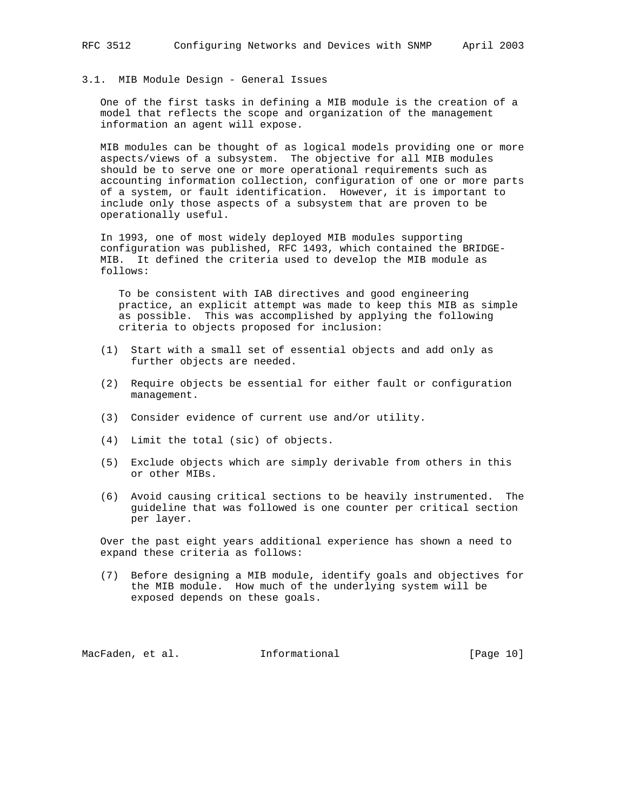## 3.1. MIB Module Design - General Issues

 One of the first tasks in defining a MIB module is the creation of a model that reflects the scope and organization of the management information an agent will expose.

 MIB modules can be thought of as logical models providing one or more aspects/views of a subsystem. The objective for all MIB modules should be to serve one or more operational requirements such as accounting information collection, configuration of one or more parts of a system, or fault identification. However, it is important to include only those aspects of a subsystem that are proven to be operationally useful.

 In 1993, one of most widely deployed MIB modules supporting configuration was published, RFC 1493, which contained the BRIDGE- MIB. It defined the criteria used to develop the MIB module as follows:

 To be consistent with IAB directives and good engineering practice, an explicit attempt was made to keep this MIB as simple as possible. This was accomplished by applying the following criteria to objects proposed for inclusion:

- (1) Start with a small set of essential objects and add only as further objects are needed.
- (2) Require objects be essential for either fault or configuration management.
- (3) Consider evidence of current use and/or utility.
- (4) Limit the total (sic) of objects.
- (5) Exclude objects which are simply derivable from others in this or other MIBs.
- (6) Avoid causing critical sections to be heavily instrumented. The guideline that was followed is one counter per critical section per layer.

 Over the past eight years additional experience has shown a need to expand these criteria as follows:

 (7) Before designing a MIB module, identify goals and objectives for the MIB module. How much of the underlying system will be exposed depends on these goals.

MacFaden, et al. **Informational** [Page 10]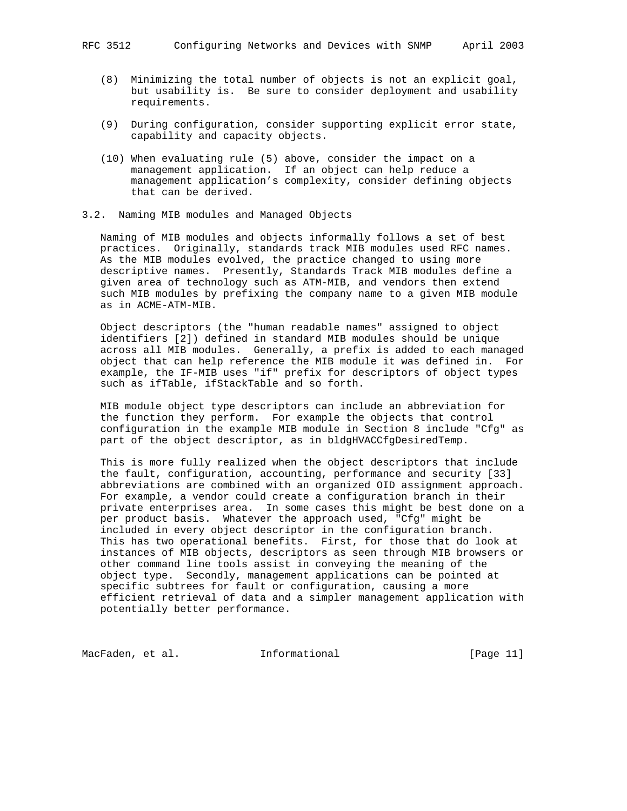- (8) Minimizing the total number of objects is not an explicit goal, but usability is. Be sure to consider deployment and usability requirements.
- (9) During configuration, consider supporting explicit error state, capability and capacity objects.
- (10) When evaluating rule (5) above, consider the impact on a management application. If an object can help reduce a management application's complexity, consider defining objects that can be derived.
- 3.2. Naming MIB modules and Managed Objects

 Naming of MIB modules and objects informally follows a set of best practices. Originally, standards track MIB modules used RFC names. As the MIB modules evolved, the practice changed to using more descriptive names. Presently, Standards Track MIB modules define a given area of technology such as ATM-MIB, and vendors then extend such MIB modules by prefixing the company name to a given MIB module as in ACME-ATM-MIB.

 Object descriptors (the "human readable names" assigned to object identifiers [2]) defined in standard MIB modules should be unique across all MIB modules. Generally, a prefix is added to each managed object that can help reference the MIB module it was defined in. For example, the IF-MIB uses "if" prefix for descriptors of object types such as ifTable, ifStackTable and so forth.

 MIB module object type descriptors can include an abbreviation for the function they perform. For example the objects that control configuration in the example MIB module in Section 8 include "Cfg" as part of the object descriptor, as in bldgHVACCfgDesiredTemp.

 This is more fully realized when the object descriptors that include the fault, configuration, accounting, performance and security [33] abbreviations are combined with an organized OID assignment approach. For example, a vendor could create a configuration branch in their private enterprises area. In some cases this might be best done on a per product basis. Whatever the approach used, "Cfg" might be included in every object descriptor in the configuration branch. This has two operational benefits. First, for those that do look at instances of MIB objects, descriptors as seen through MIB browsers or other command line tools assist in conveying the meaning of the object type. Secondly, management applications can be pointed at specific subtrees for fault or configuration, causing a more efficient retrieval of data and a simpler management application with potentially better performance.

MacFaden, et al. 1nformational 1999 [Page 11]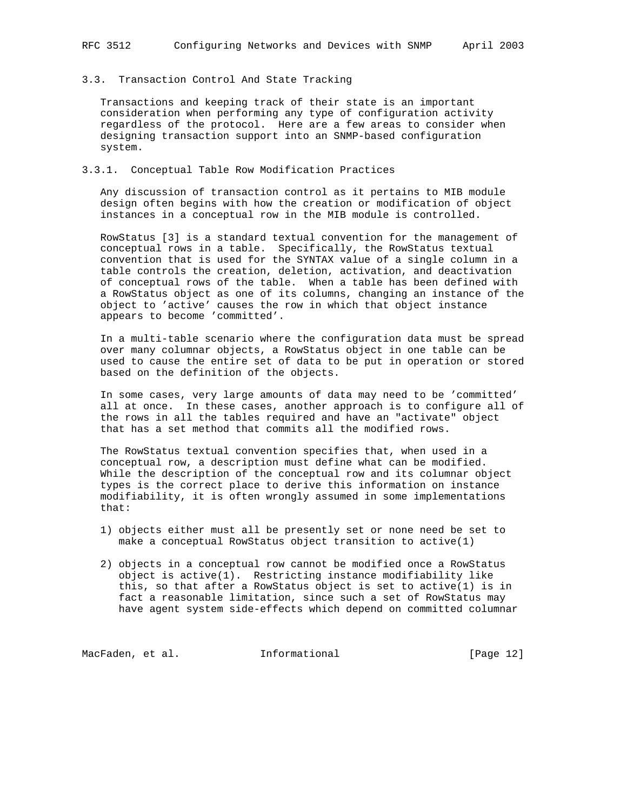#### 3.3. Transaction Control And State Tracking

 Transactions and keeping track of their state is an important consideration when performing any type of configuration activity regardless of the protocol. Here are a few areas to consider when designing transaction support into an SNMP-based configuration system.

### 3.3.1. Conceptual Table Row Modification Practices

 Any discussion of transaction control as it pertains to MIB module design often begins with how the creation or modification of object instances in a conceptual row in the MIB module is controlled.

 RowStatus [3] is a standard textual convention for the management of conceptual rows in a table. Specifically, the RowStatus textual convention that is used for the SYNTAX value of a single column in a table controls the creation, deletion, activation, and deactivation of conceptual rows of the table. When a table has been defined with a RowStatus object as one of its columns, changing an instance of the object to 'active' causes the row in which that object instance appears to become 'committed'.

 In a multi-table scenario where the configuration data must be spread over many columnar objects, a RowStatus object in one table can be used to cause the entire set of data to be put in operation or stored based on the definition of the objects.

 In some cases, very large amounts of data may need to be 'committed' all at once. In these cases, another approach is to configure all of the rows in all the tables required and have an "activate" object that has a set method that commits all the modified rows.

 The RowStatus textual convention specifies that, when used in a conceptual row, a description must define what can be modified. While the description of the conceptual row and its columnar object types is the correct place to derive this information on instance modifiability, it is often wrongly assumed in some implementations that:

- 1) objects either must all be presently set or none need be set to make a conceptual RowStatus object transition to active(1)
- 2) objects in a conceptual row cannot be modified once a RowStatus object is active(1). Restricting instance modifiability like this, so that after a RowStatus object is set to active(1) is in fact a reasonable limitation, since such a set of RowStatus may have agent system side-effects which depend on committed columnar

MacFaden, et al. 1nformational 1999 [Page 12]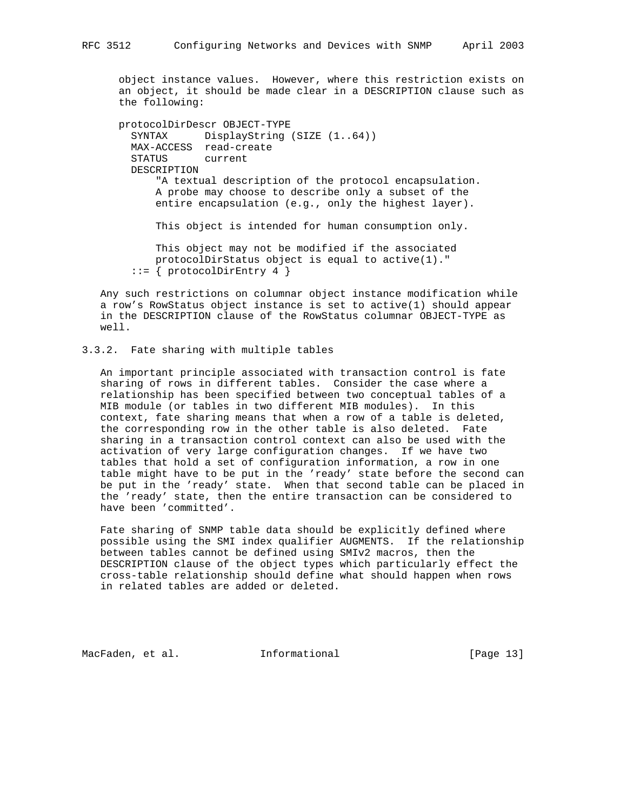object instance values. However, where this restriction exists on an object, it should be made clear in a DESCRIPTION clause such as the following:

```
 protocolDirDescr OBJECT-TYPE
  SYNTAX DisplayString (SIZE (1..64))
   MAX-ACCESS read-create
   STATUS current
   DESCRIPTION
       "A textual description of the protocol encapsulation.
       A probe may choose to describe only a subset of the
       entire encapsulation (e.g., only the highest layer).
       This object is intended for human consumption only.
       This object may not be modified if the associated
       protocolDirStatus object is equal to active(1)."
  ::= { protocolDirEntry 4 }
```
 Any such restrictions on columnar object instance modification while a row's RowStatus object instance is set to active(1) should appear in the DESCRIPTION clause of the RowStatus columnar OBJECT-TYPE as well.

## 3.3.2. Fate sharing with multiple tables

 An important principle associated with transaction control is fate sharing of rows in different tables. Consider the case where a relationship has been specified between two conceptual tables of a MIB module (or tables in two different MIB modules). In this context, fate sharing means that when a row of a table is deleted, the corresponding row in the other table is also deleted. Fate sharing in a transaction control context can also be used with the activation of very large configuration changes. If we have two tables that hold a set of configuration information, a row in one table might have to be put in the 'ready' state before the second can be put in the 'ready' state. When that second table can be placed in the 'ready' state, then the entire transaction can be considered to have been 'committed'.

 Fate sharing of SNMP table data should be explicitly defined where possible using the SMI index qualifier AUGMENTS. If the relationship between tables cannot be defined using SMIv2 macros, then the DESCRIPTION clause of the object types which particularly effect the cross-table relationship should define what should happen when rows in related tables are added or deleted.

MacFaden, et al. 1nformational [Page 13]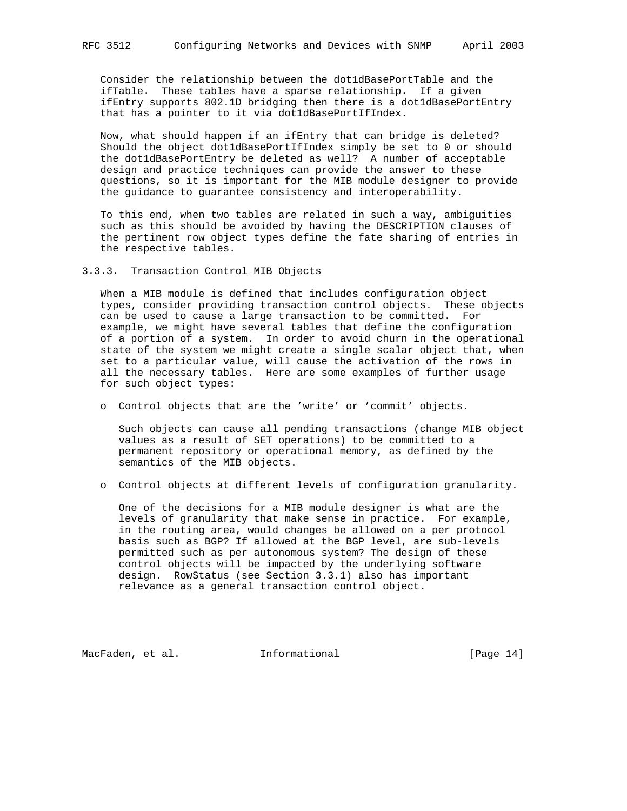Consider the relationship between the dot1dBasePortTable and the ifTable. These tables have a sparse relationship. If a given ifEntry supports 802.1D bridging then there is a dot1dBasePortEntry that has a pointer to it via dot1dBasePortIfIndex.

 Now, what should happen if an ifEntry that can bridge is deleted? Should the object dot1dBasePortIfIndex simply be set to 0 or should the dot1dBasePortEntry be deleted as well? A number of acceptable design and practice techniques can provide the answer to these questions, so it is important for the MIB module designer to provide the guidance to guarantee consistency and interoperability.

 To this end, when two tables are related in such a way, ambiguities such as this should be avoided by having the DESCRIPTION clauses of the pertinent row object types define the fate sharing of entries in the respective tables.

3.3.3. Transaction Control MIB Objects

 When a MIB module is defined that includes configuration object types, consider providing transaction control objects. These objects can be used to cause a large transaction to be committed. For example, we might have several tables that define the configuration of a portion of a system. In order to avoid churn in the operational state of the system we might create a single scalar object that, when set to a particular value, will cause the activation of the rows in all the necessary tables. Here are some examples of further usage for such object types:

o Control objects that are the 'write' or 'commit' objects.

 Such objects can cause all pending transactions (change MIB object values as a result of SET operations) to be committed to a permanent repository or operational memory, as defined by the semantics of the MIB objects.

o Control objects at different levels of configuration granularity.

 One of the decisions for a MIB module designer is what are the levels of granularity that make sense in practice. For example, in the routing area, would changes be allowed on a per protocol basis such as BGP? If allowed at the BGP level, are sub-levels permitted such as per autonomous system? The design of these control objects will be impacted by the underlying software design. RowStatus (see Section 3.3.1) also has important relevance as a general transaction control object.

MacFaden, et al. **Informational** [Page 14]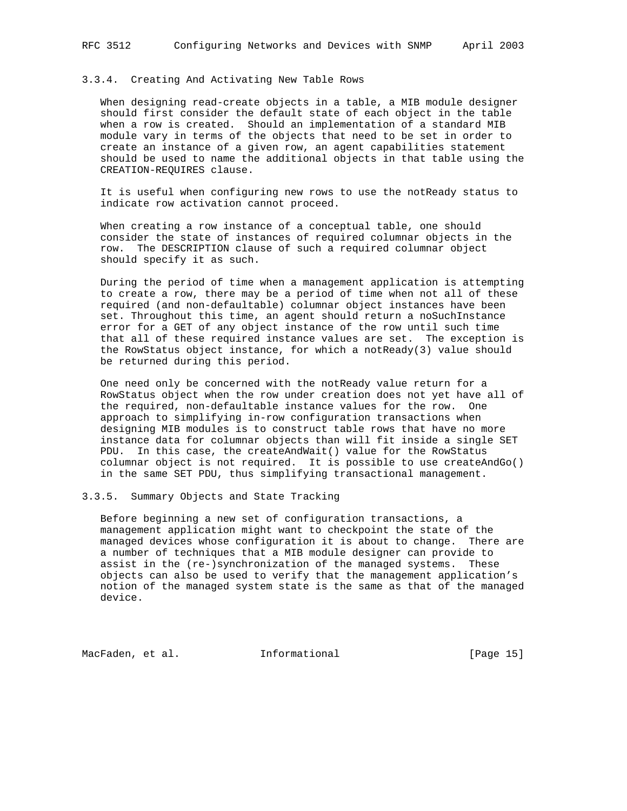## 3.3.4. Creating And Activating New Table Rows

 When designing read-create objects in a table, a MIB module designer should first consider the default state of each object in the table when a row is created. Should an implementation of a standard MIB module vary in terms of the objects that need to be set in order to create an instance of a given row, an agent capabilities statement should be used to name the additional objects in that table using the CREATION-REQUIRES clause.

 It is useful when configuring new rows to use the notReady status to indicate row activation cannot proceed.

 When creating a row instance of a conceptual table, one should consider the state of instances of required columnar objects in the row. The DESCRIPTION clause of such a required columnar object should specify it as such.

 During the period of time when a management application is attempting to create a row, there may be a period of time when not all of these required (and non-defaultable) columnar object instances have been set. Throughout this time, an agent should return a noSuchInstance error for a GET of any object instance of the row until such time that all of these required instance values are set. The exception is the RowStatus object instance, for which a notReady(3) value should be returned during this period.

 One need only be concerned with the notReady value return for a RowStatus object when the row under creation does not yet have all of the required, non-defaultable instance values for the row. One approach to simplifying in-row configuration transactions when designing MIB modules is to construct table rows that have no more instance data for columnar objects than will fit inside a single SET PDU. In this case, the createAndWait() value for the RowStatus columnar object is not required. It is possible to use createAndGo() in the same SET PDU, thus simplifying transactional management.

### 3.3.5. Summary Objects and State Tracking

 Before beginning a new set of configuration transactions, a management application might want to checkpoint the state of the managed devices whose configuration it is about to change. There are a number of techniques that a MIB module designer can provide to assist in the (re-)synchronization of the managed systems. These objects can also be used to verify that the management application's notion of the managed system state is the same as that of the managed device.

MacFaden, et al. **Informational** [Page 15]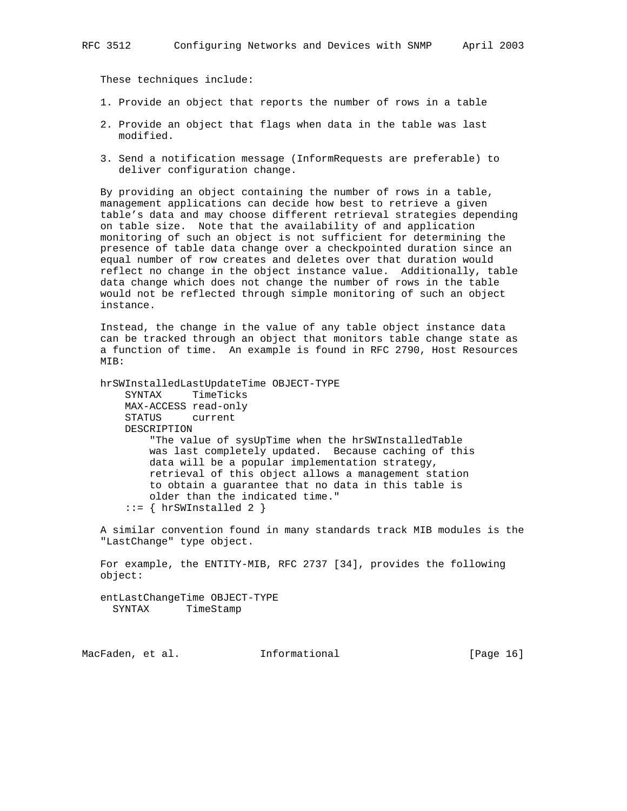These techniques include:

- 1. Provide an object that reports the number of rows in a table
- 2. Provide an object that flags when data in the table was last modified.
- 3. Send a notification message (InformRequests are preferable) to deliver configuration change.

 By providing an object containing the number of rows in a table, management applications can decide how best to retrieve a given table's data and may choose different retrieval strategies depending on table size. Note that the availability of and application monitoring of such an object is not sufficient for determining the presence of table data change over a checkpointed duration since an equal number of row creates and deletes over that duration would reflect no change in the object instance value. Additionally, table data change which does not change the number of rows in the table would not be reflected through simple monitoring of such an object instance.

 Instead, the change in the value of any table object instance data can be tracked through an object that monitors table change state as a function of time. An example is found in RFC 2790, Host Resources MIB:

 hrSWInstalledLastUpdateTime OBJECT-TYPE SYNTAX TimeTicks MAX-ACCESS read-only STATUS current DESCRIPTION "The value of sysUpTime when the hrSWInstalledTable was last completely updated. Because caching of this data will be a popular implementation strategy, retrieval of this object allows a management station to obtain a guarantee that no data in this table is older than the indicated time."  $::=$  { hrSWInstalled 2 }

 A similar convention found in many standards track MIB modules is the "LastChange" type object.

 For example, the ENTITY-MIB, RFC 2737 [34], provides the following object:

 entLastChangeTime OBJECT-TYPE SYNTAX TimeStamp

MacFaden, et al. 1nformational [Page 16]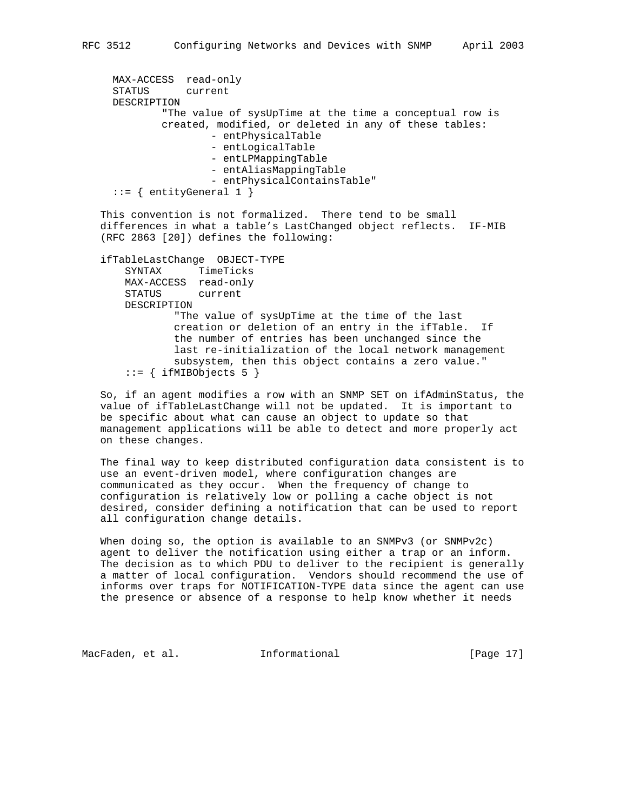```
 MAX-ACCESS read-only
 STATUS current
 DESCRIPTION
         "The value of sysUpTime at the time a conceptual row is
         created, modified, or deleted in any of these tables:
                 - entPhysicalTable
                 - entLogicalTable
                 - entLPMappingTable
                 - entAliasMappingTable
                 - entPhysicalContainsTable"
::= { entityGeneral 1 }
```
 This convention is not formalized. There tend to be small differences in what a table's LastChanged object reflects. IF-MIB (RFC 2863 [20]) defines the following:

```
 ifTableLastChange OBJECT-TYPE
    SYNTAX TimeTicks
    MAX-ACCESS read-only
    STATUS current
    DESCRIPTION
            "The value of sysUpTime at the time of the last
            creation or deletion of an entry in the ifTable. If
            the number of entries has been unchanged since the
            last re-initialization of the local network management
             subsystem, then this object contains a zero value."
    ::= { ifMIBObjects 5 }
```
 So, if an agent modifies a row with an SNMP SET on ifAdminStatus, the value of ifTableLastChange will not be updated. It is important to be specific about what can cause an object to update so that management applications will be able to detect and more properly act on these changes.

 The final way to keep distributed configuration data consistent is to use an event-driven model, where configuration changes are communicated as they occur. When the frequency of change to configuration is relatively low or polling a cache object is not desired, consider defining a notification that can be used to report all configuration change details.

 When doing so, the option is available to an SNMPv3 (or SNMPv2c) agent to deliver the notification using either a trap or an inform. The decision as to which PDU to deliver to the recipient is generally a matter of local configuration. Vendors should recommend the use of informs over traps for NOTIFICATION-TYPE data since the agent can use the presence or absence of a response to help know whether it needs

MacFaden, et al. 1nformational [Page 17]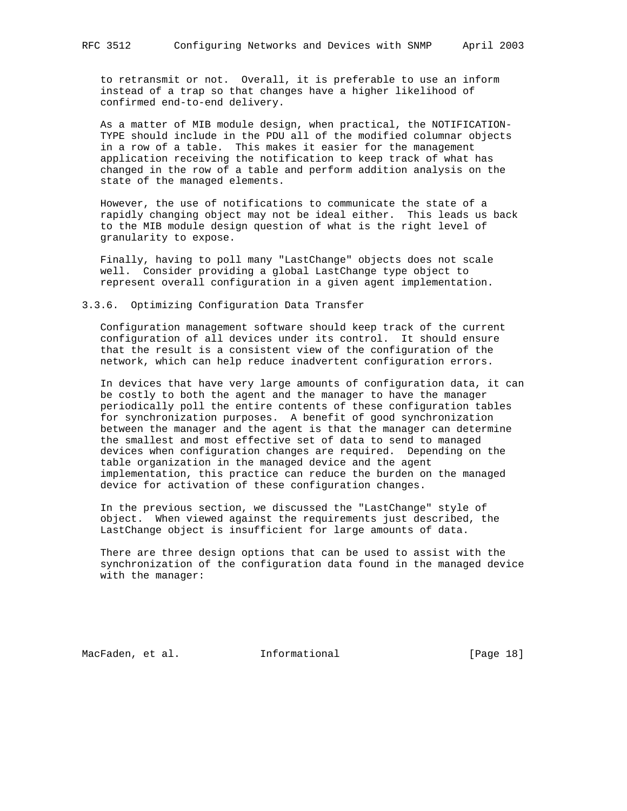to retransmit or not. Overall, it is preferable to use an inform instead of a trap so that changes have a higher likelihood of confirmed end-to-end delivery.

 As a matter of MIB module design, when practical, the NOTIFICATION- TYPE should include in the PDU all of the modified columnar objects in a row of a table. This makes it easier for the management application receiving the notification to keep track of what has changed in the row of a table and perform addition analysis on the state of the managed elements.

 However, the use of notifications to communicate the state of a rapidly changing object may not be ideal either. This leads us back to the MIB module design question of what is the right level of granularity to expose.

 Finally, having to poll many "LastChange" objects does not scale well. Consider providing a global LastChange type object to represent overall configuration in a given agent implementation.

## 3.3.6. Optimizing Configuration Data Transfer

 Configuration management software should keep track of the current configuration of all devices under its control. It should ensure that the result is a consistent view of the configuration of the network, which can help reduce inadvertent configuration errors.

 In devices that have very large amounts of configuration data, it can be costly to both the agent and the manager to have the manager periodically poll the entire contents of these configuration tables for synchronization purposes. A benefit of good synchronization between the manager and the agent is that the manager can determine the smallest and most effective set of data to send to managed devices when configuration changes are required. Depending on the table organization in the managed device and the agent implementation, this practice can reduce the burden on the managed device for activation of these configuration changes.

 In the previous section, we discussed the "LastChange" style of object. When viewed against the requirements just described, the LastChange object is insufficient for large amounts of data.

 There are three design options that can be used to assist with the synchronization of the configuration data found in the managed device with the manager:

MacFaden, et al. 1nformational 1999 [Page 18]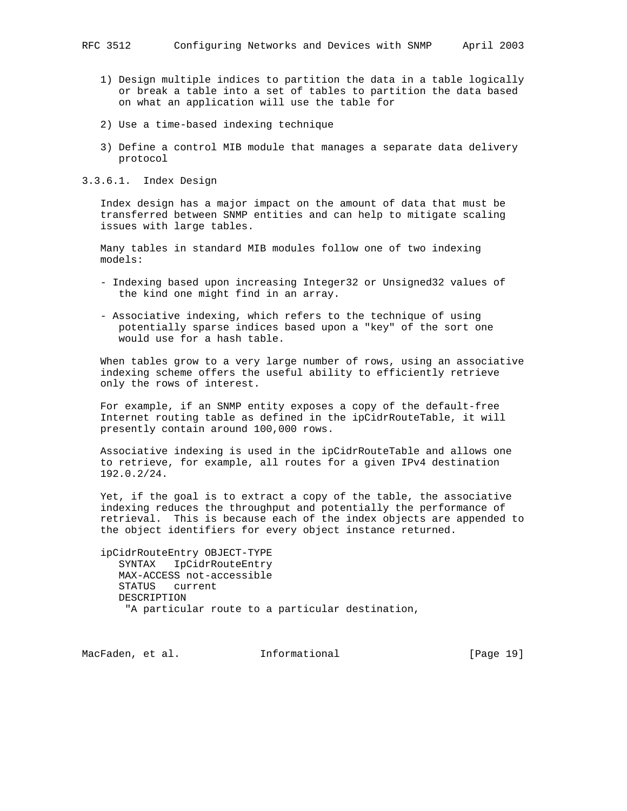- 1) Design multiple indices to partition the data in a table logically or break a table into a set of tables to partition the data based on what an application will use the table for
- 2) Use a time-based indexing technique
- 3) Define a control MIB module that manages a separate data delivery protocol
- 3.3.6.1. Index Design

 Index design has a major impact on the amount of data that must be transferred between SNMP entities and can help to mitigate scaling issues with large tables.

 Many tables in standard MIB modules follow one of two indexing models:

- Indexing based upon increasing Integer32 or Unsigned32 values of the kind one might find in an array.
- Associative indexing, which refers to the technique of using potentially sparse indices based upon a "key" of the sort one would use for a hash table.

 When tables grow to a very large number of rows, using an associative indexing scheme offers the useful ability to efficiently retrieve only the rows of interest.

 For example, if an SNMP entity exposes a copy of the default-free Internet routing table as defined in the ipCidrRouteTable, it will presently contain around 100,000 rows.

 Associative indexing is used in the ipCidrRouteTable and allows one to retrieve, for example, all routes for a given IPv4 destination 192.0.2/24.

 Yet, if the goal is to extract a copy of the table, the associative indexing reduces the throughput and potentially the performance of retrieval. This is because each of the index objects are appended to the object identifiers for every object instance returned.

 ipCidrRouteEntry OBJECT-TYPE SYNTAX IpCidrRouteEntry MAX-ACCESS not-accessible STATUS current DESCRIPTION "A particular route to a particular destination,

MacFaden, et al. 1nformational [Page 19]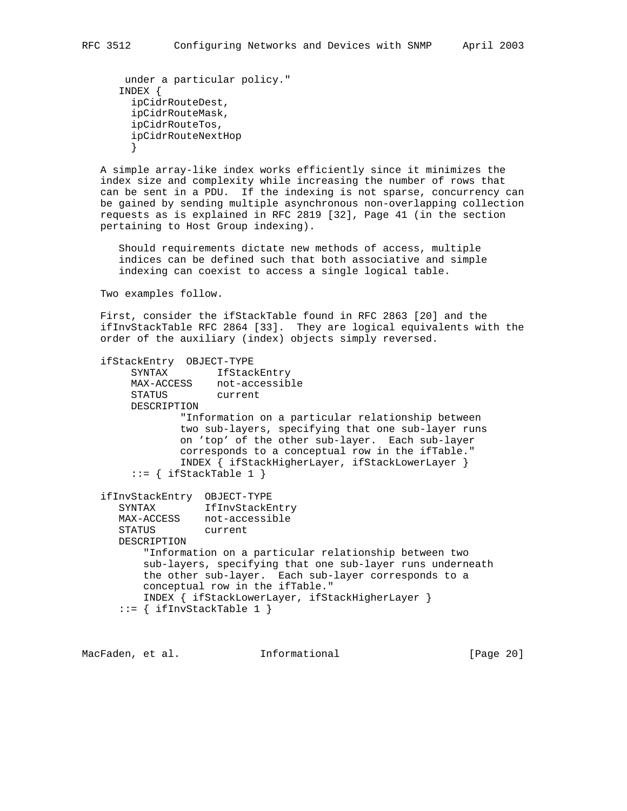```
 under a particular policy."
       INDEX {
        ipCidrRouteDest,
        ipCidrRouteMask,
        ipCidrRouteTos,
         ipCidrRouteNextHop
 }
```
 A simple array-like index works efficiently since it minimizes the index size and complexity while increasing the number of rows that can be sent in a PDU. If the indexing is not sparse, concurrency can be gained by sending multiple asynchronous non-overlapping collection requests as is explained in RFC 2819 [32], Page 41 (in the section pertaining to Host Group indexing).

 Should requirements dictate new methods of access, multiple indices can be defined such that both associative and simple indexing can coexist to access a single logical table.

Two examples follow.

 First, consider the ifStackTable found in RFC 2863 [20] and the ifInvStackTable RFC 2864 [33]. They are logical equivalents with the order of the auxiliary (index) objects simply reversed.

```
 ifStackEntry OBJECT-TYPE
       SYNTAX IfStackEntry
       MAX-ACCESS not-accessible<br>STATUS current
       STATUS
        DESCRIPTION
                "Information on a particular relationship between
                two sub-layers, specifying that one sub-layer runs
                on 'top' of the other sub-layer. Each sub-layer
                corresponds to a conceptual row in the ifTable."
                INDEX { ifStackHigherLayer, ifStackLowerLayer }
       ::= { ifStackTable 1 }
 ifInvStackEntry OBJECT-TYPE
 SYNTAX IfInvStackEntry
      MAX-ACCESS not-accessible
      STATUS current
      DESCRIPTION
          "Information on a particular relationship between two
          sub-layers, specifying that one sub-layer runs underneath
          the other sub-layer. Each sub-layer corresponds to a
          conceptual row in the ifTable."
          INDEX { ifStackLowerLayer, ifStackHigherLayer }
     ::= { ifInvStackTable 1 }
```
MacFaden, et al. 1nformational [Page 20]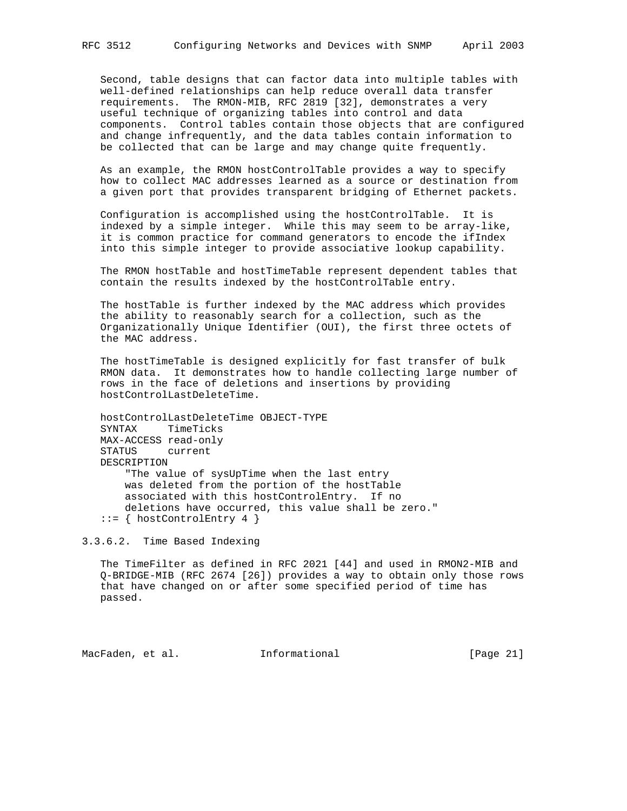Second, table designs that can factor data into multiple tables with well-defined relationships can help reduce overall data transfer requirements. The RMON-MIB, RFC 2819 [32], demonstrates a very useful technique of organizing tables into control and data components. Control tables contain those objects that are configured and change infrequently, and the data tables contain information to be collected that can be large and may change quite frequently.

 As an example, the RMON hostControlTable provides a way to specify how to collect MAC addresses learned as a source or destination from a given port that provides transparent bridging of Ethernet packets.

 Configuration is accomplished using the hostControlTable. It is indexed by a simple integer. While this may seem to be array-like, it is common practice for command generators to encode the ifIndex into this simple integer to provide associative lookup capability.

 The RMON hostTable and hostTimeTable represent dependent tables that contain the results indexed by the hostControlTable entry.

 The hostTable is further indexed by the MAC address which provides the ability to reasonably search for a collection, such as the Organizationally Unique Identifier (OUI), the first three octets of the MAC address.

 The hostTimeTable is designed explicitly for fast transfer of bulk RMON data. It demonstrates how to handle collecting large number of rows in the face of deletions and insertions by providing hostControlLastDeleteTime.

 hostControlLastDeleteTime OBJECT-TYPE SYNTAX TimeTicks MAX-ACCESS read-only STATUS current DESCRIPTION "The value of sysUpTime when the last entry was deleted from the portion of the hostTable associated with this hostControlEntry. If no deletions have occurred, this value shall be zero." ::= { hostControlEntry 4 }

3.3.6.2. Time Based Indexing

 The TimeFilter as defined in RFC 2021 [44] and used in RMON2-MIB and Q-BRIDGE-MIB (RFC 2674 [26]) provides a way to obtain only those rows that have changed on or after some specified period of time has passed.

MacFaden, et al. 1nformational 1999 [Page 21]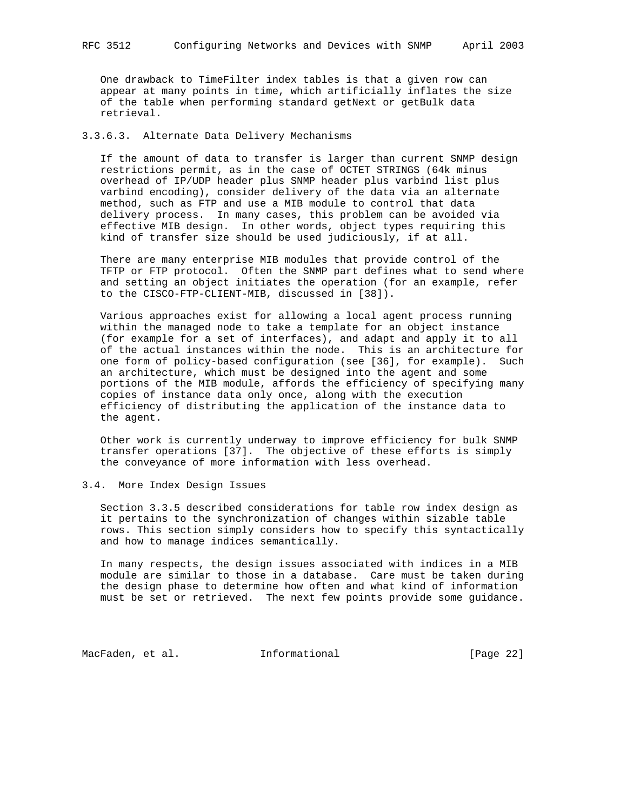One drawback to TimeFilter index tables is that a given row can appear at many points in time, which artificially inflates the size of the table when performing standard getNext or getBulk data retrieval.

### 3.3.6.3. Alternate Data Delivery Mechanisms

 If the amount of data to transfer is larger than current SNMP design restrictions permit, as in the case of OCTET STRINGS (64k minus overhead of IP/UDP header plus SNMP header plus varbind list plus varbind encoding), consider delivery of the data via an alternate method, such as FTP and use a MIB module to control that data delivery process. In many cases, this problem can be avoided via effective MIB design. In other words, object types requiring this kind of transfer size should be used judiciously, if at all.

 There are many enterprise MIB modules that provide control of the TFTP or FTP protocol. Often the SNMP part defines what to send where and setting an object initiates the operation (for an example, refer to the CISCO-FTP-CLIENT-MIB, discussed in [38]).

 Various approaches exist for allowing a local agent process running within the managed node to take a template for an object instance (for example for a set of interfaces), and adapt and apply it to all of the actual instances within the node. This is an architecture for one form of policy-based configuration (see [36], for example). Such an architecture, which must be designed into the agent and some portions of the MIB module, affords the efficiency of specifying many copies of instance data only once, along with the execution efficiency of distributing the application of the instance data to the agent.

 Other work is currently underway to improve efficiency for bulk SNMP transfer operations [37]. The objective of these efforts is simply the conveyance of more information with less overhead.

3.4. More Index Design Issues

 Section 3.3.5 described considerations for table row index design as it pertains to the synchronization of changes within sizable table rows. This section simply considers how to specify this syntactically and how to manage indices semantically.

 In many respects, the design issues associated with indices in a MIB module are similar to those in a database. Care must be taken during the design phase to determine how often and what kind of information must be set or retrieved. The next few points provide some guidance.

MacFaden, et al. 1nformational 1999 [Page 22]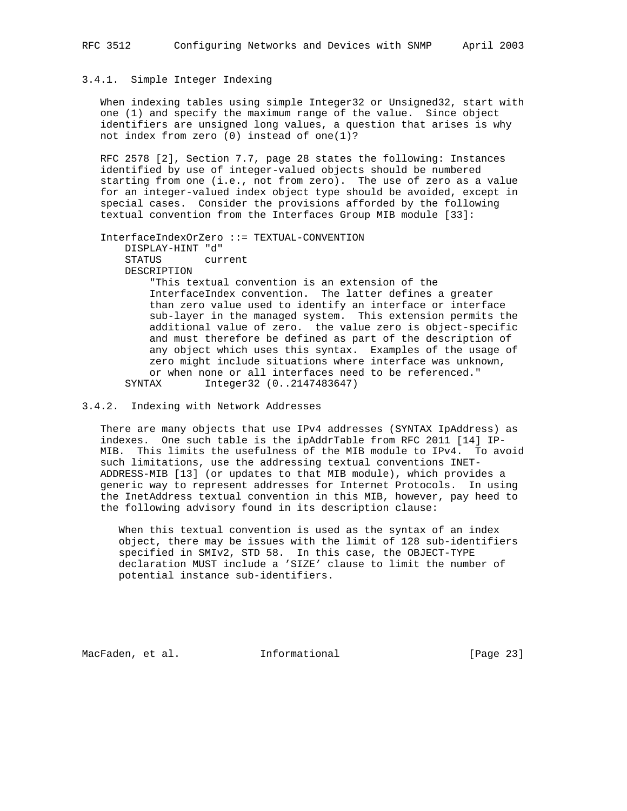## 3.4.1. Simple Integer Indexing

 When indexing tables using simple Integer32 or Unsigned32, start with one (1) and specify the maximum range of the value. Since object identifiers are unsigned long values, a question that arises is why not index from zero (0) instead of one(1)?

 RFC 2578 [2], Section 7.7, page 28 states the following: Instances identified by use of integer-valued objects should be numbered starting from one (i.e., not from zero). The use of zero as a value for an integer-valued index object type should be avoided, except in special cases. Consider the provisions afforded by the following textual convention from the Interfaces Group MIB module [33]:

 InterfaceIndexOrZero ::= TEXTUAL-CONVENTION DISPLAY-HINT "d" STATUS current DESCRIPTION "This textual convention is an extension of the InterfaceIndex convention. The latter defines a greater than zero value used to identify an interface or interface sub-layer in the managed system. This extension permits the additional value of zero. the value zero is object-specific and must therefore be defined as part of the description of any object which uses this syntax. Examples of the usage of zero might include situations where interface was unknown, or when none or all interfaces need to be referenced." SYNTAX Integer32 (0..2147483647)

# 3.4.2. Indexing with Network Addresses

 There are many objects that use IPv4 addresses (SYNTAX IpAddress) as indexes. One such table is the ipAddrTable from RFC 2011 [14] IP- MIB. This limits the usefulness of the MIB module to IPv4. To avoid such limitations, use the addressing textual conventions INET- ADDRESS-MIB [13] (or updates to that MIB module), which provides a generic way to represent addresses for Internet Protocols. In using the InetAddress textual convention in this MIB, however, pay heed to the following advisory found in its description clause:

 When this textual convention is used as the syntax of an index object, there may be issues with the limit of 128 sub-identifiers specified in SMIv2, STD 58. In this case, the OBJECT-TYPE declaration MUST include a 'SIZE' clause to limit the number of potential instance sub-identifiers.

MacFaden, et al. 1nformational [Page 23]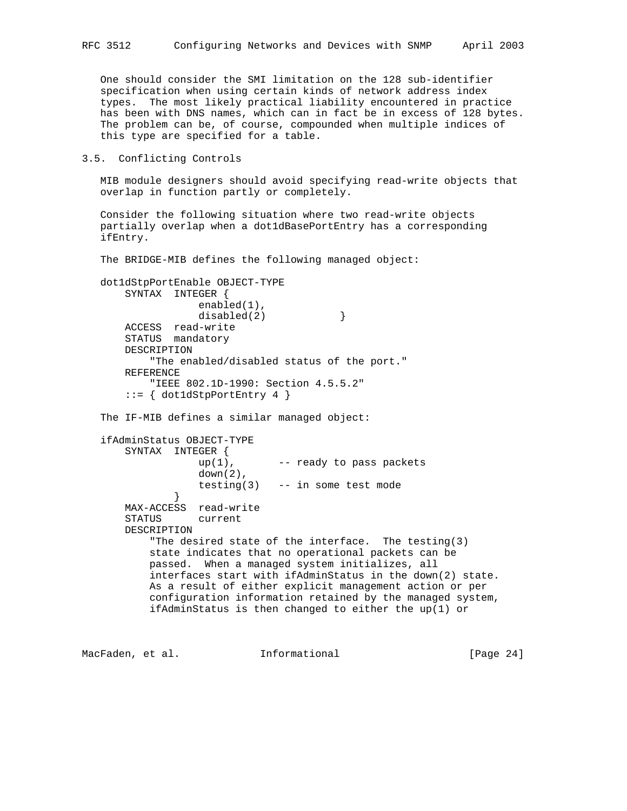One should consider the SMI limitation on the 128 sub-identifier specification when using certain kinds of network address index types. The most likely practical liability encountered in practice has been with DNS names, which can in fact be in excess of 128 bytes. The problem can be, of course, compounded when multiple indices of this type are specified for a table.

3.5. Conflicting Controls

 MIB module designers should avoid specifying read-write objects that overlap in function partly or completely.

 Consider the following situation where two read-write objects partially overlap when a dot1dBasePortEntry has a corresponding ifEntry.

The BRIDGE-MIB defines the following managed object:

```
 dot1dStpPortEnable OBJECT-TYPE
    SYNTAX INTEGER {
                enabled(1),
               disabled(2) }
    ACCESS read-write
    STATUS mandatory
    DESCRIPTION
         "The enabled/disabled status of the port."
    REFERENCE
         "IEEE 802.1D-1990: Section 4.5.5.2"
    ::= { dot1dStpPortEntry 4 }
```
The IF-MIB defines a similar managed object:

```
 ifAdminStatus OBJECT-TYPE
       SYNTAX INTEGER {
                   up(1), -- ready to pass packets
                   down(2),
                  testing(3) -- in some test mode
 }
       MAX-ACCESS read-write
       STATUS current
       DESCRIPTION
           "The desired state of the interface. The testing(3)
           state indicates that no operational packets can be
           passed. When a managed system initializes, all
           interfaces start with ifAdminStatus in the down(2) state.
           As a result of either explicit management action or per
           configuration information retained by the managed system,
           ifAdminStatus is then changed to either the up(1) or
```
MacFaden, et al. 1nformational 1999 [Page 24]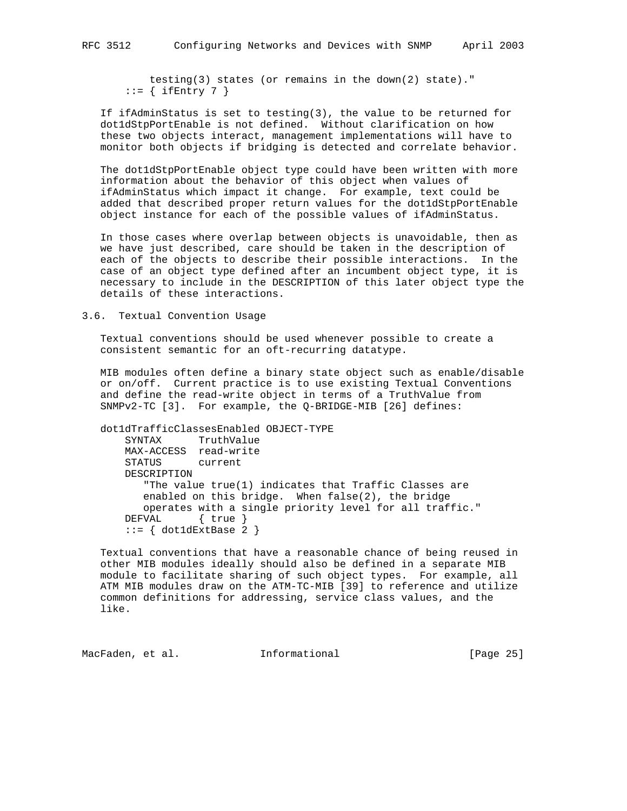testing(3) states (or remains in the down(2) state)."  $::=$  { ifEntry 7 }

 If ifAdminStatus is set to testing(3), the value to be returned for dot1dStpPortEnable is not defined. Without clarification on how these two objects interact, management implementations will have to monitor both objects if bridging is detected and correlate behavior.

 The dot1dStpPortEnable object type could have been written with more information about the behavior of this object when values of ifAdminStatus which impact it change. For example, text could be added that described proper return values for the dot1dStpPortEnable object instance for each of the possible values of ifAdminStatus.

 In those cases where overlap between objects is unavoidable, then as we have just described, care should be taken in the description of each of the objects to describe their possible interactions. In the case of an object type defined after an incumbent object type, it is necessary to include in the DESCRIPTION of this later object type the details of these interactions.

3.6. Textual Convention Usage

 Textual conventions should be used whenever possible to create a consistent semantic for an oft-recurring datatype.

 MIB modules often define a binary state object such as enable/disable or on/off. Current practice is to use existing Textual Conventions and define the read-write object in terms of a TruthValue from SNMPv2-TC [3]. For example, the Q-BRIDGE-MIB [26] defines:

```
 dot1dTrafficClassesEnabled OBJECT-TYPE
    SYNTAX TruthValue
    MAX-ACCESS read-write
    STATUS current
    DESCRIPTION
       "The value true(1) indicates that Traffic Classes are
       enabled on this bridge. When false(2), the bridge
       operates with a single priority level for all traffic."
    DEFVAL { true }
    ::= { dot1dExtBase 2 }
```
 Textual conventions that have a reasonable chance of being reused in other MIB modules ideally should also be defined in a separate MIB module to facilitate sharing of such object types. For example, all ATM MIB modules draw on the ATM-TC-MIB [39] to reference and utilize common definitions for addressing, service class values, and the like.

MacFaden, et al. **Informational** [Page 25]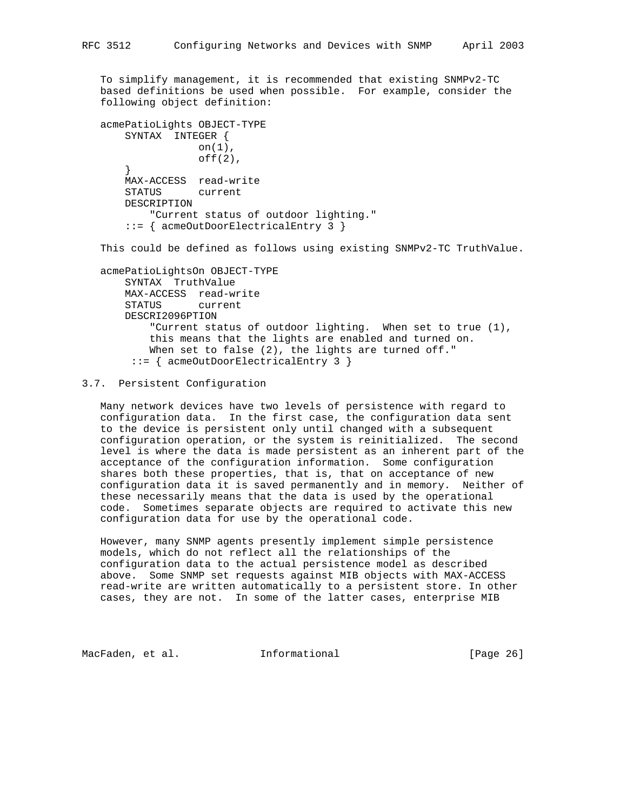To simplify management, it is recommended that existing SNMPv2-TC based definitions be used when possible. For example, consider the following object definition:

```
 acmePatioLights OBJECT-TYPE
     SYNTAX INTEGER {
                on(1),
                 off(2),
     }
     MAX-ACCESS read-write
     STATUS current
     DESCRIPTION
         "Current status of outdoor lighting."
     ::= { acmeOutDoorElectricalEntry 3 }
```
This could be defined as follows using existing SNMPv2-TC TruthValue.

 acmePatioLightsOn OBJECT-TYPE SYNTAX TruthValue MAX-ACCESS read-write STATUS current DESCRI2096PTION "Current status of outdoor lighting. When set to true (1), this means that the lights are enabled and turned on. When set to false (2), the lights are turned off." ::= { acmeOutDoorElectricalEntry 3 }

### 3.7. Persistent Configuration

 Many network devices have two levels of persistence with regard to configuration data. In the first case, the configuration data sent to the device is persistent only until changed with a subsequent configuration operation, or the system is reinitialized. The second level is where the data is made persistent as an inherent part of the acceptance of the configuration information. Some configuration shares both these properties, that is, that on acceptance of new configuration data it is saved permanently and in memory. Neither of these necessarily means that the data is used by the operational code. Sometimes separate objects are required to activate this new configuration data for use by the operational code.

 However, many SNMP agents presently implement simple persistence models, which do not reflect all the relationships of the configuration data to the actual persistence model as described above. Some SNMP set requests against MIB objects with MAX-ACCESS read-write are written automatically to a persistent store. In other cases, they are not. In some of the latter cases, enterprise MIB

MacFaden, et al. **Informational** [Page 26]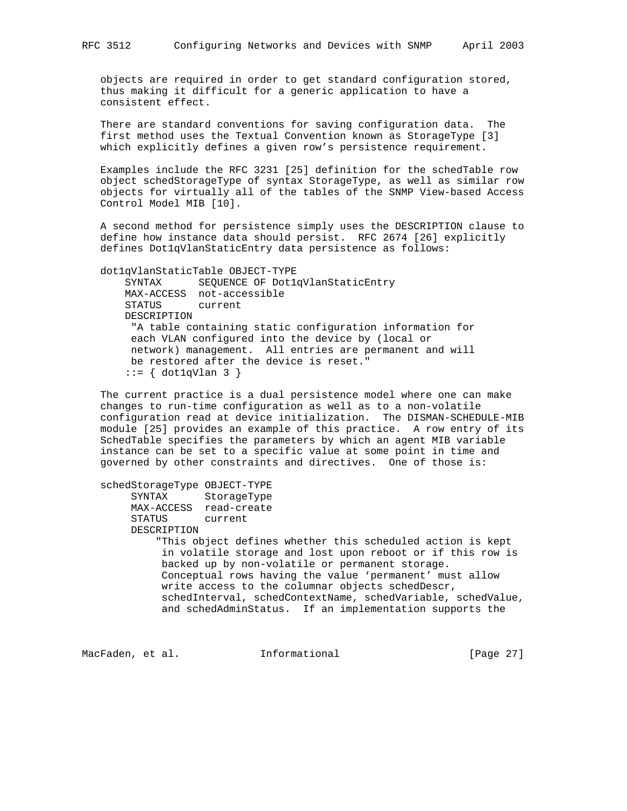objects are required in order to get standard configuration stored, thus making it difficult for a generic application to have a consistent effect.

 There are standard conventions for saving configuration data. The first method uses the Textual Convention known as StorageType [3] which explicitly defines a given row's persistence requirement.

 Examples include the RFC 3231 [25] definition for the schedTable row object schedStorageType of syntax StorageType, as well as similar row objects for virtually all of the tables of the SNMP View-based Access Control Model MIB [10].

 A second method for persistence simply uses the DESCRIPTION clause to define how instance data should persist. RFC 2674 [26] explicitly defines Dot1qVlanStaticEntry data persistence as follows:

dot1qVlanStaticTable OBJECT-TYPE

 SYNTAX SEQUENCE OF Dot1qVlanStaticEntry MAX-ACCESS not-accessible STATUS current DESCRIPTION "A table containing static configuration information for each VLAN configured into the device by (local or network) management. All entries are permanent and will be restored after the device is reset." ::= { dot1qVlan 3 }

 The current practice is a dual persistence model where one can make changes to run-time configuration as well as to a non-volatile configuration read at device initialization. The DISMAN-SCHEDULE-MIB module [25] provides an example of this practice. A row entry of its SchedTable specifies the parameters by which an agent MIB variable instance can be set to a specific value at some point in time and governed by other constraints and directives. One of those is:

#### schedStorageType OBJECT-TYPE

 SYNTAX StorageType MAX-ACCESS read-create STATUS current DESCRIPTION "This object defines whether this scheduled action is kept in volatile storage and lost upon reboot or if this row is

 backed up by non-volatile or permanent storage. Conceptual rows having the value 'permanent' must allow write access to the columnar objects schedDescr, schedInterval, schedContextName, schedVariable, schedValue, and schedAdminStatus. If an implementation supports the

MacFaden, et al. **Informational** [Page 27]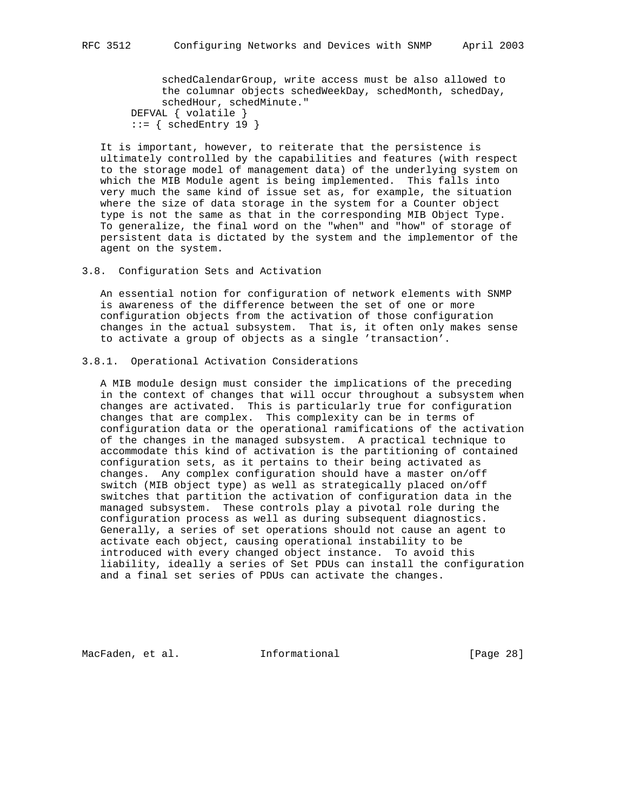schedCalendarGroup, write access must be also allowed to the columnar objects schedWeekDay, schedMonth, schedDay, schedHour, schedMinute."

 DEFVAL { volatile }  $::=$  { schedEntry 19 }

 It is important, however, to reiterate that the persistence is ultimately controlled by the capabilities and features (with respect to the storage model of management data) of the underlying system on which the MIB Module agent is being implemented. This falls into very much the same kind of issue set as, for example, the situation where the size of data storage in the system for a Counter object type is not the same as that in the corresponding MIB Object Type. To generalize, the final word on the "when" and "how" of storage of persistent data is dictated by the system and the implementor of the agent on the system.

3.8. Configuration Sets and Activation

 An essential notion for configuration of network elements with SNMP is awareness of the difference between the set of one or more configuration objects from the activation of those configuration changes in the actual subsystem. That is, it often only makes sense to activate a group of objects as a single 'transaction'.

### 3.8.1. Operational Activation Considerations

 A MIB module design must consider the implications of the preceding in the context of changes that will occur throughout a subsystem when changes are activated. This is particularly true for configuration changes that are complex. This complexity can be in terms of configuration data or the operational ramifications of the activation of the changes in the managed subsystem. A practical technique to accommodate this kind of activation is the partitioning of contained configuration sets, as it pertains to their being activated as changes. Any complex configuration should have a master on/off switch (MIB object type) as well as strategically placed on/off switches that partition the activation of configuration data in the managed subsystem. These controls play a pivotal role during the configuration process as well as during subsequent diagnostics. Generally, a series of set operations should not cause an agent to activate each object, causing operational instability to be introduced with every changed object instance. To avoid this liability, ideally a series of Set PDUs can install the configuration and a final set series of PDUs can activate the changes.

MacFaden, et al. 1nformational [Page 28]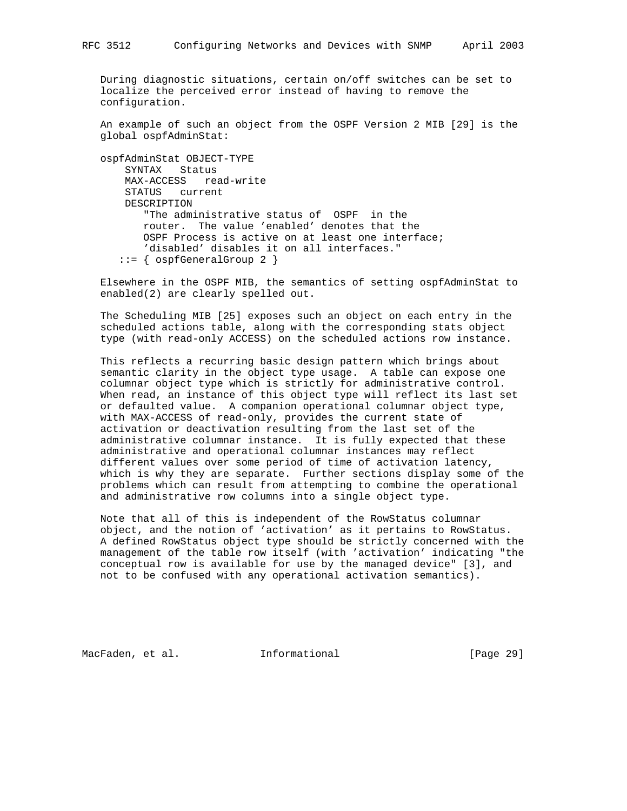During diagnostic situations, certain on/off switches can be set to localize the perceived error instead of having to remove the configuration.

 An example of such an object from the OSPF Version 2 MIB [29] is the global ospfAdminStat:

 ospfAdminStat OBJECT-TYPE SYNTAX Status MAX-ACCESS read-write STATUS current DESCRIPTION "The administrative status of OSPF in the router. The value 'enabled' denotes that the OSPF Process is active on at least one interface; 'disabled' disables it on all interfaces."  $::=$  {  $ospfGeneralGroup 2$  }

 Elsewhere in the OSPF MIB, the semantics of setting ospfAdminStat to enabled(2) are clearly spelled out.

 The Scheduling MIB [25] exposes such an object on each entry in the scheduled actions table, along with the corresponding stats object type (with read-only ACCESS) on the scheduled actions row instance.

 This reflects a recurring basic design pattern which brings about semantic clarity in the object type usage. A table can expose one columnar object type which is strictly for administrative control. When read, an instance of this object type will reflect its last set or defaulted value. A companion operational columnar object type, with MAX-ACCESS of read-only, provides the current state of activation or deactivation resulting from the last set of the administrative columnar instance. It is fully expected that these administrative and operational columnar instances may reflect different values over some period of time of activation latency, which is why they are separate. Further sections display some of the problems which can result from attempting to combine the operational and administrative row columns into a single object type.

 Note that all of this is independent of the RowStatus columnar object, and the notion of 'activation' as it pertains to RowStatus. A defined RowStatus object type should be strictly concerned with the management of the table row itself (with 'activation' indicating "the conceptual row is available for use by the managed device" [3], and not to be confused with any operational activation semantics).

MacFaden, et al. 1nformational [Page 29]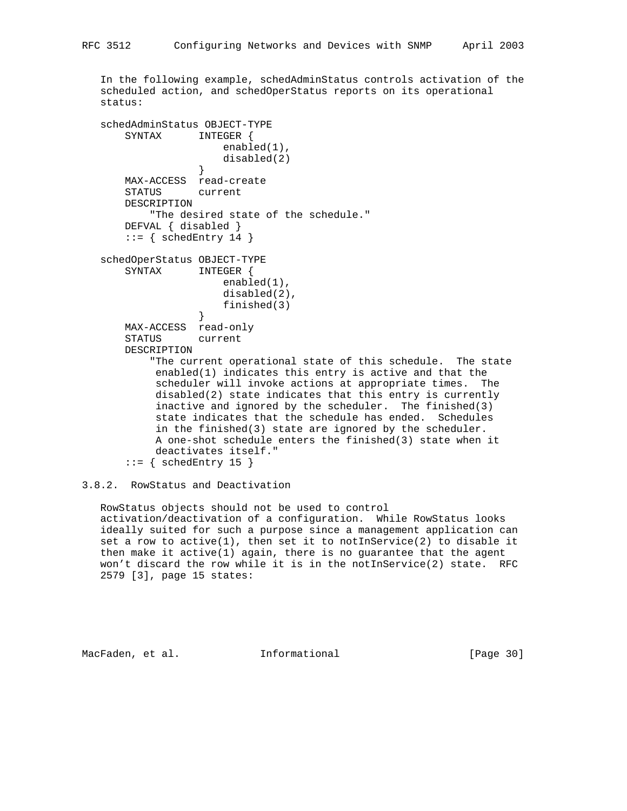In the following example, schedAdminStatus controls activation of the scheduled action, and schedOperStatus reports on its operational status:

```
 schedAdminStatus OBJECT-TYPE
       SYNTAX INTEGER {
                     enabled(1),
                  disabled(2)<br>}
 }
       MAX-ACCESS read-create
       STATUS current
       DESCRIPTION
          "The desired state of the schedule."
       DEFVAL { disabled }
      ::= { schedEntry 14 }
   schedOperStatus OBJECT-TYPE
      SYNTAX INTEGER {
                      enabled(1),
                      disabled(2),
                  finished(3)<br>}
 }
       MAX-ACCESS read-only
       STATUS current
       DESCRIPTION
           "The current operational state of this schedule. The state
            enabled(1) indicates this entry is active and that the
            scheduler will invoke actions at appropriate times. The
            disabled(2) state indicates that this entry is currently
            inactive and ignored by the scheduler. The finished(3)
            state indicates that the schedule has ended. Schedules
            in the finished(3) state are ignored by the scheduler.
            A one-shot schedule enters the finished(3) state when it
           deactivates itself."
      ::= { schedEntry 15 }
```
3.8.2. RowStatus and Deactivation

 RowStatus objects should not be used to control activation/deactivation of a configuration. While RowStatus looks ideally suited for such a purpose since a management application can set a row to active(1), then set it to notInService(2) to disable it then make it active(1) again, there is no guarantee that the agent won't discard the row while it is in the notInService(2) state. RFC 2579 [3], page 15 states:

MacFaden, et al. 1nformational [Page 30]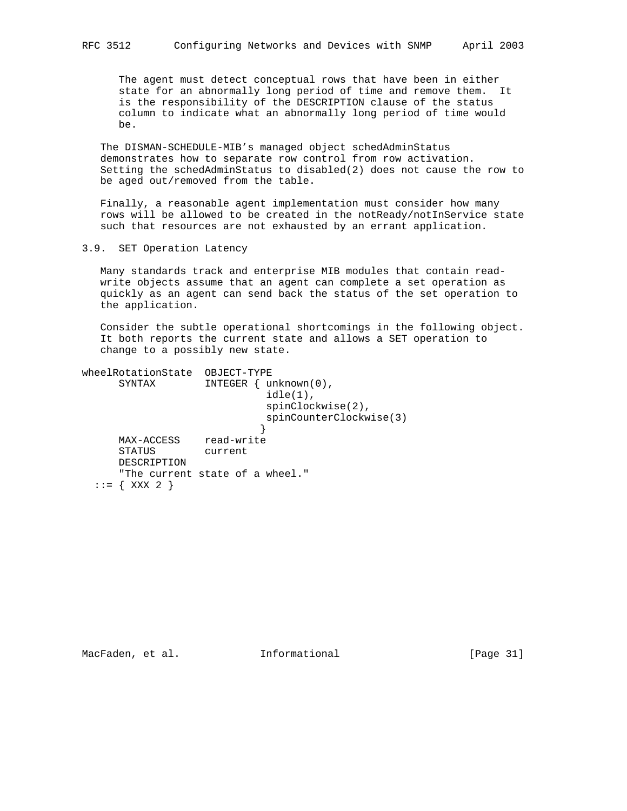The agent must detect conceptual rows that have been in either state for an abnormally long period of time and remove them. It is the responsibility of the DESCRIPTION clause of the status column to indicate what an abnormally long period of time would be.

 The DISMAN-SCHEDULE-MIB's managed object schedAdminStatus demonstrates how to separate row control from row activation. Setting the schedAdminStatus to disabled(2) does not cause the row to be aged out/removed from the table.

 Finally, a reasonable agent implementation must consider how many rows will be allowed to be created in the notReady/notInService state such that resources are not exhausted by an errant application.

3.9. SET Operation Latency

 Many standards track and enterprise MIB modules that contain read write objects assume that an agent can complete a set operation as quickly as an agent can send back the status of the set operation to the application.

 Consider the subtle operational shortcomings in the following object. It both reports the current state and allows a SET operation to change to a possibly new state.

| wheelRotationState<br>SYNTAX | OBJECT-TYPE<br>INTEGER<br>$unknown(0)$ ,<br>$idle(1)$ ,<br>$spinClockwise(2)$ ,<br>spinCounterClockwise(3) |
|------------------------------|------------------------------------------------------------------------------------------------------------|
| MAX-ACCESS                   | read-write                                                                                                 |
| <b>STATUS</b>                | current                                                                                                    |
| DESCRIPTION                  |                                                                                                            |
|                              | "The current state of a wheel."                                                                            |
| XXX 2                        |                                                                                                            |

MacFaden, et al. 1nformational 1999 [Page 31]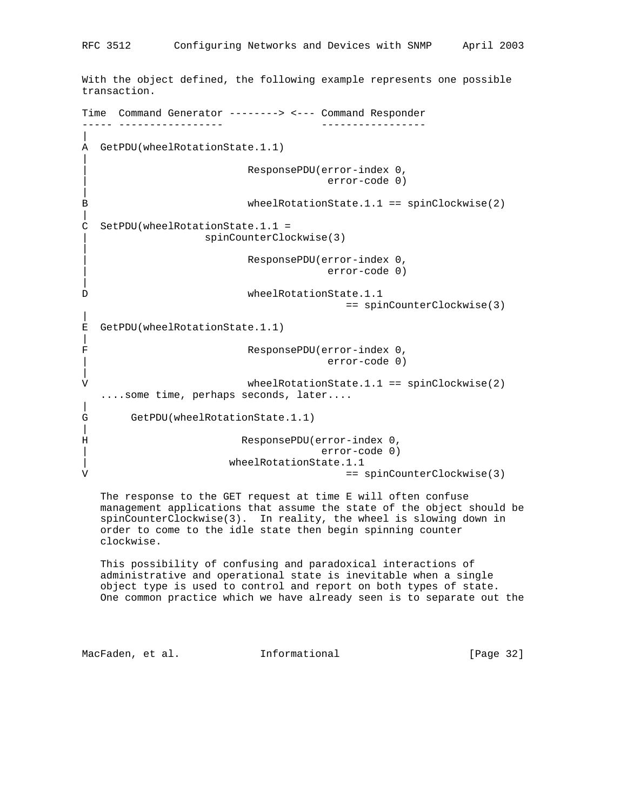With the object defined, the following example represents one possible transaction. Time Command Generator --------> <--- Command Responder ----- ----------------- ----------------- | A GetPDU(wheelRotationState.1.1) | | ResponsePDU(error-index 0, | error-code 0) | B wheelRotationState.1.1 == spinClockwise(2) | C SetPDU(wheelRotationState.1.1 = | spinCounterClockwise(3) | | ResponsePDU(error-index 0, | error-code 0) | D wheelRotationState.1.1 == spinCounterClockwise(3) | E GetPDU(wheelRotationState.1.1) | F ResponsePDU(error-index 0, | error-code 0) | V wheelRotationState.1.1 == spinClockwise(2) ....some time, perhaps seconds, later.... | G GetPDU(wheelRotationState.1.1)  $\blacksquare$ H ResponsePDU(error-index 0, | error-code 0) | wheelRotationState.1.1 V == spinCounterClockwise(3)

 The response to the GET request at time E will often confuse management applications that assume the state of the object should be spinCounterClockwise(3). In reality, the wheel is slowing down in order to come to the idle state then begin spinning counter clockwise.

 This possibility of confusing and paradoxical interactions of administrative and operational state is inevitable when a single object type is used to control and report on both types of state. One common practice which we have already seen is to separate out the

MacFaden, et al. 1nformational [Page 32]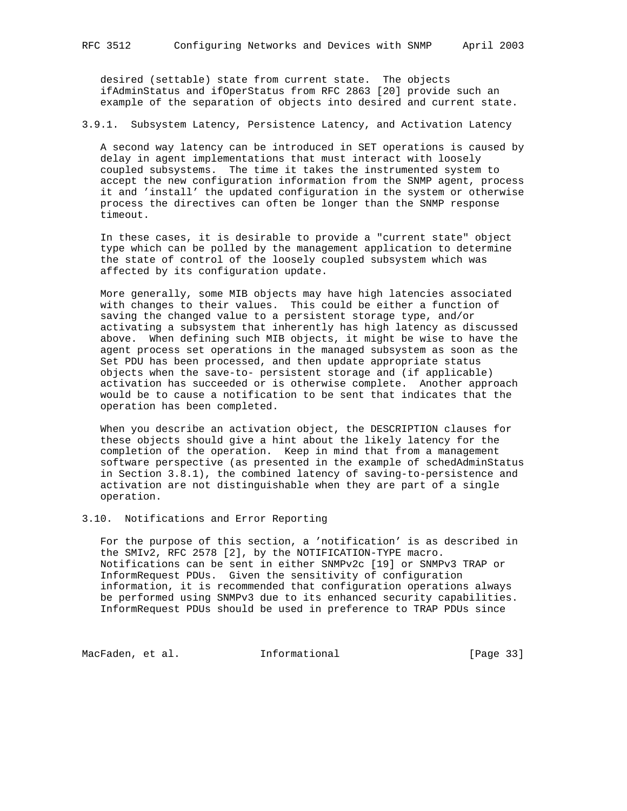desired (settable) state from current state. The objects ifAdminStatus and ifOperStatus from RFC 2863 [20] provide such an example of the separation of objects into desired and current state.

## 3.9.1. Subsystem Latency, Persistence Latency, and Activation Latency

 A second way latency can be introduced in SET operations is caused by delay in agent implementations that must interact with loosely coupled subsystems. The time it takes the instrumented system to accept the new configuration information from the SNMP agent, process it and 'install' the updated configuration in the system or otherwise process the directives can often be longer than the SNMP response timeout.

 In these cases, it is desirable to provide a "current state" object type which can be polled by the management application to determine the state of control of the loosely coupled subsystem which was affected by its configuration update.

 More generally, some MIB objects may have high latencies associated with changes to their values. This could be either a function of saving the changed value to a persistent storage type, and/or activating a subsystem that inherently has high latency as discussed above. When defining such MIB objects, it might be wise to have the agent process set operations in the managed subsystem as soon as the Set PDU has been processed, and then update appropriate status objects when the save-to- persistent storage and (if applicable) activation has succeeded or is otherwise complete. Another approach would be to cause a notification to be sent that indicates that the operation has been completed.

 When you describe an activation object, the DESCRIPTION clauses for these objects should give a hint about the likely latency for the completion of the operation. Keep in mind that from a management software perspective (as presented in the example of schedAdminStatus in Section 3.8.1), the combined latency of saving-to-persistence and activation are not distinguishable when they are part of a single operation.

## 3.10. Notifications and Error Reporting

 For the purpose of this section, a 'notification' is as described in the SMIv2, RFC 2578 [2], by the NOTIFICATION-TYPE macro. Notifications can be sent in either SNMPv2c [19] or SNMPv3 TRAP or InformRequest PDUs. Given the sensitivity of configuration information, it is recommended that configuration operations always be performed using SNMPv3 due to its enhanced security capabilities. InformRequest PDUs should be used in preference to TRAP PDUs since

MacFaden, et al. 1nformational 1999 [Page 33]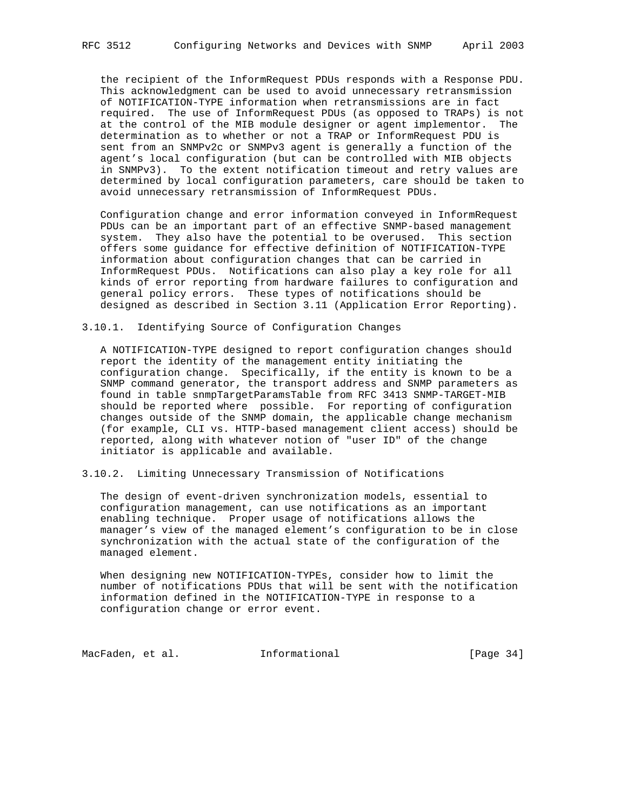the recipient of the InformRequest PDUs responds with a Response PDU. This acknowledgment can be used to avoid unnecessary retransmission of NOTIFICATION-TYPE information when retransmissions are in fact required. The use of InformRequest PDUs (as opposed to TRAPs) is not at the control of the MIB module designer or agent implementor. The determination as to whether or not a TRAP or InformRequest PDU is sent from an SNMPv2c or SNMPv3 agent is generally a function of the agent's local configuration (but can be controlled with MIB objects in SNMPv3). To the extent notification timeout and retry values are determined by local configuration parameters, care should be taken to avoid unnecessary retransmission of InformRequest PDUs.

 Configuration change and error information conveyed in InformRequest PDUs can be an important part of an effective SNMP-based management system. They also have the potential to be overused. This section offers some guidance for effective definition of NOTIFICATION-TYPE information about configuration changes that can be carried in InformRequest PDUs. Notifications can also play a key role for all kinds of error reporting from hardware failures to configuration and general policy errors. These types of notifications should be designed as described in Section 3.11 (Application Error Reporting).

3.10.1. Identifying Source of Configuration Changes

 A NOTIFICATION-TYPE designed to report configuration changes should report the identity of the management entity initiating the configuration change. Specifically, if the entity is known to be a SNMP command generator, the transport address and SNMP parameters as found in table snmpTargetParamsTable from RFC 3413 SNMP-TARGET-MIB should be reported where possible. For reporting of configuration changes outside of the SNMP domain, the applicable change mechanism (for example, CLI vs. HTTP-based management client access) should be reported, along with whatever notion of "user ID" of the change initiator is applicable and available.

3.10.2. Limiting Unnecessary Transmission of Notifications

 The design of event-driven synchronization models, essential to configuration management, can use notifications as an important enabling technique. Proper usage of notifications allows the manager's view of the managed element's configuration to be in close synchronization with the actual state of the configuration of the managed element.

 When designing new NOTIFICATION-TYPEs, consider how to limit the number of notifications PDUs that will be sent with the notification information defined in the NOTIFICATION-TYPE in response to a configuration change or error event.

MacFaden, et al. 1nformational 1999 [Page 34]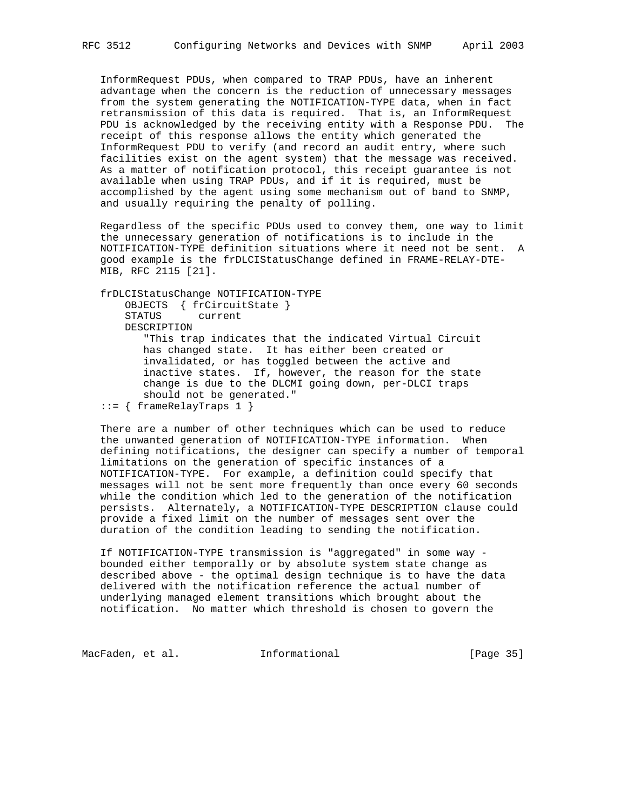InformRequest PDUs, when compared to TRAP PDUs, have an inherent advantage when the concern is the reduction of unnecessary messages from the system generating the NOTIFICATION-TYPE data, when in fact retransmission of this data is required. That is, an InformRequest PDU is acknowledged by the receiving entity with a Response PDU. The receipt of this response allows the entity which generated the InformRequest PDU to verify (and record an audit entry, where such facilities exist on the agent system) that the message was received. As a matter of notification protocol, this receipt guarantee is not available when using TRAP PDUs, and if it is required, must be accomplished by the agent using some mechanism out of band to SNMP, and usually requiring the penalty of polling.

 Regardless of the specific PDUs used to convey them, one way to limit the unnecessary generation of notifications is to include in the NOTIFICATION-TYPE definition situations where it need not be sent. A good example is the frDLCIStatusChange defined in FRAME-RELAY-DTE- MIB, RFC 2115 [21].

 frDLCIStatusChange NOTIFICATION-TYPE OBJECTS { frCircuitState } STATUS current DESCRIPTION "This trap indicates that the indicated Virtual Circuit has changed state. It has either been created or

 invalidated, or has toggled between the active and inactive states. If, however, the reason for the state change is due to the DLCMI going down, per-DLCI traps should not be generated."

::= { frameRelayTraps 1 }

 There are a number of other techniques which can be used to reduce the unwanted generation of NOTIFICATION-TYPE information. When defining notifications, the designer can specify a number of temporal limitations on the generation of specific instances of a NOTIFICATION-TYPE. For example, a definition could specify that messages will not be sent more frequently than once every 60 seconds while the condition which led to the generation of the notification persists. Alternately, a NOTIFICATION-TYPE DESCRIPTION clause could provide a fixed limit on the number of messages sent over the duration of the condition leading to sending the notification.

 If NOTIFICATION-TYPE transmission is "aggregated" in some way bounded either temporally or by absolute system state change as described above - the optimal design technique is to have the data delivered with the notification reference the actual number of underlying managed element transitions which brought about the notification. No matter which threshold is chosen to govern the

MacFaden, et al. 1nformational 1999 [Page 35]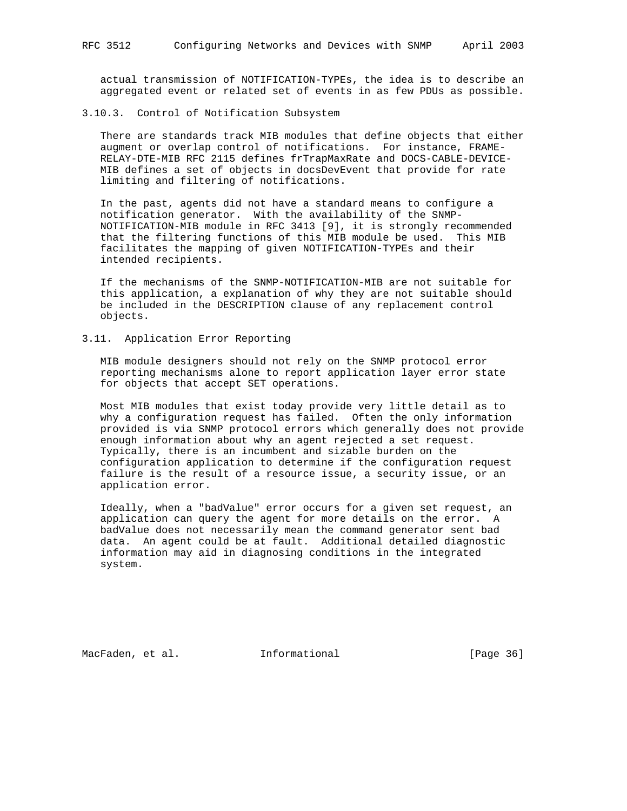actual transmission of NOTIFICATION-TYPEs, the idea is to describe an aggregated event or related set of events in as few PDUs as possible.

#### 3.10.3. Control of Notification Subsystem

 There are standards track MIB modules that define objects that either augment or overlap control of notifications. For instance, FRAME- RELAY-DTE-MIB RFC 2115 defines frTrapMaxRate and DOCS-CABLE-DEVICE- MIB defines a set of objects in docsDevEvent that provide for rate limiting and filtering of notifications.

 In the past, agents did not have a standard means to configure a notification generator. With the availability of the SNMP- NOTIFICATION-MIB module in RFC 3413 [9], it is strongly recommended that the filtering functions of this MIB module be used. This MIB facilitates the mapping of given NOTIFICATION-TYPEs and their intended recipients.

 If the mechanisms of the SNMP-NOTIFICATION-MIB are not suitable for this application, a explanation of why they are not suitable should be included in the DESCRIPTION clause of any replacement control objects.

### 3.11. Application Error Reporting

 MIB module designers should not rely on the SNMP protocol error reporting mechanisms alone to report application layer error state for objects that accept SET operations.

 Most MIB modules that exist today provide very little detail as to why a configuration request has failed. Often the only information provided is via SNMP protocol errors which generally does not provide enough information about why an agent rejected a set request. Typically, there is an incumbent and sizable burden on the configuration application to determine if the configuration request failure is the result of a resource issue, a security issue, or an application error.

 Ideally, when a "badValue" error occurs for a given set request, an application can query the agent for more details on the error. A badValue does not necessarily mean the command generator sent bad data. An agent could be at fault. Additional detailed diagnostic information may aid in diagnosing conditions in the integrated system.

MacFaden, et al. 1nformational 1999 [Page 36]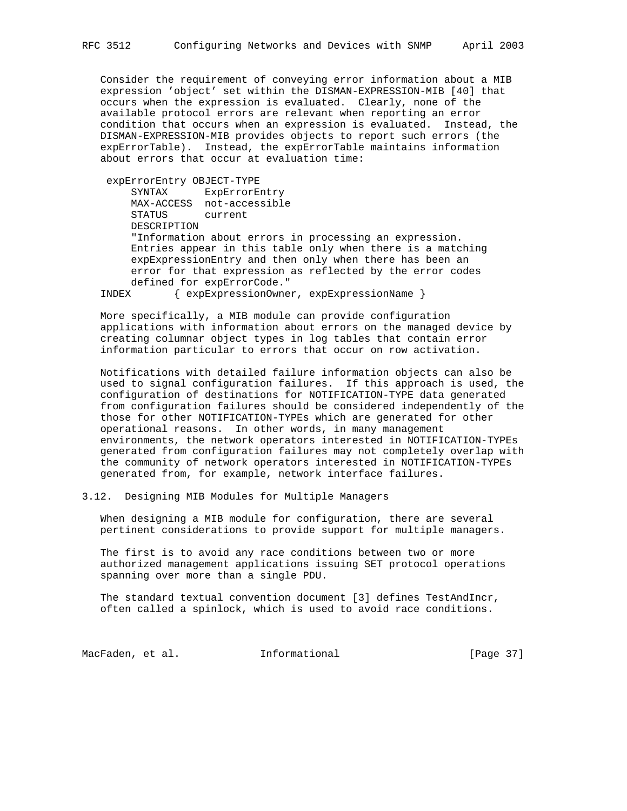Consider the requirement of conveying error information about a MIB expression 'object' set within the DISMAN-EXPRESSION-MIB [40] that occurs when the expression is evaluated. Clearly, none of the available protocol errors are relevant when reporting an error condition that occurs when an expression is evaluated. Instead, the DISMAN-EXPRESSION-MIB provides objects to report such errors (the expErrorTable). Instead, the expErrorTable maintains information about errors that occur at evaluation time:

 expErrorEntry OBJECT-TYPE SYNTAX ExpErrorEntry MAX-ACCESS not-accessible STATUS current DESCRIPTION "Information about errors in processing an expression. Entries appear in this table only when there is a matching expExpressionEntry and then only when there has been an error for that expression as reflected by the error codes defined for expErrorCode."

INDEX { expExpressionOwner, expExpressionName }

 More specifically, a MIB module can provide configuration applications with information about errors on the managed device by creating columnar object types in log tables that contain error information particular to errors that occur on row activation.

 Notifications with detailed failure information objects can also be used to signal configuration failures. If this approach is used, the configuration of destinations for NOTIFICATION-TYPE data generated from configuration failures should be considered independently of the those for other NOTIFICATION-TYPEs which are generated for other operational reasons. In other words, in many management environments, the network operators interested in NOTIFICATION-TYPEs generated from configuration failures may not completely overlap with the community of network operators interested in NOTIFICATION-TYPEs generated from, for example, network interface failures.

3.12. Designing MIB Modules for Multiple Managers

 When designing a MIB module for configuration, there are several pertinent considerations to provide support for multiple managers.

 The first is to avoid any race conditions between two or more authorized management applications issuing SET protocol operations spanning over more than a single PDU.

 The standard textual convention document [3] defines TestAndIncr, often called a spinlock, which is used to avoid race conditions.

MacFaden, et al. 1nformational 1999 [Page 37]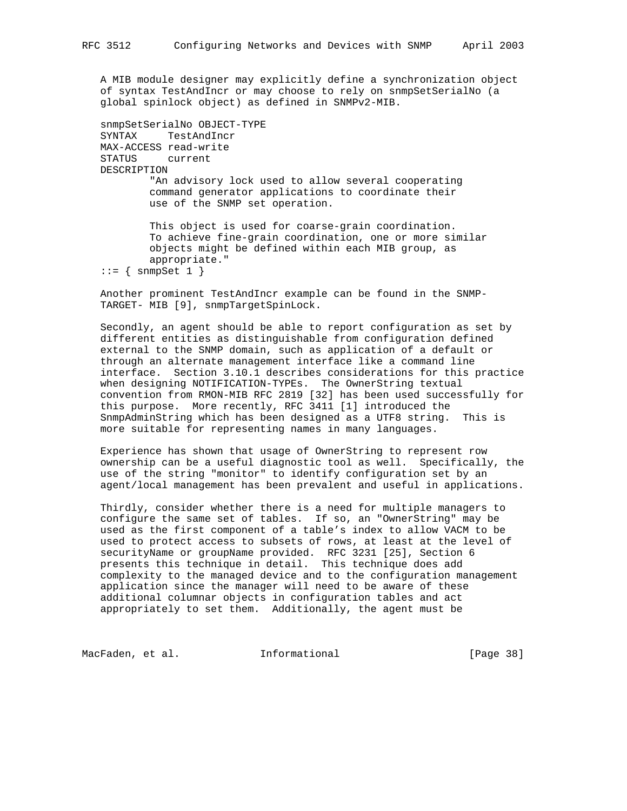A MIB module designer may explicitly define a synchronization object of syntax TestAndIncr or may choose to rely on snmpSetSerialNo (a global spinlock object) as defined in SNMPv2-MIB.

```
 snmpSetSerialNo OBJECT-TYPE
 SYNTAX TestAndIncr
 MAX-ACCESS read-write
 STATUS current
 DESCRIPTION
         "An advisory lock used to allow several cooperating
         command generator applications to coordinate their
         use of the SNMP set operation.
         This object is used for coarse-grain coordination.
         To achieve fine-grain coordination, one or more similar
         objects might be defined within each MIB group, as
         appropriate."
::= { snmpSet 1 }
```
 Another prominent TestAndIncr example can be found in the SNMP- TARGET- MIB [9], snmpTargetSpinLock.

 Secondly, an agent should be able to report configuration as set by different entities as distinguishable from configuration defined external to the SNMP domain, such as application of a default or through an alternate management interface like a command line interface. Section 3.10.1 describes considerations for this practice when designing NOTIFICATION-TYPEs. The OwnerString textual convention from RMON-MIB RFC 2819 [32] has been used successfully for this purpose. More recently, RFC 3411 [1] introduced the SnmpAdminString which has been designed as a UTF8 string. This is more suitable for representing names in many languages.

 Experience has shown that usage of OwnerString to represent row ownership can be a useful diagnostic tool as well. Specifically, the use of the string "monitor" to identify configuration set by an agent/local management has been prevalent and useful in applications.

 Thirdly, consider whether there is a need for multiple managers to configure the same set of tables. If so, an "OwnerString" may be used as the first component of a table's index to allow VACM to be used to protect access to subsets of rows, at least at the level of securityName or groupName provided. RFC 3231 [25], Section 6 presents this technique in detail. This technique does add complexity to the managed device and to the configuration management application since the manager will need to be aware of these additional columnar objects in configuration tables and act appropriately to set them. Additionally, the agent must be

MacFaden, et al. 1nformational 1999 [Page 38]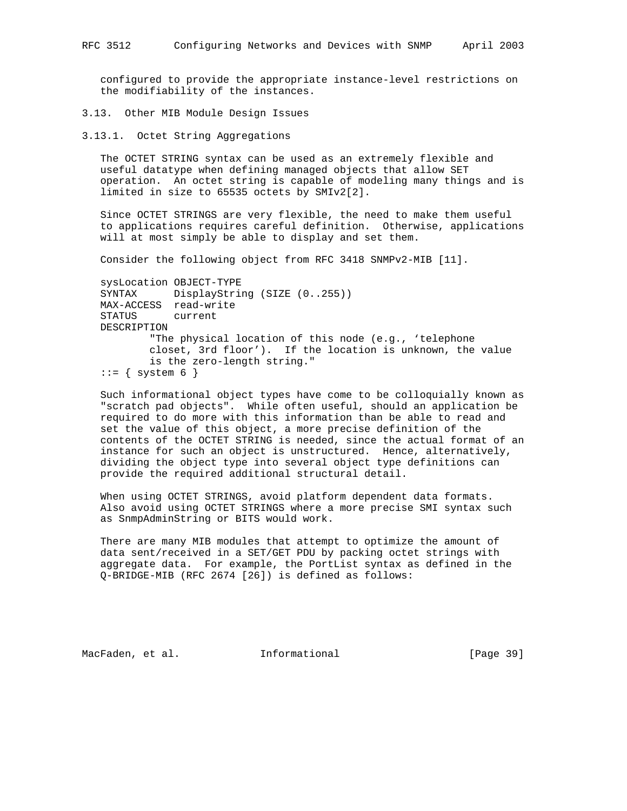configured to provide the appropriate instance-level restrictions on the modifiability of the instances.

3.13. Other MIB Module Design Issues

3.13.1. Octet String Aggregations

 The OCTET STRING syntax can be used as an extremely flexible and useful datatype when defining managed objects that allow SET operation. An octet string is capable of modeling many things and is limited in size to 65535 octets by SMIv2[2].

 Since OCTET STRINGS are very flexible, the need to make them useful to applications requires careful definition. Otherwise, applications will at most simply be able to display and set them.

Consider the following object from RFC 3418 SNMPv2-MIB [11].

 sysLocation OBJECT-TYPE SYNTAX DisplayString (SIZE (0..255)) MAX-ACCESS read-write STATUS current DESCRIPTION "The physical location of this node (e.g., 'telephone closet, 3rd floor'). If the location is unknown, the value is the zero-length string."  $::=$  { system 6 }

 Such informational object types have come to be colloquially known as "scratch pad objects". While often useful, should an application be required to do more with this information than be able to read and set the value of this object, a more precise definition of the contents of the OCTET STRING is needed, since the actual format of an instance for such an object is unstructured. Hence, alternatively, dividing the object type into several object type definitions can provide the required additional structural detail.

 When using OCTET STRINGS, avoid platform dependent data formats. Also avoid using OCTET STRINGS where a more precise SMI syntax such as SnmpAdminString or BITS would work.

 There are many MIB modules that attempt to optimize the amount of data sent/received in a SET/GET PDU by packing octet strings with aggregate data. For example, the PortList syntax as defined in the Q-BRIDGE-MIB (RFC 2674 [26]) is defined as follows:

MacFaden, et al. 1nformational [Page 39]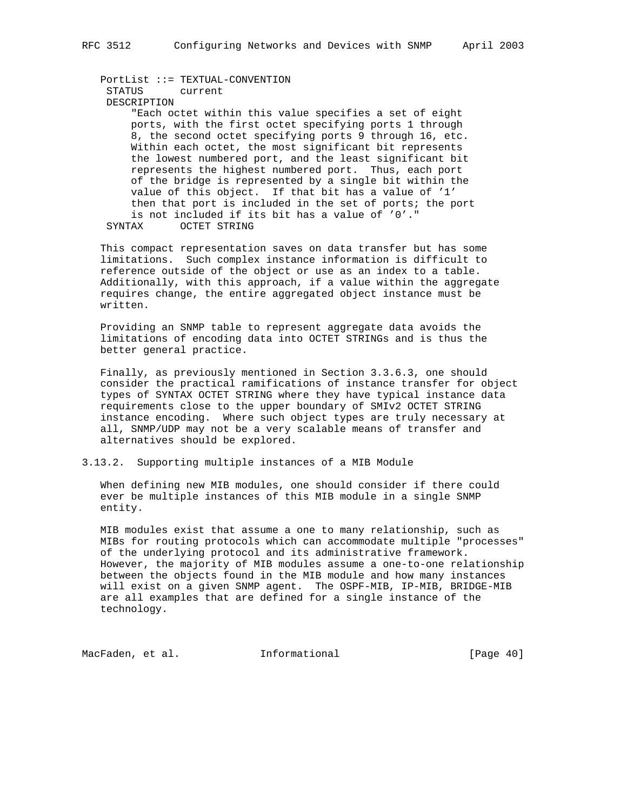PortList ::= TEXTUAL-CONVENTION STATUS current DESCRIPTION "Each octet within this value specifies a set of eight ports, with the first octet specifying ports 1 through 8, the second octet specifying ports 9 through 16, etc. Within each octet, the most significant bit represents the lowest numbered port, and the least significant bit represents the highest numbered port. Thus, each port of the bridge is represented by a single bit within the value of this object. If that bit has a value of '1' then that port is included in the set of ports; the port is not included if its bit has a value of '0'." SYNTAX OCTET STRING

 This compact representation saves on data transfer but has some limitations. Such complex instance information is difficult to reference outside of the object or use as an index to a table. Additionally, with this approach, if a value within the aggregate requires change, the entire aggregated object instance must be written.

 Providing an SNMP table to represent aggregate data avoids the limitations of encoding data into OCTET STRINGs and is thus the better general practice.

 Finally, as previously mentioned in Section 3.3.6.3, one should consider the practical ramifications of instance transfer for object types of SYNTAX OCTET STRING where they have typical instance data requirements close to the upper boundary of SMIv2 OCTET STRING instance encoding. Where such object types are truly necessary at all, SNMP/UDP may not be a very scalable means of transfer and alternatives should be explored.

### 3.13.2. Supporting multiple instances of a MIB Module

 When defining new MIB modules, one should consider if there could ever be multiple instances of this MIB module in a single SNMP entity.

 MIB modules exist that assume a one to many relationship, such as MIBs for routing protocols which can accommodate multiple "processes" of the underlying protocol and its administrative framework. However, the majority of MIB modules assume a one-to-one relationship between the objects found in the MIB module and how many instances will exist on a given SNMP agent. The OSPF-MIB, IP-MIB, BRIDGE-MIB are all examples that are defined for a single instance of the technology.

MacFaden, et al. 1nformational 1999 [Page 40]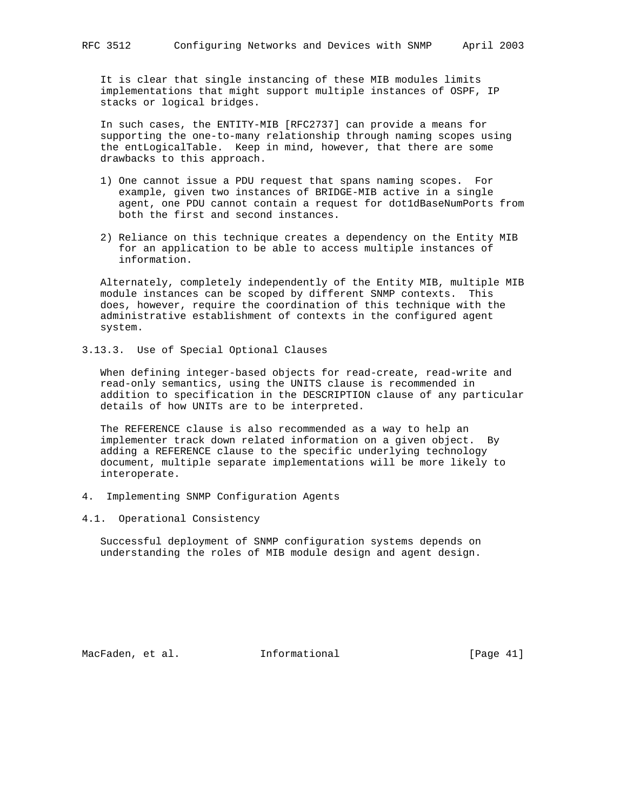It is clear that single instancing of these MIB modules limits implementations that might support multiple instances of OSPF, IP stacks or logical bridges.

 In such cases, the ENTITY-MIB [RFC2737] can provide a means for supporting the one-to-many relationship through naming scopes using the entLogicalTable. Keep in mind, however, that there are some drawbacks to this approach.

- 1) One cannot issue a PDU request that spans naming scopes. For example, given two instances of BRIDGE-MIB active in a single agent, one PDU cannot contain a request for dot1dBaseNumPorts from both the first and second instances.
- 2) Reliance on this technique creates a dependency on the Entity MIB for an application to be able to access multiple instances of information.

 Alternately, completely independently of the Entity MIB, multiple MIB module instances can be scoped by different SNMP contexts. This does, however, require the coordination of this technique with the administrative establishment of contexts in the configured agent system.

3.13.3. Use of Special Optional Clauses

 When defining integer-based objects for read-create, read-write and read-only semantics, using the UNITS clause is recommended in addition to specification in the DESCRIPTION clause of any particular details of how UNITs are to be interpreted.

 The REFERENCE clause is also recommended as a way to help an implementer track down related information on a given object. By adding a REFERENCE clause to the specific underlying technology document, multiple separate implementations will be more likely to interoperate.

- 4. Implementing SNMP Configuration Agents
- 4.1. Operational Consistency

 Successful deployment of SNMP configuration systems depends on understanding the roles of MIB module design and agent design.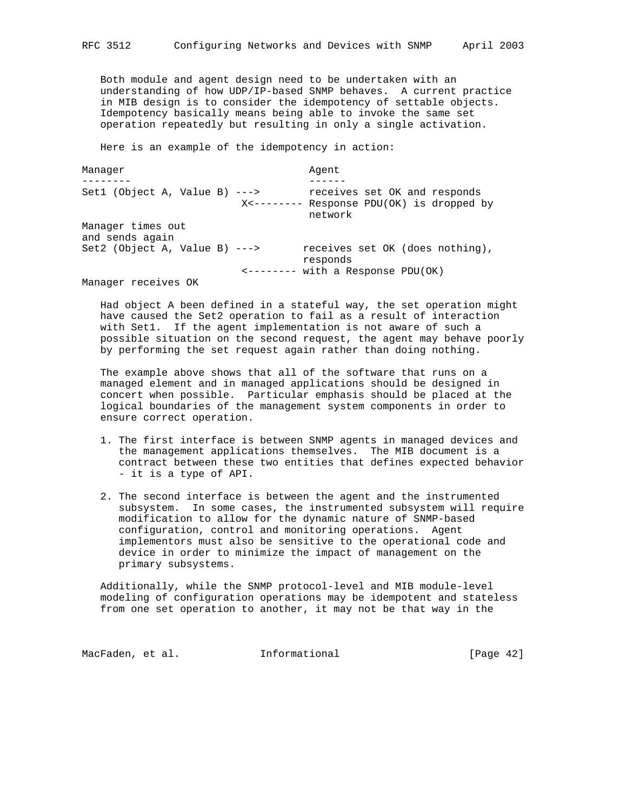Both module and agent design need to be undertaken with an understanding of how UDP/IP-based SNMP behaves. A current practice in MIB design is to consider the idempotency of settable objects. Idempotency basically means being able to invoke the same set operation repeatedly but resulting in only a single activation.

Here is an example of the idempotency in action:

Manager **Agent** Agent -------- ------ Set1 (Object A, Value B) ---> receives set OK and responds X<-------- Response PDU(OK) is dropped by network Manager times out and sends again Set2 (Object A, Value B) ---> receives set OK (does nothing), responds <-------- with a Response PDU(OK)

Manager receives OK

 Had object A been defined in a stateful way, the set operation might have caused the Set2 operation to fail as a result of interaction with Set1. If the agent implementation is not aware of such a possible situation on the second request, the agent may behave poorly by performing the set request again rather than doing nothing.

 The example above shows that all of the software that runs on a managed element and in managed applications should be designed in concert when possible. Particular emphasis should be placed at the logical boundaries of the management system components in order to ensure correct operation.

- 1. The first interface is between SNMP agents in managed devices and the management applications themselves. The MIB document is a contract between these two entities that defines expected behavior - it is a type of API.
- 2. The second interface is between the agent and the instrumented subsystem. In some cases, the instrumented subsystem will require modification to allow for the dynamic nature of SNMP-based configuration, control and monitoring operations. Agent implementors must also be sensitive to the operational code and device in order to minimize the impact of management on the primary subsystems.

 Additionally, while the SNMP protocol-level and MIB module-level modeling of configuration operations may be idempotent and stateless from one set operation to another, it may not be that way in the

MacFaden, et al. 1nformational 1999 [Page 42]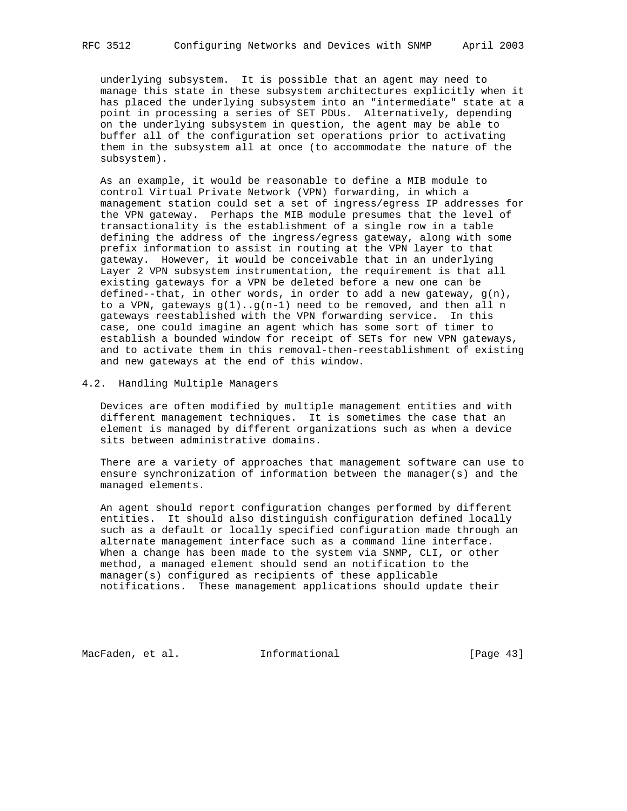underlying subsystem. It is possible that an agent may need to manage this state in these subsystem architectures explicitly when it has placed the underlying subsystem into an "intermediate" state at a point in processing a series of SET PDUs. Alternatively, depending on the underlying subsystem in question, the agent may be able to buffer all of the configuration set operations prior to activating them in the subsystem all at once (to accommodate the nature of the subsystem).

 As an example, it would be reasonable to define a MIB module to control Virtual Private Network (VPN) forwarding, in which a management station could set a set of ingress/egress IP addresses for the VPN gateway. Perhaps the MIB module presumes that the level of transactionality is the establishment of a single row in a table defining the address of the ingress/egress gateway, along with some prefix information to assist in routing at the VPN layer to that gateway. However, it would be conceivable that in an underlying Layer 2 VPN subsystem instrumentation, the requirement is that all existing gateways for a VPN be deleted before a new one can be defined--that, in other words, in order to add a new gateway,  $g(n)$ , to a VPN, gateways  $g(1) \cdot g(n-1)$  need to be removed, and then all n gateways reestablished with the VPN forwarding service. In this case, one could imagine an agent which has some sort of timer to establish a bounded window for receipt of SETs for new VPN gateways, and to activate them in this removal-then-reestablishment of existing and new gateways at the end of this window.

4.2. Handling Multiple Managers

 Devices are often modified by multiple management entities and with different management techniques. It is sometimes the case that an element is managed by different organizations such as when a device sits between administrative domains.

 There are a variety of approaches that management software can use to ensure synchronization of information between the manager(s) and the managed elements.

 An agent should report configuration changes performed by different entities. It should also distinguish configuration defined locally such as a default or locally specified configuration made through an alternate management interface such as a command line interface. When a change has been made to the system via SNMP, CLI, or other method, a managed element should send an notification to the manager(s) configured as recipients of these applicable notifications. These management applications should update their

MacFaden, et al. 1nformational [Page 43]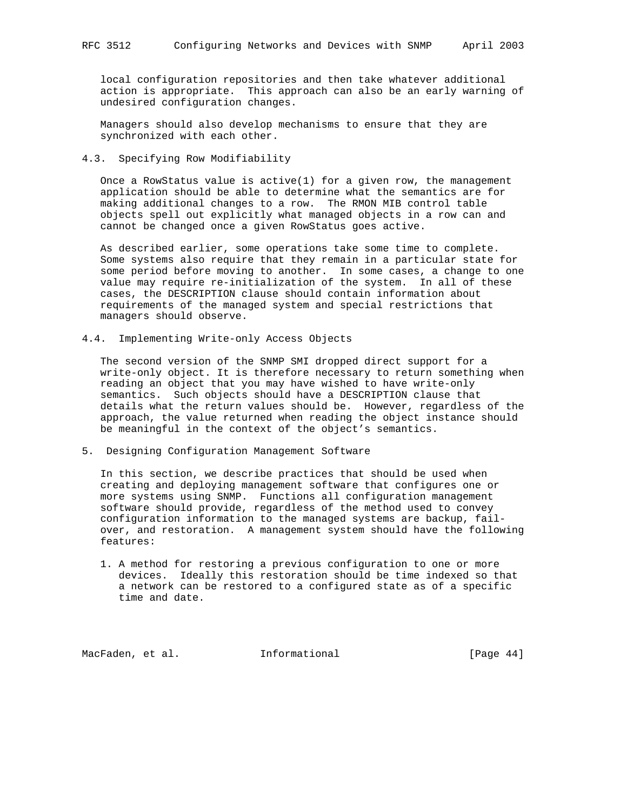local configuration repositories and then take whatever additional action is appropriate. This approach can also be an early warning of undesired configuration changes.

 Managers should also develop mechanisms to ensure that they are synchronized with each other.

## 4.3. Specifying Row Modifiability

Once a RowStatus value is  $active(1)$  for a given row, the management application should be able to determine what the semantics are for making additional changes to a row. The RMON MIB control table objects spell out explicitly what managed objects in a row can and cannot be changed once a given RowStatus goes active.

 As described earlier, some operations take some time to complete. Some systems also require that they remain in a particular state for some period before moving to another. In some cases, a change to one value may require re-initialization of the system. In all of these cases, the DESCRIPTION clause should contain information about requirements of the managed system and special restrictions that managers should observe.

4.4. Implementing Write-only Access Objects

 The second version of the SNMP SMI dropped direct support for a write-only object. It is therefore necessary to return something when reading an object that you may have wished to have write-only semantics. Such objects should have a DESCRIPTION clause that details what the return values should be. However, regardless of the approach, the value returned when reading the object instance should be meaningful in the context of the object's semantics.

5. Designing Configuration Management Software

 In this section, we describe practices that should be used when creating and deploying management software that configures one or more systems using SNMP. Functions all configuration management software should provide, regardless of the method used to convey configuration information to the managed systems are backup, fail over, and restoration. A management system should have the following features:

 1. A method for restoring a previous configuration to one or more devices. Ideally this restoration should be time indexed so that a network can be restored to a configured state as of a specific time and date.

MacFaden, et al. **Informational** [Page 44]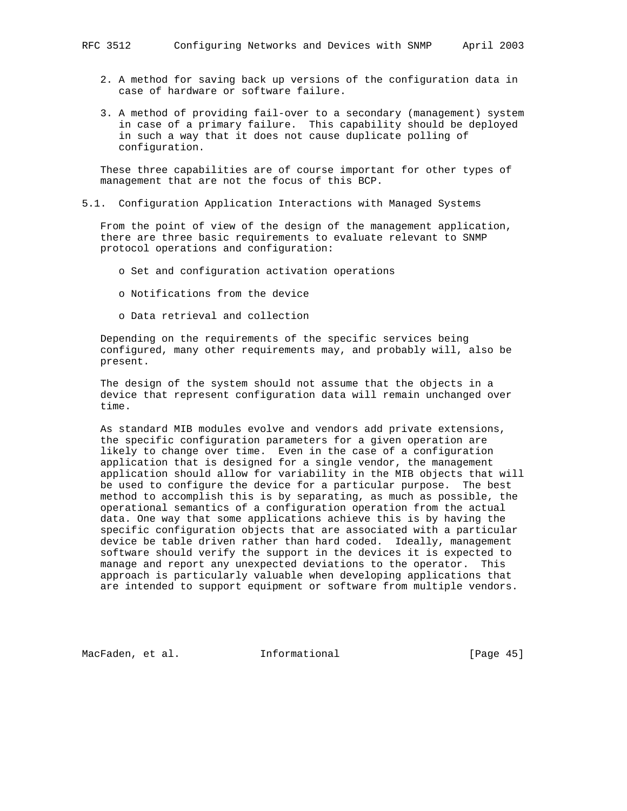- 2. A method for saving back up versions of the configuration data in case of hardware or software failure.
- 3. A method of providing fail-over to a secondary (management) system in case of a primary failure. This capability should be deployed in such a way that it does not cause duplicate polling of configuration.

 These three capabilities are of course important for other types of management that are not the focus of this BCP.

### 5.1. Configuration Application Interactions with Managed Systems

 From the point of view of the design of the management application, there are three basic requirements to evaluate relevant to SNMP protocol operations and configuration:

- o Set and configuration activation operations
- o Notifications from the device
- o Data retrieval and collection

 Depending on the requirements of the specific services being configured, many other requirements may, and probably will, also be present.

 The design of the system should not assume that the objects in a device that represent configuration data will remain unchanged over time.

 As standard MIB modules evolve and vendors add private extensions, the specific configuration parameters for a given operation are likely to change over time. Even in the case of a configuration application that is designed for a single vendor, the management application should allow for variability in the MIB objects that will be used to configure the device for a particular purpose. The best method to accomplish this is by separating, as much as possible, the operational semantics of a configuration operation from the actual data. One way that some applications achieve this is by having the specific configuration objects that are associated with a particular device be table driven rather than hard coded. Ideally, management software should verify the support in the devices it is expected to manage and report any unexpected deviations to the operator. This approach is particularly valuable when developing applications that are intended to support equipment or software from multiple vendors.

MacFaden, et al. 1nformational [Page 45]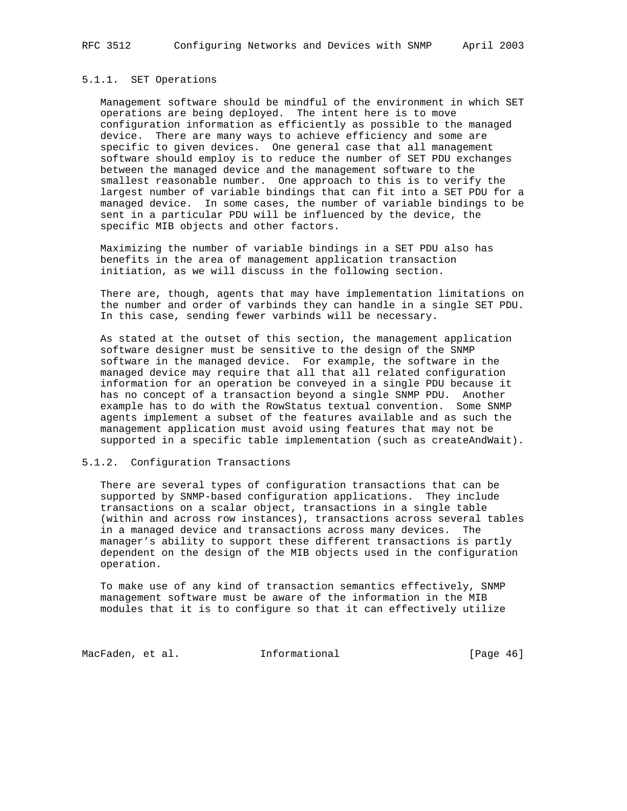### 5.1.1. SET Operations

 Management software should be mindful of the environment in which SET operations are being deployed. The intent here is to move configuration information as efficiently as possible to the managed device. There are many ways to achieve efficiency and some are specific to given devices. One general case that all management software should employ is to reduce the number of SET PDU exchanges between the managed device and the management software to the smallest reasonable number. One approach to this is to verify the largest number of variable bindings that can fit into a SET PDU for a managed device. In some cases, the number of variable bindings to be sent in a particular PDU will be influenced by the device, the specific MIB objects and other factors.

 Maximizing the number of variable bindings in a SET PDU also has benefits in the area of management application transaction initiation, as we will discuss in the following section.

 There are, though, agents that may have implementation limitations on the number and order of varbinds they can handle in a single SET PDU. In this case, sending fewer varbinds will be necessary.

 As stated at the outset of this section, the management application software designer must be sensitive to the design of the SNMP software in the managed device. For example, the software in the managed device may require that all that all related configuration information for an operation be conveyed in a single PDU because it has no concept of a transaction beyond a single SNMP PDU. Another example has to do with the RowStatus textual convention. Some SNMP agents implement a subset of the features available and as such the management application must avoid using features that may not be supported in a specific table implementation (such as createAndWait).

## 5.1.2. Configuration Transactions

 There are several types of configuration transactions that can be supported by SNMP-based configuration applications. They include transactions on a scalar object, transactions in a single table (within and across row instances), transactions across several tables in a managed device and transactions across many devices. The manager's ability to support these different transactions is partly dependent on the design of the MIB objects used in the configuration operation.

 To make use of any kind of transaction semantics effectively, SNMP management software must be aware of the information in the MIB modules that it is to configure so that it can effectively utilize

MacFaden, et al. 1nformational 1998 [Page 46]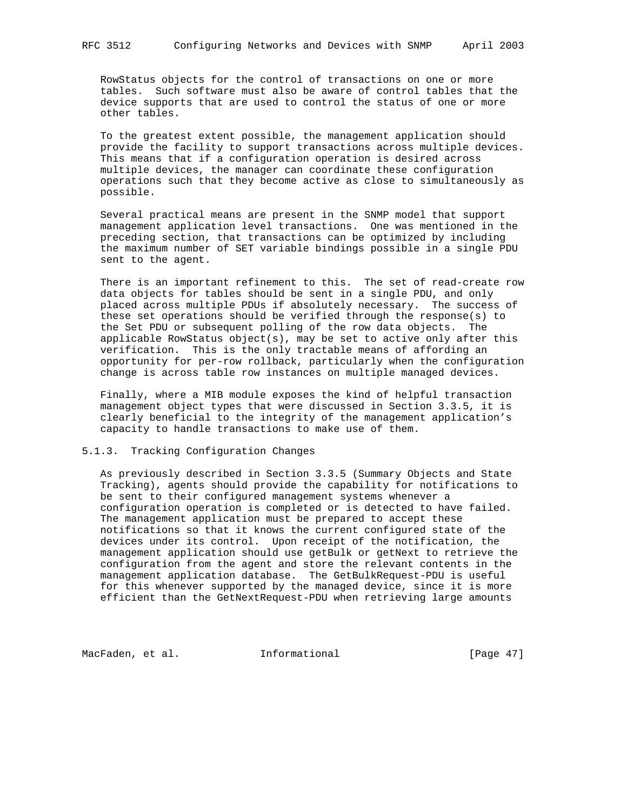RowStatus objects for the control of transactions on one or more tables. Such software must also be aware of control tables that the device supports that are used to control the status of one or more other tables.

 To the greatest extent possible, the management application should provide the facility to support transactions across multiple devices. This means that if a configuration operation is desired across multiple devices, the manager can coordinate these configuration operations such that they become active as close to simultaneously as possible.

 Several practical means are present in the SNMP model that support management application level transactions. One was mentioned in the preceding section, that transactions can be optimized by including the maximum number of SET variable bindings possible in a single PDU sent to the agent.

 There is an important refinement to this. The set of read-create row data objects for tables should be sent in a single PDU, and only placed across multiple PDUs if absolutely necessary. The success of these set operations should be verified through the response(s) to the Set PDU or subsequent polling of the row data objects. The applicable RowStatus object(s), may be set to active only after this verification. This is the only tractable means of affording an opportunity for per-row rollback, particularly when the configuration change is across table row instances on multiple managed devices.

 Finally, where a MIB module exposes the kind of helpful transaction management object types that were discussed in Section 3.3.5, it is clearly beneficial to the integrity of the management application's capacity to handle transactions to make use of them.

### 5.1.3. Tracking Configuration Changes

 As previously described in Section 3.3.5 (Summary Objects and State Tracking), agents should provide the capability for notifications to be sent to their configured management systems whenever a configuration operation is completed or is detected to have failed. The management application must be prepared to accept these notifications so that it knows the current configured state of the devices under its control. Upon receipt of the notification, the management application should use getBulk or getNext to retrieve the configuration from the agent and store the relevant contents in the management application database. The GetBulkRequest-PDU is useful for this whenever supported by the managed device, since it is more efficient than the GetNextRequest-PDU when retrieving large amounts

MacFaden, et al. 1nformational 1999 [Page 47]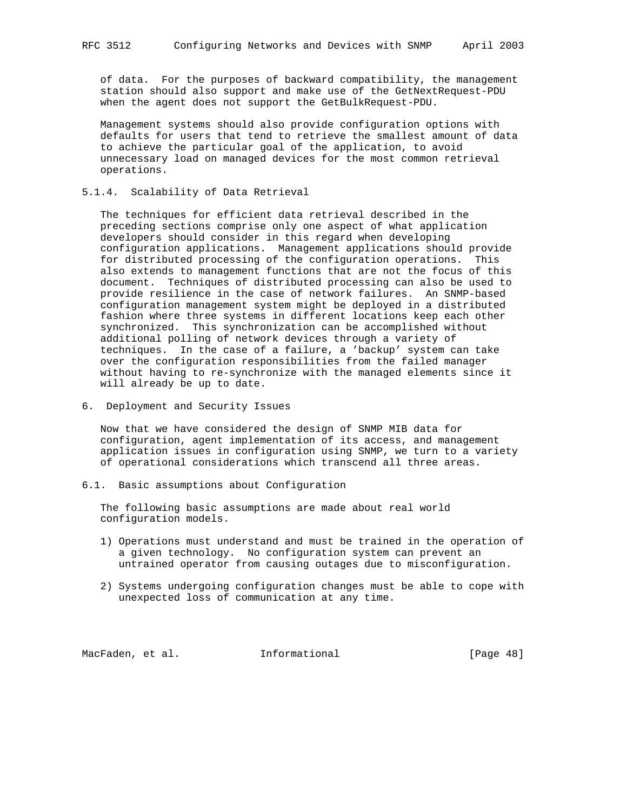of data. For the purposes of backward compatibility, the management station should also support and make use of the GetNextRequest-PDU when the agent does not support the GetBulkRequest-PDU.

 Management systems should also provide configuration options with defaults for users that tend to retrieve the smallest amount of data to achieve the particular goal of the application, to avoid unnecessary load on managed devices for the most common retrieval operations.

5.1.4. Scalability of Data Retrieval

 The techniques for efficient data retrieval described in the preceding sections comprise only one aspect of what application developers should consider in this regard when developing configuration applications. Management applications should provide for distributed processing of the configuration operations. This also extends to management functions that are not the focus of this document. Techniques of distributed processing can also be used to provide resilience in the case of network failures. An SNMP-based configuration management system might be deployed in a distributed fashion where three systems in different locations keep each other synchronized. This synchronization can be accomplished without additional polling of network devices through a variety of techniques. In the case of a failure, a 'backup' system can take over the configuration responsibilities from the failed manager without having to re-synchronize with the managed elements since it will already be up to date.

6. Deployment and Security Issues

 Now that we have considered the design of SNMP MIB data for configuration, agent implementation of its access, and management application issues in configuration using SNMP, we turn to a variety of operational considerations which transcend all three areas.

6.1. Basic assumptions about Configuration

 The following basic assumptions are made about real world configuration models.

- 1) Operations must understand and must be trained in the operation of a given technology. No configuration system can prevent an untrained operator from causing outages due to misconfiguration.
- 2) Systems undergoing configuration changes must be able to cope with unexpected loss of communication at any time.

MacFaden, et al. 1nformational 1999 [Page 48]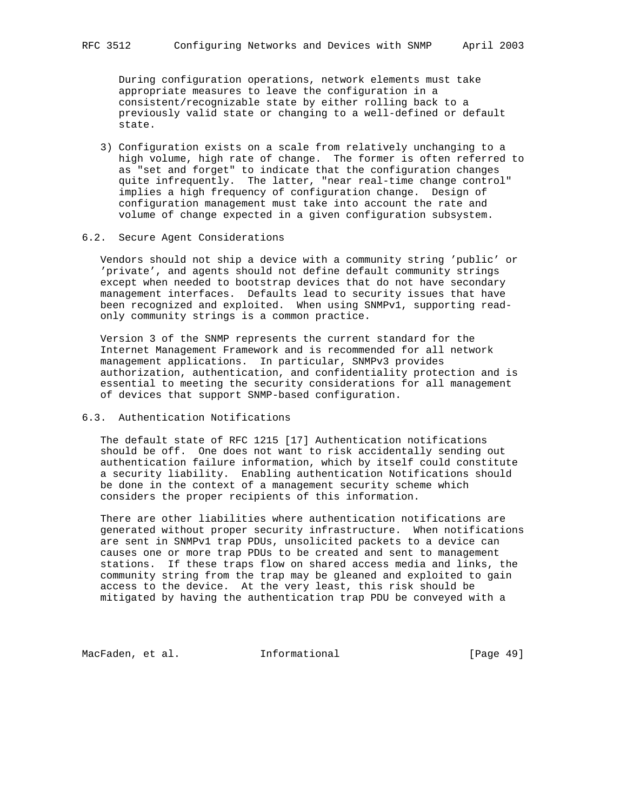During configuration operations, network elements must take appropriate measures to leave the configuration in a consistent/recognizable state by either rolling back to a previously valid state or changing to a well-defined or default state.

 3) Configuration exists on a scale from relatively unchanging to a high volume, high rate of change. The former is often referred to as "set and forget" to indicate that the configuration changes quite infrequently. The latter, "near real-time change control" implies a high frequency of configuration change. Design of configuration management must take into account the rate and volume of change expected in a given configuration subsystem.

### 6.2. Secure Agent Considerations

 Vendors should not ship a device with a community string 'public' or 'private', and agents should not define default community strings except when needed to bootstrap devices that do not have secondary management interfaces. Defaults lead to security issues that have been recognized and exploited. When using SNMPv1, supporting read only community strings is a common practice.

 Version 3 of the SNMP represents the current standard for the Internet Management Framework and is recommended for all network management applications. In particular, SNMPv3 provides authorization, authentication, and confidentiality protection and is essential to meeting the security considerations for all management of devices that support SNMP-based configuration.

# 6.3. Authentication Notifications

 The default state of RFC 1215 [17] Authentication notifications should be off. One does not want to risk accidentally sending out authentication failure information, which by itself could constitute a security liability. Enabling authentication Notifications should be done in the context of a management security scheme which considers the proper recipients of this information.

 There are other liabilities where authentication notifications are generated without proper security infrastructure. When notifications are sent in SNMPv1 trap PDUs, unsolicited packets to a device can causes one or more trap PDUs to be created and sent to management stations. If these traps flow on shared access media and links, the community string from the trap may be gleaned and exploited to gain access to the device. At the very least, this risk should be mitigated by having the authentication trap PDU be conveyed with a

MacFaden, et al. **Informational** [Page 49]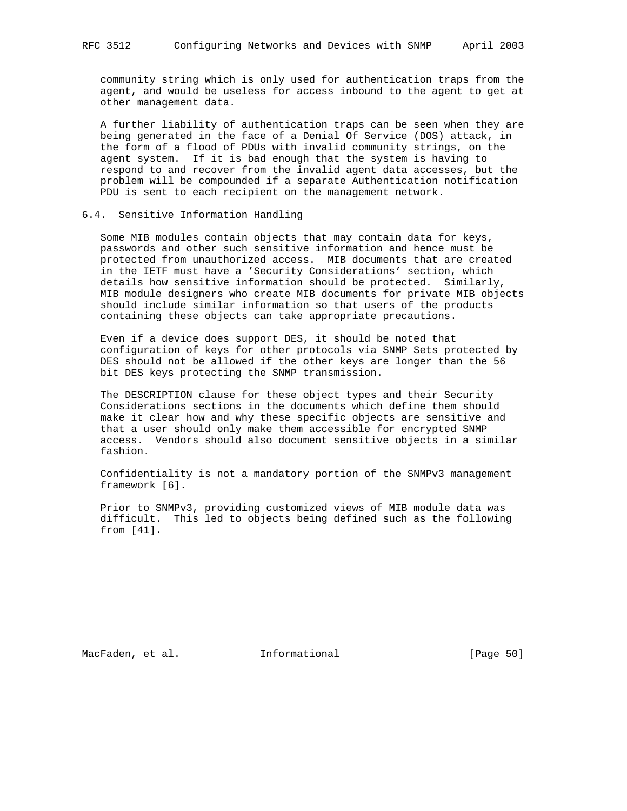community string which is only used for authentication traps from the agent, and would be useless for access inbound to the agent to get at other management data.

 A further liability of authentication traps can be seen when they are being generated in the face of a Denial Of Service (DOS) attack, in the form of a flood of PDUs with invalid community strings, on the agent system. If it is bad enough that the system is having to respond to and recover from the invalid agent data accesses, but the problem will be compounded if a separate Authentication notification PDU is sent to each recipient on the management network.

### 6.4. Sensitive Information Handling

 Some MIB modules contain objects that may contain data for keys, passwords and other such sensitive information and hence must be protected from unauthorized access. MIB documents that are created in the IETF must have a 'Security Considerations' section, which details how sensitive information should be protected. Similarly, MIB module designers who create MIB documents for private MIB objects should include similar information so that users of the products containing these objects can take appropriate precautions.

 Even if a device does support DES, it should be noted that configuration of keys for other protocols via SNMP Sets protected by DES should not be allowed if the other keys are longer than the 56 bit DES keys protecting the SNMP transmission.

 The DESCRIPTION clause for these object types and their Security Considerations sections in the documents which define them should make it clear how and why these specific objects are sensitive and that a user should only make them accessible for encrypted SNMP access. Vendors should also document sensitive objects in a similar fashion.

 Confidentiality is not a mandatory portion of the SNMPv3 management framework [6].

 Prior to SNMPv3, providing customized views of MIB module data was difficult. This led to objects being defined such as the following from [41].

MacFaden, et al. 1nformational 1999 [Page 50]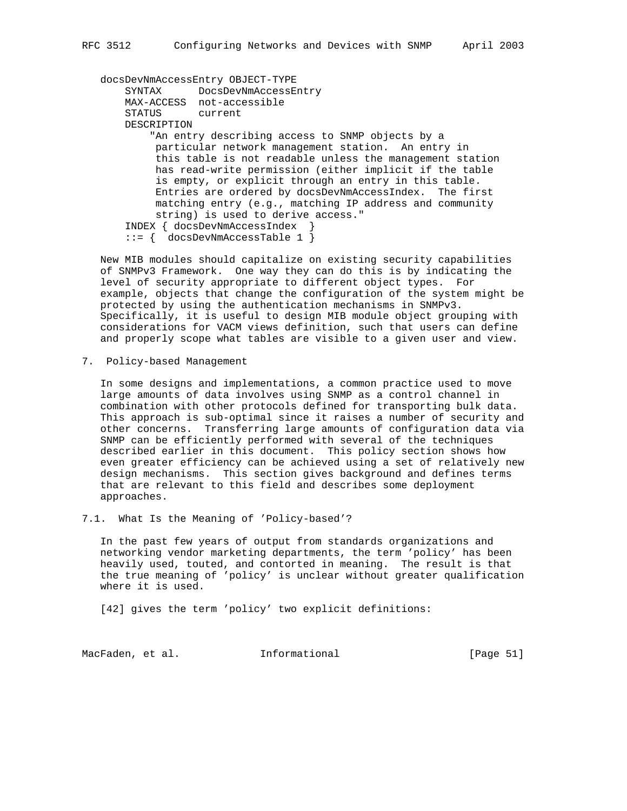docsDevNmAccessEntry OBJECT-TYPE SYNTAX DocsDevNmAccessEntry MAX-ACCESS not-accessible STATUS current DESCRIPTION "An entry describing access to SNMP objects by a particular network management station. An entry in this table is not readable unless the management station has read-write permission (either implicit if the table is empty, or explicit through an entry in this table. Entries are ordered by docsDevNmAccessIndex. The first matching entry (e.g., matching IP address and community string) is used to derive access." INDEX { docsDevNmAccessIndex } ::= { docsDevNmAccessTable 1 }

 New MIB modules should capitalize on existing security capabilities of SNMPv3 Framework. One way they can do this is by indicating the level of security appropriate to different object types. For example, objects that change the configuration of the system might be protected by using the authentication mechanisms in SNMPv3. Specifically, it is useful to design MIB module object grouping with considerations for VACM views definition, such that users can define and properly scope what tables are visible to a given user and view.

7. Policy-based Management

 In some designs and implementations, a common practice used to move large amounts of data involves using SNMP as a control channel in combination with other protocols defined for transporting bulk data. This approach is sub-optimal since it raises a number of security and other concerns. Transferring large amounts of configuration data via SNMP can be efficiently performed with several of the techniques described earlier in this document. This policy section shows how even greater efficiency can be achieved using a set of relatively new design mechanisms. This section gives background and defines terms that are relevant to this field and describes some deployment approaches.

7.1. What Is the Meaning of 'Policy-based'?

 In the past few years of output from standards organizations and networking vendor marketing departments, the term 'policy' has been heavily used, touted, and contorted in meaning. The result is that the true meaning of 'policy' is unclear without greater qualification where it is used.

[42] gives the term 'policy' two explicit definitions:

MacFaden, et al. 1nformational 1999 [Page 51]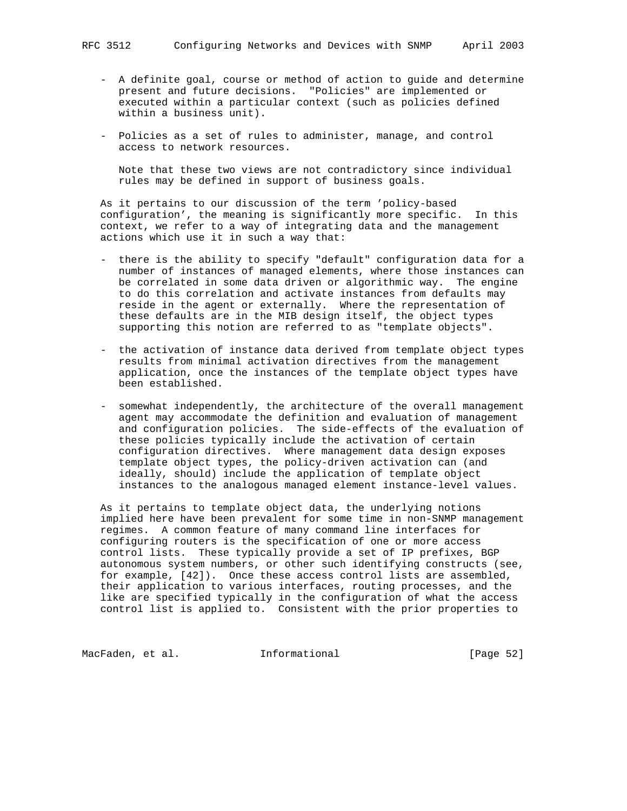- A definite goal, course or method of action to guide and determine present and future decisions. "Policies" are implemented or executed within a particular context (such as policies defined within a business unit).
- Policies as a set of rules to administer, manage, and control access to network resources.

 Note that these two views are not contradictory since individual rules may be defined in support of business goals.

 As it pertains to our discussion of the term 'policy-based configuration', the meaning is significantly more specific. In this context, we refer to a way of integrating data and the management actions which use it in such a way that:

- there is the ability to specify "default" configuration data for a number of instances of managed elements, where those instances can be correlated in some data driven or algorithmic way. The engine to do this correlation and activate instances from defaults may reside in the agent or externally. Where the representation of these defaults are in the MIB design itself, the object types supporting this notion are referred to as "template objects".
- the activation of instance data derived from template object types results from minimal activation directives from the management application, once the instances of the template object types have been established.
- somewhat independently, the architecture of the overall management agent may accommodate the definition and evaluation of management and configuration policies. The side-effects of the evaluation of these policies typically include the activation of certain configuration directives. Where management data design exposes template object types, the policy-driven activation can (and ideally, should) include the application of template object instances to the analogous managed element instance-level values.

 As it pertains to template object data, the underlying notions implied here have been prevalent for some time in non-SNMP management regimes. A common feature of many command line interfaces for configuring routers is the specification of one or more access control lists. These typically provide a set of IP prefixes, BGP autonomous system numbers, or other such identifying constructs (see, for example, [42]). Once these access control lists are assembled, their application to various interfaces, routing processes, and the like are specified typically in the configuration of what the access control list is applied to. Consistent with the prior properties to

MacFaden, et al. 1nformational 1999 [Page 52]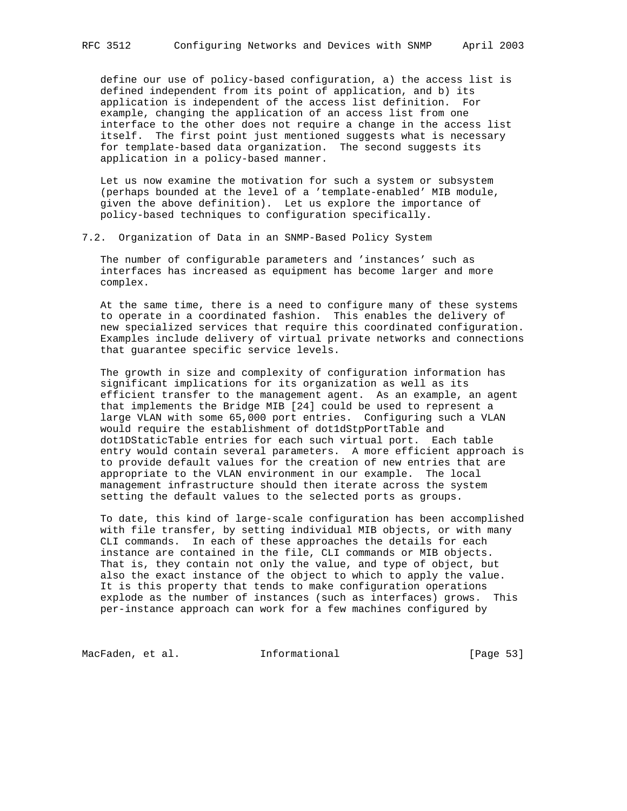define our use of policy-based configuration, a) the access list is defined independent from its point of application, and b) its application is independent of the access list definition. For example, changing the application of an access list from one interface to the other does not require a change in the access list itself. The first point just mentioned suggests what is necessary for template-based data organization. The second suggests its application in a policy-based manner.

 Let us now examine the motivation for such a system or subsystem (perhaps bounded at the level of a 'template-enabled' MIB module, given the above definition). Let us explore the importance of policy-based techniques to configuration specifically.

### 7.2. Organization of Data in an SNMP-Based Policy System

 The number of configurable parameters and 'instances' such as interfaces has increased as equipment has become larger and more complex.

 At the same time, there is a need to configure many of these systems to operate in a coordinated fashion. This enables the delivery of new specialized services that require this coordinated configuration. Examples include delivery of virtual private networks and connections that guarantee specific service levels.

 The growth in size and complexity of configuration information has significant implications for its organization as well as its efficient transfer to the management agent. As an example, an agent that implements the Bridge MIB [24] could be used to represent a large VLAN with some 65,000 port entries. Configuring such a VLAN would require the establishment of dot1dStpPortTable and dot1DStaticTable entries for each such virtual port. Each table entry would contain several parameters. A more efficient approach is to provide default values for the creation of new entries that are appropriate to the VLAN environment in our example. The local management infrastructure should then iterate across the system setting the default values to the selected ports as groups.

 To date, this kind of large-scale configuration has been accomplished with file transfer, by setting individual MIB objects, or with many CLI commands. In each of these approaches the details for each instance are contained in the file, CLI commands or MIB objects. That is, they contain not only the value, and type of object, but also the exact instance of the object to which to apply the value. It is this property that tends to make configuration operations explode as the number of instances (such as interfaces) grows. This per-instance approach can work for a few machines configured by

MacFaden, et al. 1nformational 1999 [Page 53]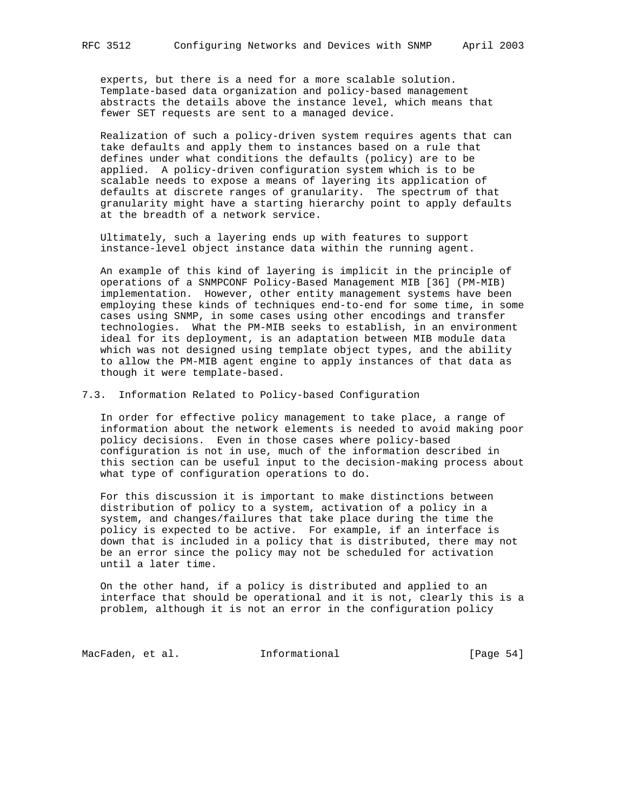experts, but there is a need for a more scalable solution. Template-based data organization and policy-based management abstracts the details above the instance level, which means that fewer SET requests are sent to a managed device.

 Realization of such a policy-driven system requires agents that can take defaults and apply them to instances based on a rule that defines under what conditions the defaults (policy) are to be applied. A policy-driven configuration system which is to be scalable needs to expose a means of layering its application of defaults at discrete ranges of granularity. The spectrum of that granularity might have a starting hierarchy point to apply defaults at the breadth of a network service.

 Ultimately, such a layering ends up with features to support instance-level object instance data within the running agent.

 An example of this kind of layering is implicit in the principle of operations of a SNMPCONF Policy-Based Management MIB [36] (PM-MIB) implementation. However, other entity management systems have been employing these kinds of techniques end-to-end for some time, in some cases using SNMP, in some cases using other encodings and transfer technologies. What the PM-MIB seeks to establish, in an environment ideal for its deployment, is an adaptation between MIB module data which was not designed using template object types, and the ability to allow the PM-MIB agent engine to apply instances of that data as though it were template-based.

7.3. Information Related to Policy-based Configuration

 In order for effective policy management to take place, a range of information about the network elements is needed to avoid making poor policy decisions. Even in those cases where policy-based configuration is not in use, much of the information described in this section can be useful input to the decision-making process about what type of configuration operations to do.

 For this discussion it is important to make distinctions between distribution of policy to a system, activation of a policy in a system, and changes/failures that take place during the time the policy is expected to be active. For example, if an interface is down that is included in a policy that is distributed, there may not be an error since the policy may not be scheduled for activation until a later time.

 On the other hand, if a policy is distributed and applied to an interface that should be operational and it is not, clearly this is a problem, although it is not an error in the configuration policy

MacFaden, et al. 1nformational 1999 [Page 54]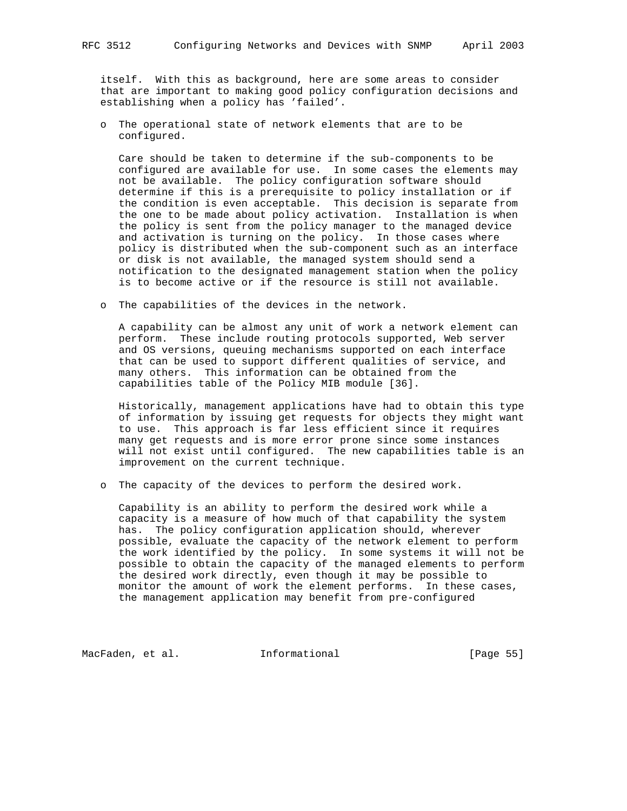itself. With this as background, here are some areas to consider that are important to making good policy configuration decisions and establishing when a policy has 'failed'.

 o The operational state of network elements that are to be configured.

 Care should be taken to determine if the sub-components to be configured are available for use. In some cases the elements may not be available. The policy configuration software should determine if this is a prerequisite to policy installation or if the condition is even acceptable. This decision is separate from the one to be made about policy activation. Installation is when the policy is sent from the policy manager to the managed device and activation is turning on the policy. In those cases where policy is distributed when the sub-component such as an interface or disk is not available, the managed system should send a notification to the designated management station when the policy is to become active or if the resource is still not available.

o The capabilities of the devices in the network.

 A capability can be almost any unit of work a network element can perform. These include routing protocols supported, Web server and OS versions, queuing mechanisms supported on each interface that can be used to support different qualities of service, and many others. This information can be obtained from the capabilities table of the Policy MIB module [36].

 Historically, management applications have had to obtain this type of information by issuing get requests for objects they might want to use. This approach is far less efficient since it requires many get requests and is more error prone since some instances will not exist until configured. The new capabilities table is an improvement on the current technique.

o The capacity of the devices to perform the desired work.

 Capability is an ability to perform the desired work while a capacity is a measure of how much of that capability the system has. The policy configuration application should, wherever possible, evaluate the capacity of the network element to perform the work identified by the policy. In some systems it will not be possible to obtain the capacity of the managed elements to perform the desired work directly, even though it may be possible to monitor the amount of work the element performs. In these cases, the management application may benefit from pre-configured

MacFaden, et al. 1nformational 1999 [Page 55]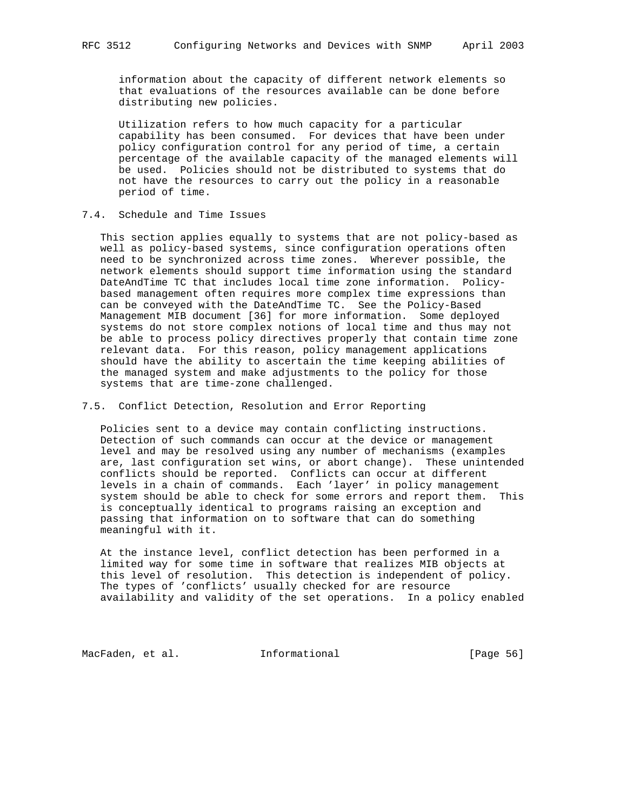information about the capacity of different network elements so that evaluations of the resources available can be done before distributing new policies.

 Utilization refers to how much capacity for a particular capability has been consumed. For devices that have been under policy configuration control for any period of time, a certain percentage of the available capacity of the managed elements will be used. Policies should not be distributed to systems that do not have the resources to carry out the policy in a reasonable period of time.

## 7.4. Schedule and Time Issues

 This section applies equally to systems that are not policy-based as well as policy-based systems, since configuration operations often need to be synchronized across time zones. Wherever possible, the network elements should support time information using the standard DateAndTime TC that includes local time zone information. Policy based management often requires more complex time expressions than can be conveyed with the DateAndTime TC. See the Policy-Based Management MIB document [36] for more information. Some deployed systems do not store complex notions of local time and thus may not be able to process policy directives properly that contain time zone relevant data. For this reason, policy management applications should have the ability to ascertain the time keeping abilities of the managed system and make adjustments to the policy for those systems that are time-zone challenged.

## 7.5. Conflict Detection, Resolution and Error Reporting

 Policies sent to a device may contain conflicting instructions. Detection of such commands can occur at the device or management level and may be resolved using any number of mechanisms (examples are, last configuration set wins, or abort change). These unintended conflicts should be reported. Conflicts can occur at different levels in a chain of commands. Each 'layer' in policy management system should be able to check for some errors and report them. This is conceptually identical to programs raising an exception and passing that information on to software that can do something meaningful with it.

 At the instance level, conflict detection has been performed in a limited way for some time in software that realizes MIB objects at this level of resolution. This detection is independent of policy. The types of 'conflicts' usually checked for are resource availability and validity of the set operations. In a policy enabled

MacFaden, et al. 1nformational 1999 [Page 56]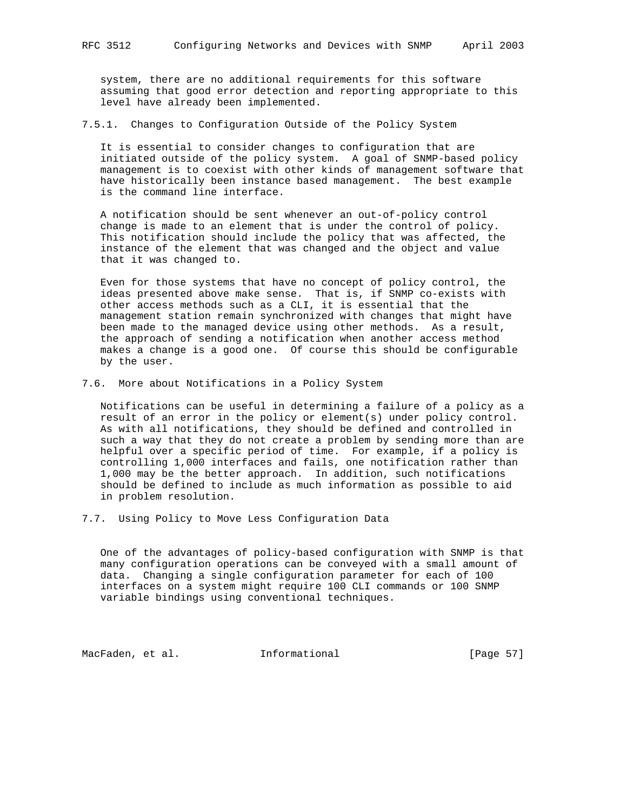system, there are no additional requirements for this software assuming that good error detection and reporting appropriate to this level have already been implemented.

7.5.1. Changes to Configuration Outside of the Policy System

 It is essential to consider changes to configuration that are initiated outside of the policy system. A goal of SNMP-based policy management is to coexist with other kinds of management software that have historically been instance based management. The best example is the command line interface.

 A notification should be sent whenever an out-of-policy control change is made to an element that is under the control of policy. This notification should include the policy that was affected, the instance of the element that was changed and the object and value that it was changed to.

 Even for those systems that have no concept of policy control, the ideas presented above make sense. That is, if SNMP co-exists with other access methods such as a CLI, it is essential that the management station remain synchronized with changes that might have been made to the managed device using other methods. As a result, the approach of sending a notification when another access method makes a change is a good one. Of course this should be configurable by the user.

7.6. More about Notifications in a Policy System

 Notifications can be useful in determining a failure of a policy as a result of an error in the policy or element(s) under policy control. As with all notifications, they should be defined and controlled in such a way that they do not create a problem by sending more than are helpful over a specific period of time. For example, if a policy is controlling 1,000 interfaces and fails, one notification rather than 1,000 may be the better approach. In addition, such notifications should be defined to include as much information as possible to aid in problem resolution.

7.7. Using Policy to Move Less Configuration Data

 One of the advantages of policy-based configuration with SNMP is that many configuration operations can be conveyed with a small amount of data. Changing a single configuration parameter for each of 100 interfaces on a system might require 100 CLI commands or 100 SNMP variable bindings using conventional techniques.

MacFaden, et al. 1nformational 1999 [Page 57]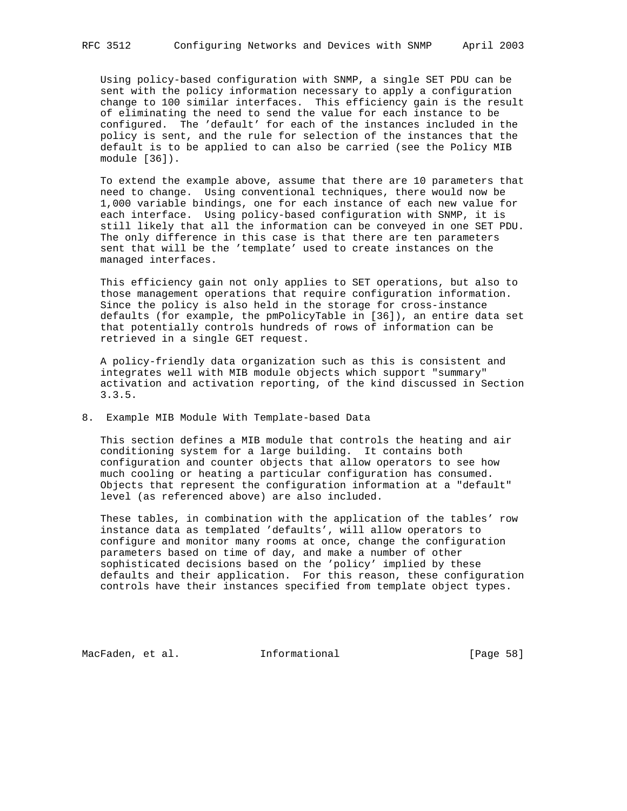Using policy-based configuration with SNMP, a single SET PDU can be sent with the policy information necessary to apply a configuration change to 100 similar interfaces. This efficiency gain is the result of eliminating the need to send the value for each instance to be configured. The 'default' for each of the instances included in the policy is sent, and the rule for selection of the instances that the default is to be applied to can also be carried (see the Policy MIB module [36]).

 To extend the example above, assume that there are 10 parameters that need to change. Using conventional techniques, there would now be 1,000 variable bindings, one for each instance of each new value for each interface. Using policy-based configuration with SNMP, it is still likely that all the information can be conveyed in one SET PDU. The only difference in this case is that there are ten parameters sent that will be the 'template' used to create instances on the managed interfaces.

 This efficiency gain not only applies to SET operations, but also to those management operations that require configuration information. Since the policy is also held in the storage for cross-instance defaults (for example, the pmPolicyTable in [36]), an entire data set that potentially controls hundreds of rows of information can be retrieved in a single GET request.

 A policy-friendly data organization such as this is consistent and integrates well with MIB module objects which support "summary" activation and activation reporting, of the kind discussed in Section 3.3.5.

#### 8. Example MIB Module With Template-based Data

 This section defines a MIB module that controls the heating and air conditioning system for a large building. It contains both configuration and counter objects that allow operators to see how much cooling or heating a particular configuration has consumed. Objects that represent the configuration information at a "default" level (as referenced above) are also included.

 These tables, in combination with the application of the tables' row instance data as templated 'defaults', will allow operators to configure and monitor many rooms at once, change the configuration parameters based on time of day, and make a number of other sophisticated decisions based on the 'policy' implied by these defaults and their application. For this reason, these configuration controls have their instances specified from template object types.

MacFaden, et al. **Informational** [Page 58]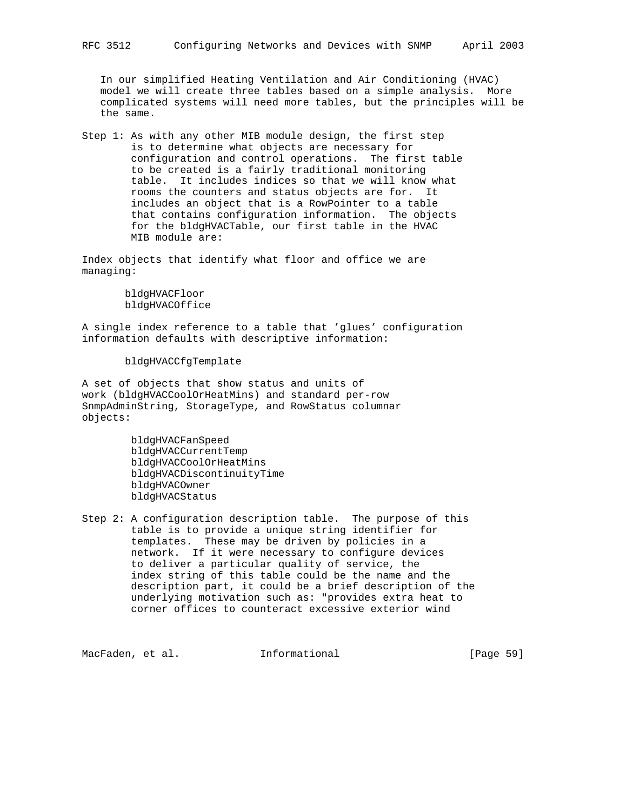Step 1: As with any other MIB module design, the first step is to determine what objects are necessary for configuration and control operations. The first table to be created is a fairly traditional monitoring table. It includes indices so that we will know what rooms the counters and status objects are for. It includes an object that is a RowPointer to a table that contains configuration information. The objects for the bldgHVACTable, our first table in the HVAC MIB module are:

Index objects that identify what floor and office we are managing:

> bldgHVACFloor bldgHVACOffice

A single index reference to a table that 'glues' configuration information defaults with descriptive information:

bldgHVACCfgTemplate

A set of objects that show status and units of work (bldgHVACCoolOrHeatMins) and standard per-row SnmpAdminString, StorageType, and RowStatus columnar objects:

> bldgHVACFanSpeed bldgHVACCurrentTemp bldgHVACCoolOrHeatMins bldgHVACDiscontinuityTime bldgHVACOwner bldgHVACStatus

Step 2: A configuration description table. The purpose of this table is to provide a unique string identifier for templates. These may be driven by policies in a network. If it were necessary to configure devices to deliver a particular quality of service, the index string of this table could be the name and the description part, it could be a brief description of the underlying motivation such as: "provides extra heat to corner offices to counteract excessive exterior wind

MacFaden, et al. 1nformational [Page 59]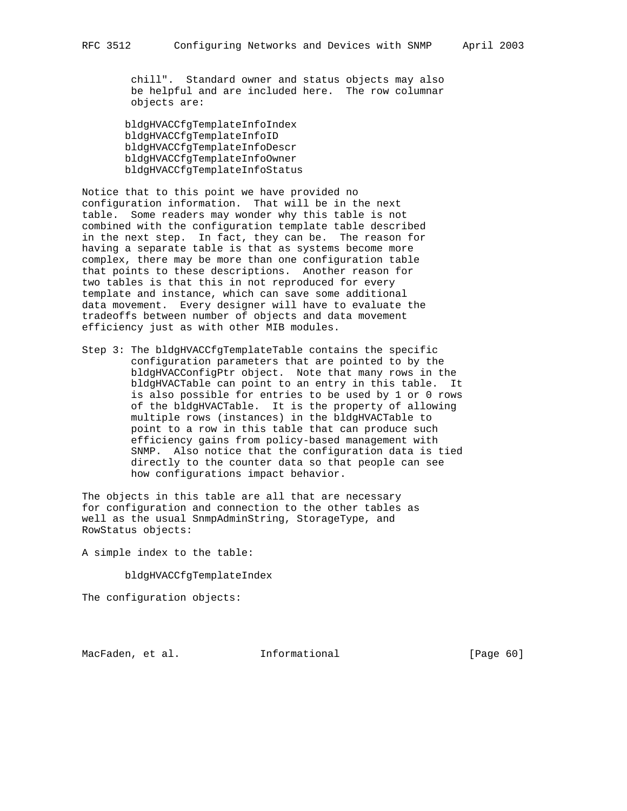chill". Standard owner and status objects may also be helpful and are included here. The row columnar objects are:

 bldgHVACCfgTemplateInfoIndex bldgHVACCfgTemplateInfoID bldgHVACCfgTemplateInfoDescr bldgHVACCfgTemplateInfoOwner bldgHVACCfgTemplateInfoStatus

Notice that to this point we have provided no configuration information. That will be in the next table. Some readers may wonder why this table is not combined with the configuration template table described in the next step. In fact, they can be. The reason for having a separate table is that as systems become more complex, there may be more than one configuration table that points to these descriptions. Another reason for two tables is that this in not reproduced for every template and instance, which can save some additional data movement. Every designer will have to evaluate the tradeoffs between number of objects and data movement efficiency just as with other MIB modules.

Step 3: The bldgHVACCfgTemplateTable contains the specific configuration parameters that are pointed to by the bldgHVACConfigPtr object. Note that many rows in the bldgHVACTable can point to an entry in this table. It is also possible for entries to be used by 1 or 0 rows of the bldgHVACTable. It is the property of allowing multiple rows (instances) in the bldgHVACTable to point to a row in this table that can produce such efficiency gains from policy-based management with SNMP. Also notice that the configuration data is tied directly to the counter data so that people can see how configurations impact behavior.

The objects in this table are all that are necessary for configuration and connection to the other tables as well as the usual SnmpAdminString, StorageType, and RowStatus objects:

A simple index to the table:

bldgHVACCfgTemplateIndex

The configuration objects:

MacFaden, et al. 1nformational [Page 60]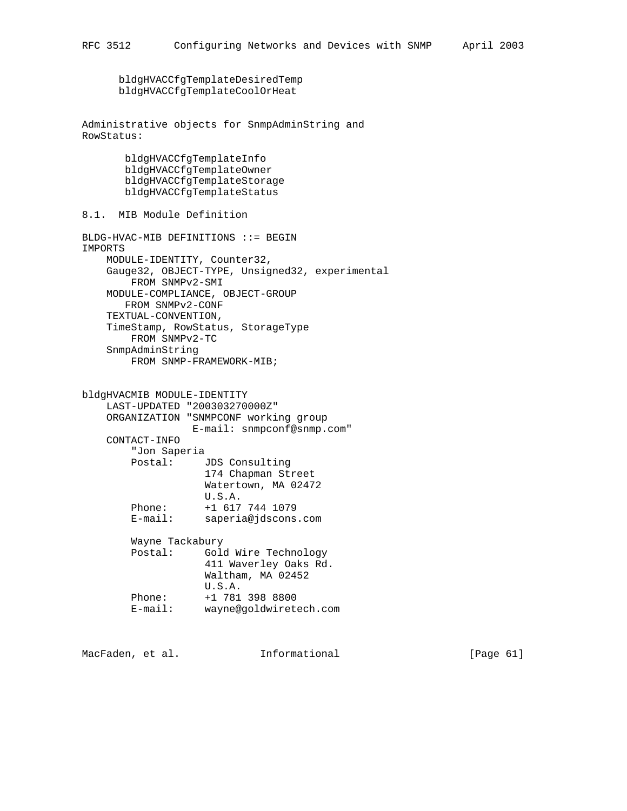bldgHVACCfgTemplateDesiredTemp bldgHVACCfgTemplateCoolOrHeat

```
Administrative objects for SnmpAdminString and
RowStatus:
```
 bldgHVACCfgTemplateInfo bldgHVACCfgTemplateOwner bldgHVACCfgTemplateStorage bldgHVACCfgTemplateStatus

8.1. MIB Module Definition

```
BLDG-HVAC-MIB DEFINITIONS ::= BEGIN
IMPORTS
     MODULE-IDENTITY, Counter32,
     Gauge32, OBJECT-TYPE, Unsigned32, experimental
         FROM SNMPv2-SMI
     MODULE-COMPLIANCE, OBJECT-GROUP
        FROM SNMPv2-CONF
     TEXTUAL-CONVENTION,
     TimeStamp, RowStatus, StorageType
         FROM SNMPv2-TC
     SnmpAdminString
         FROM SNMP-FRAMEWORK-MIB;
```
bldgHVACMIB MODULE-IDENTITY LAST-UPDATED "200303270000Z" ORGANIZATION "SNMPCONF working group E-mail: snmpconf@snmp.com" CONTACT-INFO "Jon Saperia Postal: JDS Consulting 174 Chapman Street Watertown, MA 02472 U.S.A. Phone: +1 617 744 1079<br>E-mail: saperia@jdscons saperia@jdscons.com Wayne Tackabury Postal: Gold Wire Technology 411 Waverley Oaks Rd. Waltham, MA 02452 U.S.A. Phone: +1 781 398 8800 E-mail: wayne@goldwiretech.com

MacFaden, et al. **Informational** [Page 61]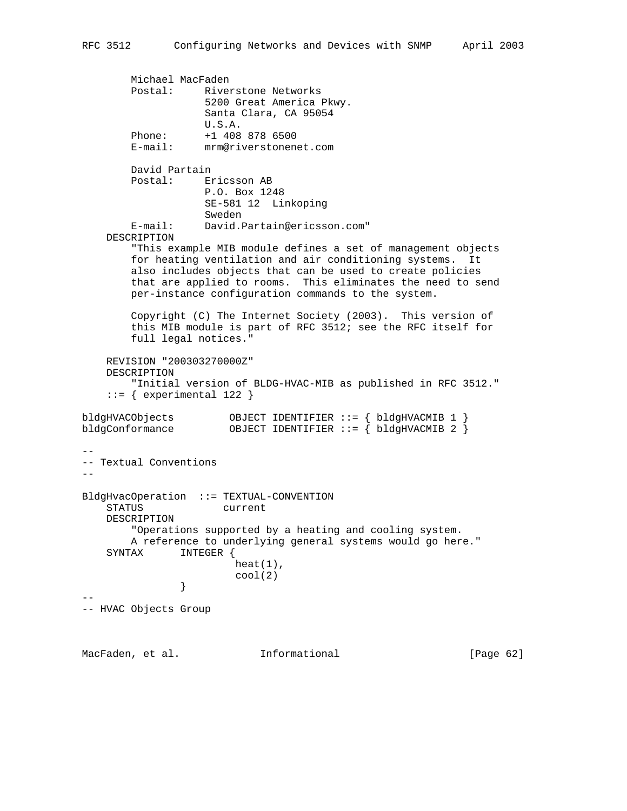```
 Michael MacFaden
         Postal: Riverstone Networks
                    5200 Great America Pkwy.
                    Santa Clara, CA 95054
                    U.S.A.
 Phone: +1 408 878 6500
 E-mail: mrm@riverstonenet.com
        David Partain
         Postal: Ericsson AB
                    P.O. Box 1248
                    SE-581 12 Linkoping
                    Sweden
         E-mail: David.Partain@ericsson.com"
     DESCRIPTION
         "This example MIB module defines a set of management objects
         for heating ventilation and air conditioning systems. It
         also includes objects that can be used to create policies
         that are applied to rooms. This eliminates the need to send
        per-instance configuration commands to the system.
         Copyright (C) The Internet Society (2003). This version of
         this MIB module is part of RFC 3512; see the RFC itself for
        full legal notices."
     REVISION "200303270000Z"
     DESCRIPTION
         "Initial version of BLDG-HVAC-MIB as published in RFC 3512."
    ::= { experimental 122 }
bldgHVACObjects OBJECT IDENTIFIER ::= { bldgHVACMIB 1 }<br>bldgConformance OBJECT IDENTIFIER ::= { bldgHVACMIB 2 }
                      OBJECT IDENTIFIER ::= { bldgHVACMIB 2 }
--
-- Textual Conventions
--
BldgHvacOperation ::= TEXTUAL-CONVENTION
     STATUS current
     DESCRIPTION
         "Operations supported by a heating and cooling system.
        A reference to underlying general systems would go here."
     SYNTAX INTEGER {
                        heat(1),
                \{2\} }
--
-- HVAC Objects Group
```
MacFaden, et al. 1nformational [Page 62]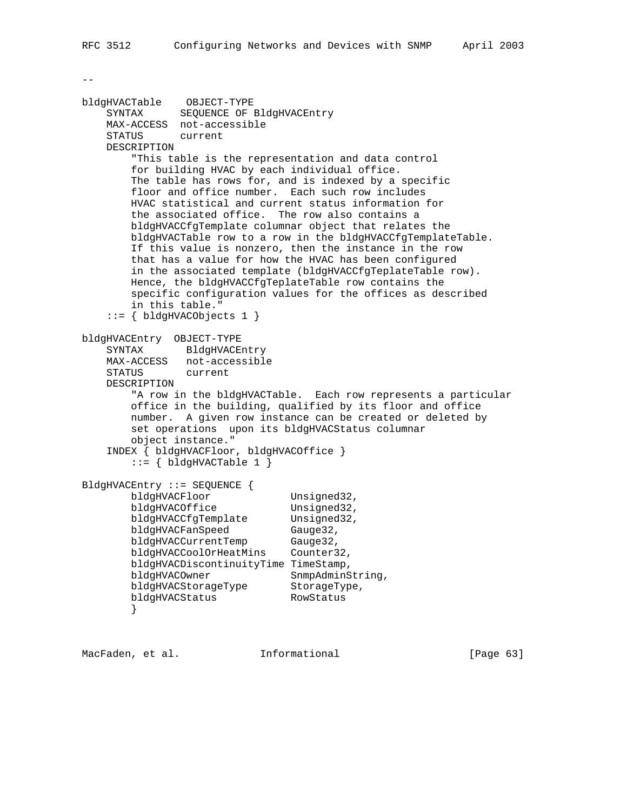$- -$ 

```
bldgHVACTable OBJECT-TYPE
 SYNTAX SEQUENCE OF BldgHVACEntry
    MAX-ACCESS not-accessible
    STATUS current
    DESCRIPTION
        "This table is the representation and data control
        for building HVAC by each individual office.
        The table has rows for, and is indexed by a specific
        floor and office number. Each such row includes
        HVAC statistical and current status information for
        the associated office. The row also contains a
        bldgHVACCfgTemplate columnar object that relates the
        bldgHVACTable row to a row in the bldgHVACCfgTemplateTable.
        If this value is nonzero, then the instance in the row
        that has a value for how the HVAC has been configured
        in the associated template (bldgHVACCfgTeplateTable row).
        Hence, the bldgHVACCfgTeplateTable row contains the
        specific configuration values for the offices as described
        in this table."
    ::= { bldgHVACObjects 1 }
bldgHVACEntry OBJECT-TYPE
    SYNTAX BldgHVACEntry
    MAX-ACCESS not-accessible
    STATUS current
    DESCRIPTION
        "A row in the bldgHVACTable. Each row represents a particular
        office in the building, qualified by its floor and office
        number. A given row instance can be created or deleted by
        set operations upon its bldgHVACStatus columnar
        object instance."
    INDEX { bldgHVACFloor, bldgHVACOffice }
       ::= \{ bldgHVACTable 1 \}BldgHVACEntry ::= SEQUENCE {
       bldgHVACFloor Unsigned32,
       bldgHVACOffice Unsigned32,
bldgHVACCfgTemplate Unsigned32,
bldgHVACFanSpeed Gauge32,
bldgHVACCurrentTemp Gauge32,
 bldgHVACCoolOrHeatMins Counter32,
        bldgHVACDiscontinuityTime TimeStamp,
bldgHVACOwner SnmpAdminString,
bldgHVACStorageType StorageType,
 bldgHVACStatus RowStatus
        }
```
MacFaden, et al. 1nformational [Page 63]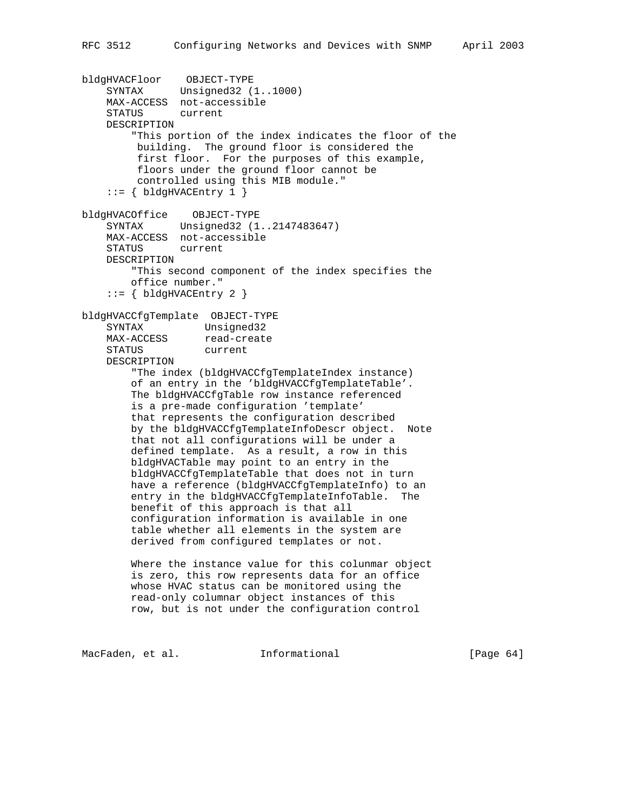```
bldgHVACFloor OBJECT-TYPE
     SYNTAX Unsigned32 (1..1000)
    MAX-ACCESS not-accessible
     STATUS current
    DESCRIPTION
         "This portion of the index indicates the floor of the
         building. The ground floor is considered the
         first floor. For the purposes of this example,
          floors under the ground floor cannot be
         controlled using this MIB module."
    ::= \{ bldgHVACENTry 1 \}bldgHVACOffice OBJECT-TYPE
     SYNTAX Unsigned32 (1..2147483647)
    MAX-ACCESS not-accessible
     STATUS current
    DESCRIPTION
         "This second component of the index specifies the
        office number."
    ::= { bldgHVACEntry 2 }
bldgHVACCfgTemplate OBJECT-TYPE
   SYNTAX Unsigned32<br>
MAX-ACCESS read-create
                 read-create
    STATUS current
    DESCRIPTION
         "The index (bldgHVACCfgTemplateIndex instance)
         of an entry in the 'bldgHVACCfgTemplateTable'.
         The bldgHVACCfgTable row instance referenced
         is a pre-made configuration 'template'
         that represents the configuration described
        by the bldgHVACCfgTemplateInfoDescr object. Note
         that not all configurations will be under a
         defined template. As a result, a row in this
        bldgHVACTable may point to an entry in the
        bldgHVACCfgTemplateTable that does not in turn
        have a reference (bldgHVACCfgTemplateInfo) to an
         entry in the bldgHVACCfgTemplateInfoTable. The
         benefit of this approach is that all
         configuration information is available in one
         table whether all elements in the system are
        derived from configured templates or not.
         Where the instance value for this colunmar object
         is zero, this row represents data for an office
        whose HVAC status can be monitored using the
        read-only columnar object instances of this
        row, but is not under the configuration control
```
MacFaden, et al. 1nformational 1999 [Page 64]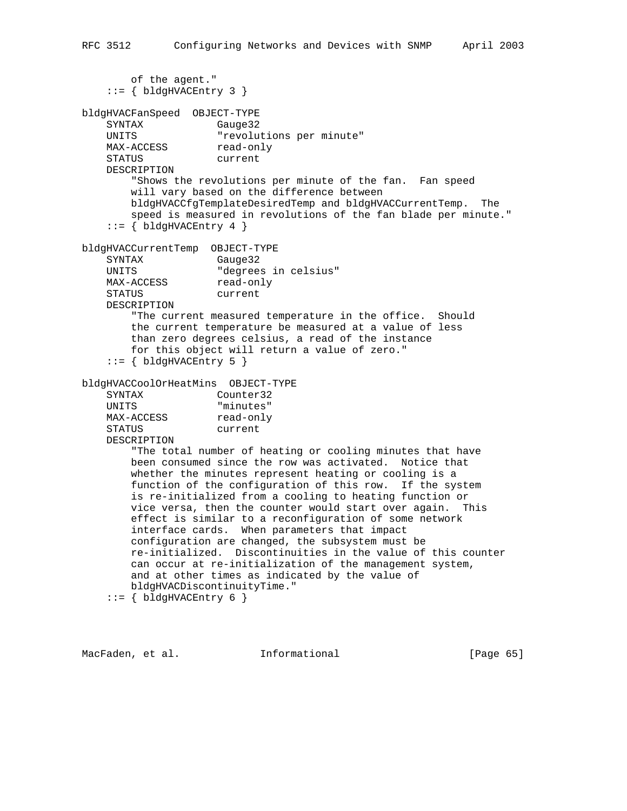```
 of the agent."
   ::= \{ bldgHVACEntry 3 \}bldgHVACFanSpeed OBJECT-TYPE
   SYNTAX Gauge32
    UNITS "revolutions per minute"
   MAX-ACCESS read-only
    STATUS current
    DESCRIPTION
        "Shows the revolutions per minute of the fan. Fan speed
        will vary based on the difference between
        bldgHVACCfgTemplateDesiredTemp and bldgHVACCurrentTemp. The
        speed is measured in revolutions of the fan blade per minute."
   ::= \{ bldgHVACENTry 4 \}bldgHVACCurrentTemp OBJECT-TYPE
    SYNTAX Gauge32
    UNITS "degrees in celsius"
   MAX-ACCESS read-only
    STATUS current
    DESCRIPTION
        "The current measured temperature in the office. Should
        the current temperature be measured at a value of less
        than zero degrees celsius, a read of the instance
        for this object will return a value of zero."
   ::= \{ bldgHVACENTry 5 \}bldgHVACCoolOrHeatMins OBJECT-TYPE
    SYNTAX Counter32
    UNITS "minutes"
   MAX-ACCESS read-only
    STATUS current
    DESCRIPTION
        "The total number of heating or cooling minutes that have
        been consumed since the row was activated. Notice that
        whether the minutes represent heating or cooling is a
        function of the configuration of this row. If the system
        is re-initialized from a cooling to heating function or
        vice versa, then the counter would start over again. This
        effect is similar to a reconfiguration of some network
        interface cards. When parameters that impact
        configuration are changed, the subsystem must be
        re-initialized. Discontinuities in the value of this counter
        can occur at re-initialization of the management system,
        and at other times as indicated by the value of
        bldgHVACDiscontinuityTime."
   ::= { bldgHVACEntry 6 }
```
MacFaden, et al. **Informational** [Page 65]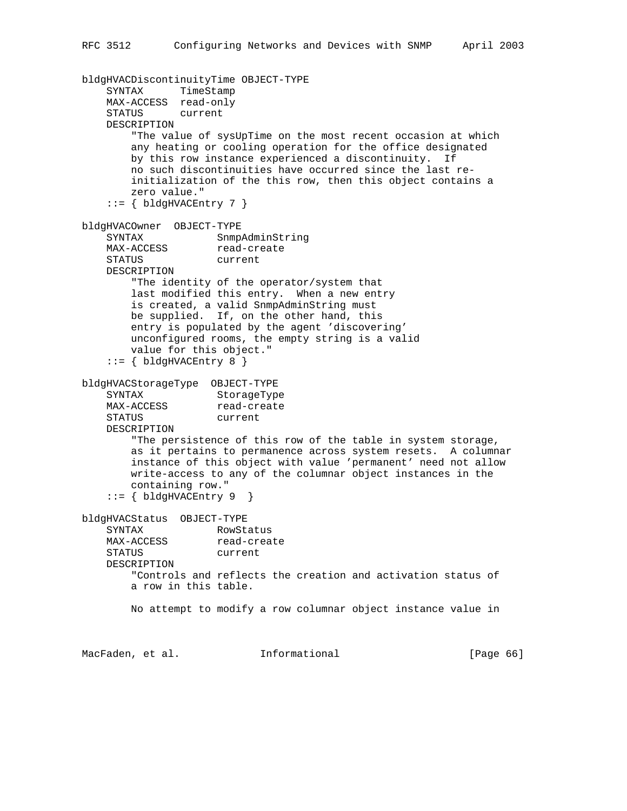```
bldgHVACDiscontinuityTime OBJECT-TYPE
     SYNTAX TimeStamp
    MAX-ACCESS read-only
     STATUS current
    DESCRIPTION
         "The value of sysUpTime on the most recent occasion at which
        any heating or cooling operation for the office designated
        by this row instance experienced a discontinuity. If
        no such discontinuities have occurred since the last re-
        initialization of the this row, then this object contains a
        zero value."
    ::= { bldgHVACEntry 7 }
bldgHVACOwner OBJECT-TYPE
    SYNTAX SnmpAdminString<br>MAX-ACCESS read-create
   SINIAAN<br>MAX-ACCESS
    STATUS current
    DESCRIPTION
         "The identity of the operator/system that
         last modified this entry. When a new entry
         is created, a valid SnmpAdminString must
        be supplied. If, on the other hand, this
        entry is populated by the agent 'discovering'
        unconfigured rooms, the empty string is a valid
        value for this object."
    ::= \{ bldgHVACEntry 8 \}bldgHVACStorageType OBJECT-TYPE
SYNTAX StorageType
MAX-ACCESS read-create
    STATUS current
    DESCRIPTION
         "The persistence of this row of the table in system storage,
        as it pertains to permanence across system resets. A columnar
        instance of this object with value 'permanent' need not allow
        write-access to any of the columnar object instances in the
        containing row."
    ::= \{ b1dgHVACEntry 9 \}bldgHVACStatus OBJECT-TYPE
   SYNTAX RowStatus<br>
MAX-ACCESS read-create
   MAX-ACCESS
    STATUS current
    DESCRIPTION
        "Controls and reflects the creation and activation status of
        a row in this table.
        No attempt to modify a row columnar object instance value in
MacFaden, et al. Informational [Page 66]
```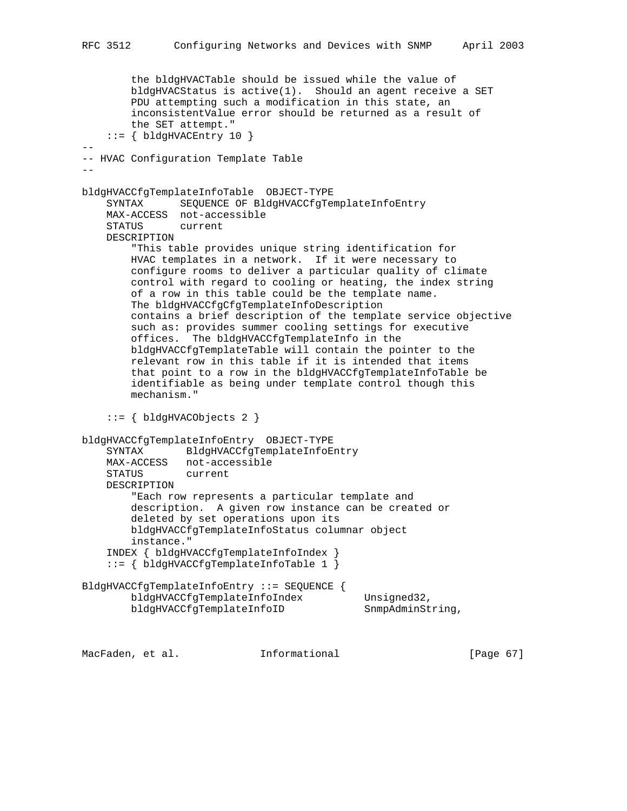```
 the bldgHVACTable should be issued while the value of
         bldgHVACStatus is active(1). Should an agent receive a SET
         PDU attempting such a modification in this state, an
         inconsistentValue error should be returned as a result of
         the SET attempt."
    ::= { bldgHVACEntry 10 }
--
-- HVAC Configuration Template Table
--
bldgHVACCfgTemplateInfoTable OBJECT-TYPE
     SYNTAX SEQUENCE OF BldgHVACCfgTemplateInfoEntry
     MAX-ACCESS not-accessible
     STATUS current
     DESCRIPTION
         "This table provides unique string identification for
        HVAC templates in a network. If it were necessary to
         configure rooms to deliver a particular quality of climate
         control with regard to cooling or heating, the index string
         of a row in this table could be the template name.
        The bldgHVACCfgCfgTemplateInfoDescription
         contains a brief description of the template service objective
         such as: provides summer cooling settings for executive
        offices. The bldgHVACCfgTemplateInfo in the
        bldgHVACCfgTemplateTable will contain the pointer to the
         relevant row in this table if it is intended that items
         that point to a row in the bldgHVACCfgTemplateInfoTable be
         identifiable as being under template control though this
        mechanism."
     ::= { bldgHVACObjects 2 }
bldgHVACCfgTemplateInfoEntry OBJECT-TYPE
    SYNTAX BldgHVACCfgTemplateInfoEntry
     MAX-ACCESS not-accessible
    STATUS
     DESCRIPTION
         "Each row represents a particular template and
         description. A given row instance can be created or
         deleted by set operations upon its
        bldgHVACCfgTemplateInfoStatus columnar object
         instance."
     INDEX { bldgHVACCfgTemplateInfoIndex }
     ::= { bldgHVACCfgTemplateInfoTable 1 }
BldgHVACCfgTemplateInfoEntry ::= SEQUENCE {
        bldgHVACCfgTemplateInfoIndex Unsigned32,
       bldgHVACCfgTemplateInfoID SnmpAdminString,
```
MacFaden, et al. **Informational** [Page 67]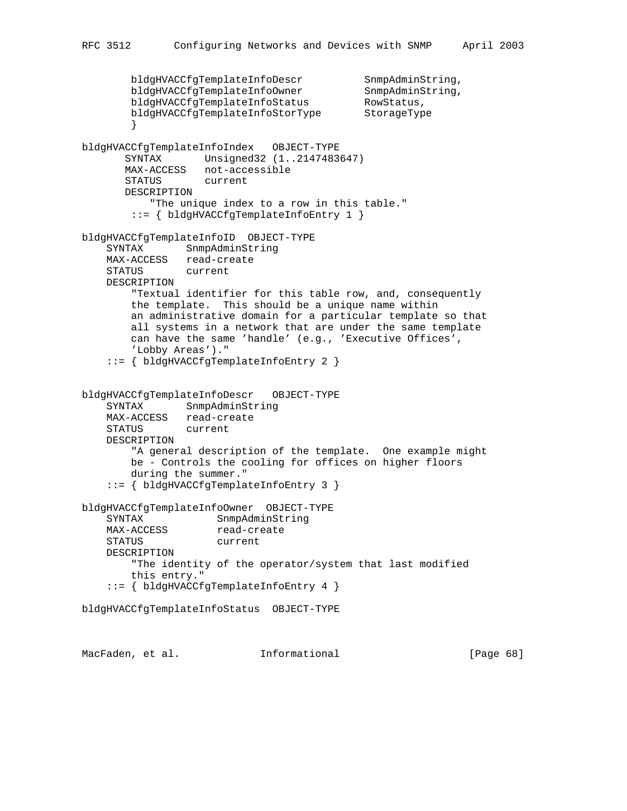```
bldgHVACCfgTemplateInfoDescr SnmpAdminString,<br>bldgHVACCfgTemplateInfoOwner SnmpAdminString,
        bldgHVACCfgTemplateInfoOwner SnmpAdminS<br>bldgHVACCfgTemplateInfoStatus RowStatus,
        bldgHVACCfgTemplateInfoStatus RowStatus,<br>bldgHVACCfgTemplateInfoStorType StorageType
        bldgHVACCfgTemplateInfoStorType
 }
bldgHVACCfgTemplateInfoIndex OBJECT-TYPE
        SYNTAX Unsigned32 (1..2147483647)
        MAX-ACCESS not-accessible
        STATUS current
        DESCRIPTION
            "The unique index to a row in this table."
         ::= { bldgHVACCfgTemplateInfoEntry 1 }
bldgHVACCfgTemplateInfoID OBJECT-TYPE
     SYNTAX SnmpAdminString
    MAX-ACCESS read-create<br>STATUS current
    STATUS
     DESCRIPTION
         "Textual identifier for this table row, and, consequently
         the template. This should be a unique name within
         an administrative domain for a particular template so that
         all systems in a network that are under the same template
         can have the same 'handle' (e.g., 'Executive Offices',
         'Lobby Areas')."
     ::= { bldgHVACCfgTemplateInfoEntry 2 }
bldgHVACCfgTemplateInfoDescr OBJECT-TYPE
     SYNTAX SnmpAdminString
     MAX-ACCESS read-create
     STATUS current
     DESCRIPTION
         "A general description of the template. One example might
         be - Controls the cooling for offices on higher floors
         during the summer."
     ::= { bldgHVACCfgTemplateInfoEntry 3 }
bldgHVACCfgTemplateInfoOwner OBJECT-TYPE
    SYNTAX SnmpAdminString<br>MAX-ACCESS read-create
MAX-ACCESS read-create
 STATUS current
     DESCRIPTION
         "The identity of the operator/system that last modified
         this entry."
     ::= { bldgHVACCfgTemplateInfoEntry 4 }
bldgHVACCfgTemplateInfoStatus OBJECT-TYPE
```
MacFaden, et al. **Informational** [Page 68]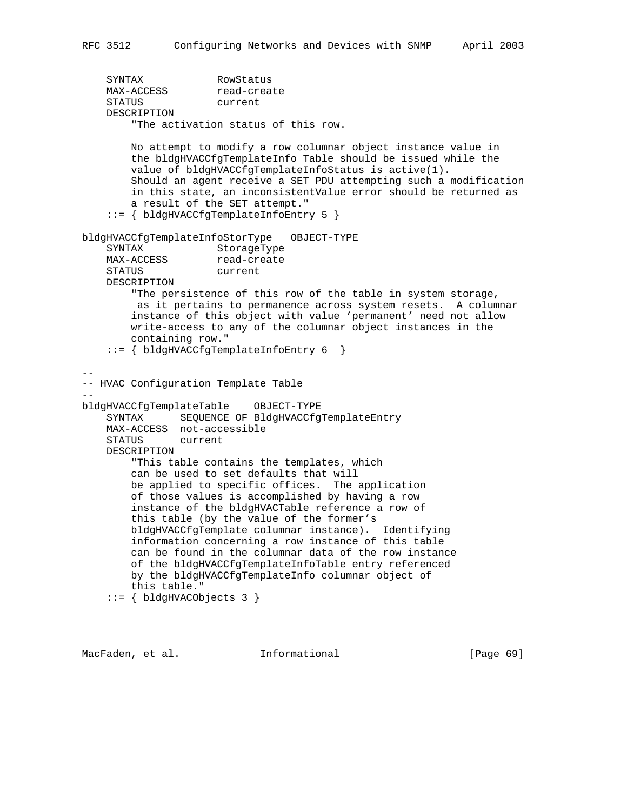SYNTAX RowStatus MAX-ACCESS read-create STATUS current DESCRIPTION "The activation status of this row. No attempt to modify a row columnar object instance value in the bldgHVACCfgTemplateInfo Table should be issued while the value of bldgHVACCfgTemplateInfoStatus is active(1). Should an agent receive a SET PDU attempting such a modification in this state, an inconsistentValue error should be returned as a result of the SET attempt." ::= { bldgHVACCfgTemplateInfoEntry 5 } bldgHVACCfgTemplateInfoStorType OBJECT-TYPE SYNTAX StorageType<br>MAX-ACCESS read-create MAX-ACCESS read-cre<br>STATUS current STATUS DESCRIPTION "The persistence of this row of the table in system storage, as it pertains to permanence across system resets. A columnar instance of this object with value 'permanent' need not allow write-access to any of the columnar object instances in the containing row." ::= { bldgHVACCfgTemplateInfoEntry 6 } -- -- HVAC Configuration Template Table - bldgHVACCfgTemplateTable OBJECT-TYPE SYNTAX SEQUENCE OF BldgHVACCfgTemplateEntry MAX-ACCESS not-accessible STATUS current DESCRIPTION "This table contains the templates, which can be used to set defaults that will be applied to specific offices. The application of those values is accomplished by having a row instance of the bldgHVACTable reference a row of this table (by the value of the former's bldgHVACCfgTemplate columnar instance). Identifying information concerning a row instance of this table can be found in the columnar data of the row instance of the bldgHVACCfgTemplateInfoTable entry referenced by the bldgHVACCfgTemplateInfo columnar object of this table."

```
 ::= { bldgHVACObjects 3 }
```
MacFaden, et al. 1nformational [Page 69]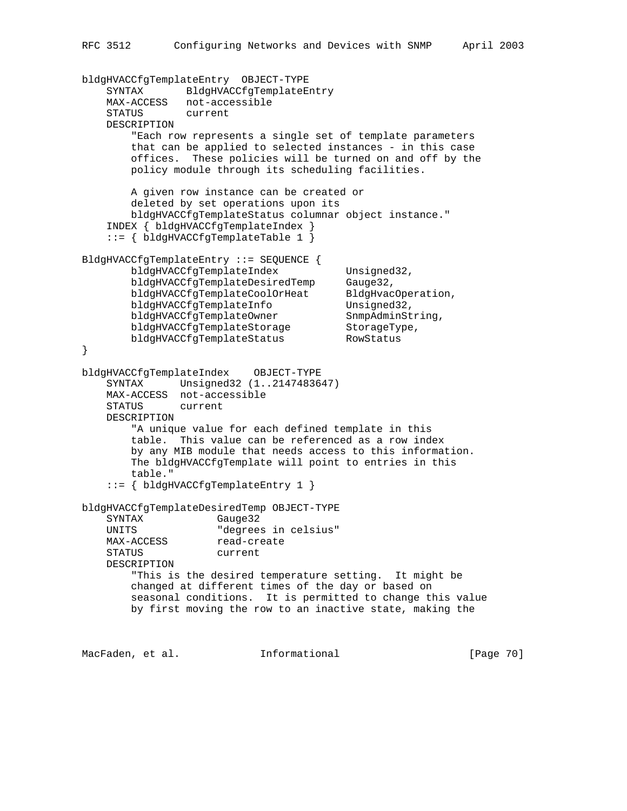bldgHVACCfgTemplateEntry OBJECT-TYPE SYNTAX BldgHVACCfgTemplateEntry MAX-ACCESS not-accessible STATUS current DESCRIPTION "Each row represents a single set of template parameters that can be applied to selected instances - in this case offices. These policies will be turned on and off by the policy module through its scheduling facilities. A given row instance can be created or deleted by set operations upon its bldgHVACCfgTemplateStatus columnar object instance." INDEX { bldgHVACCfgTemplateIndex } ::= { bldgHVACCfgTemplateTable 1 } BldgHVACCfgTemplateEntry ::= SEQUENCE { bldgHVACCfgTemplateIndex Unsigned32, bldgHVACCfgTemplateDesiredTemp Gauge32, bldgHVACCfgTemplateCoolOrHeat BldgHvacOperation, bldgHVACCfgTemplateInfo Unsigned32, bldgHVACCfgTemplateOwner SnmpAdminString,<br>bldgHVACCfgTemplateStorage StorageType,<br>bldqHVACCfgTemplateStatus RowStatus bldgHVACCfgTemplateStorage bldgHVACCfgTemplateStatus } bldgHVACCfgTemplateIndex OBJECT-TYPE SYNTAX Unsigned32 (1..2147483647) MAX-ACCESS not-accessible STATUS current DESCRIPTION "A unique value for each defined template in this table. This value can be referenced as a row index by any MIB module that needs access to this information. The bldgHVACCfgTemplate will point to entries in this table." ::= { bldgHVACCfgTemplateEntry 1 } bldgHVACCfgTemplateDesiredTemp OBJECT-TYPE SYNTAX Gauge32 UNITS "degrees in celsius"<br>MAX-ACCESS read-create MAX-ACCESS STATUS current DESCRIPTION "This is the desired temperature setting. It might be changed at different times of the day or based on seasonal conditions. It is permitted to change this value by first moving the row to an inactive state, making the

MacFaden, et al. 1nformational 1999 [Page 70]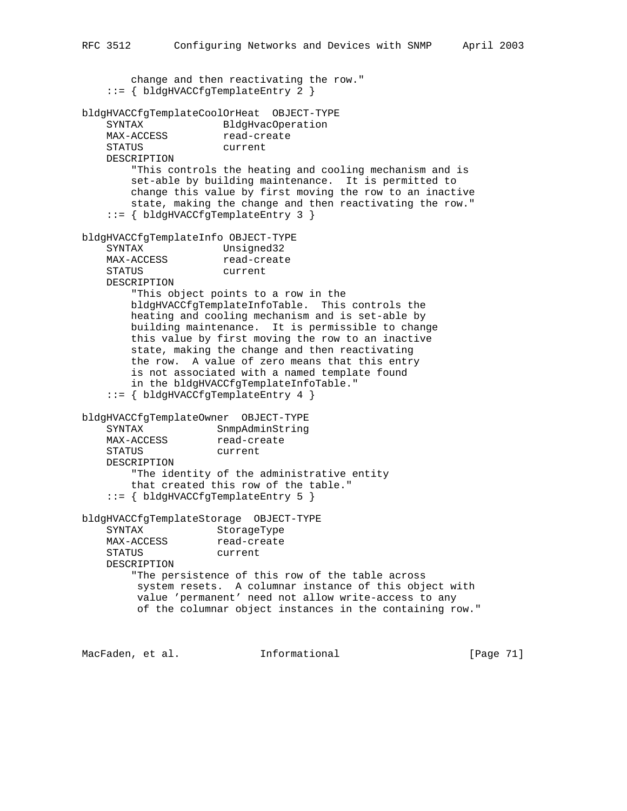change and then reactivating the row." ::= { bldgHVACCfgTemplateEntry 2 } bldgHVACCfgTemplateCoolOrHeat OBJECT-TYPE SYNTAX BldgHvacOperation<br>
MAX-ACCESS read-create read-create STATUS current DESCRIPTION "This controls the heating and cooling mechanism and is set-able by building maintenance. It is permitted to change this value by first moving the row to an inactive state, making the change and then reactivating the row." ::= { bldgHVACCfgTemplateEntry 3 } bldgHVACCfgTemplateInfo OBJECT-TYPE SYNTAX Unsigned32<br>MAX-ACCESS read-create  $MAX-ACCESS$  STATUS current DESCRIPTION "This object points to a row in the bldgHVACCfgTemplateInfoTable. This controls the heating and cooling mechanism and is set-able by building maintenance. It is permissible to change this value by first moving the row to an inactive state, making the change and then reactivating the row. A value of zero means that this entry is not associated with a named template found in the bldgHVACCfgTemplateInfoTable." ::= { bldgHVACCfgTemplateEntry 4 } bldgHVACCfgTemplateOwner OBJECT-TYPE SYNTAX SnmpAdminString MAX-ACCESS read-create STATUS current DESCRIPTION "The identity of the administrative entity that created this row of the table." ::= { bldgHVACCfgTemplateEntry 5 } bldgHVACCfgTemplateStorage OBJECT-TYPE SYNTAX StorageType MAX-ACCESS read-create STATUS current DESCRIPTION "The persistence of this row of the table across system resets. A columnar instance of this object with value 'permanent' need not allow write-access to any of the columnar object instances in the containing row."

MacFaden, et al. 1nformational 1999 [Page 71]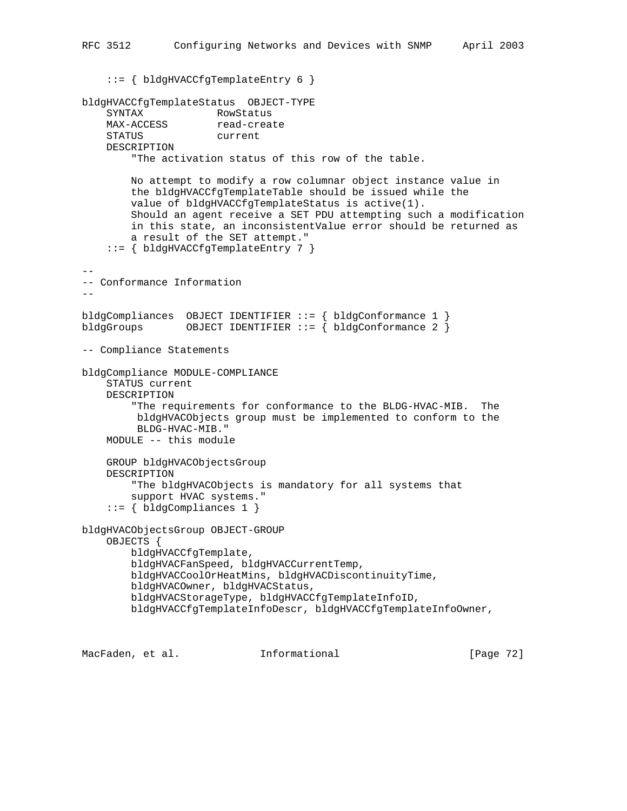```
 ::= { bldgHVACCfgTemplateEntry 6 }
bldgHVACCfgTemplateStatus OBJECT-TYPE
     SYNTAX RowStatus
    MAX-ACCESS read-create<br>STATUS current
    STATUS
     DESCRIPTION
         "The activation status of this row of the table.
         No attempt to modify a row columnar object instance value in
         the bldgHVACCfgTemplateTable should be issued while the
         value of bldgHVACCfgTemplateStatus is active(1).
         Should an agent receive a SET PDU attempting such a modification
         in this state, an inconsistentValue error should be returned as
         a result of the SET attempt."
     ::= { bldgHVACCfgTemplateEntry 7 }
--
-- Conformance Information
--bldgCompliances OBJECT IDENTIFIER ::= { bldgConformance 1 }
bldgGroups 0BJECT IDENTIFIER ::= { bldgConformance 2 }
-- Compliance Statements
bldgCompliance MODULE-COMPLIANCE
     STATUS current
     DESCRIPTION
         "The requirements for conformance to the BLDG-HVAC-MIB. The
          bldgHVACObjects group must be implemented to conform to the
          BLDG-HVAC-MIB."
     MODULE -- this module
     GROUP bldgHVACObjectsGroup
     DESCRIPTION
         "The bldgHVACObjects is mandatory for all systems that
         support HVAC systems."
    ::= \{ bldgCompliances 1 \}bldgHVACObjectsGroup OBJECT-GROUP
     OBJECTS {
         bldgHVACCfgTemplate,
         bldgHVACFanSpeed, bldgHVACCurrentTemp,
         bldgHVACCoolOrHeatMins, bldgHVACDiscontinuityTime,
         bldgHVACOwner, bldgHVACStatus,
         bldgHVACStorageType, bldgHVACCfgTemplateInfoID,
         bldgHVACCfgTemplateInfoDescr, bldgHVACCfgTemplateInfoOwner,
```
RFC 3512 Configuring Networks and Devices with SNMP April 2003

MacFaden, et al. **Informational** [Page 72]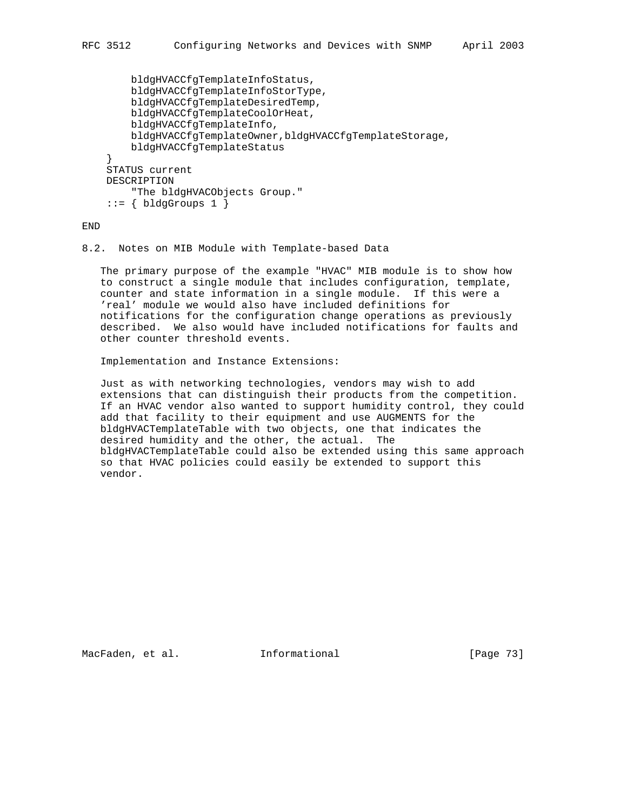```
 bldgHVACCfgTemplateInfoStatus,
     bldgHVACCfgTemplateInfoStorType,
     bldgHVACCfgTemplateDesiredTemp,
     bldgHVACCfgTemplateCoolOrHeat,
     bldgHVACCfgTemplateInfo,
     bldgHVACCfgTemplateOwner,bldgHVACCfgTemplateStorage,
     bldgHVACCfgTemplateStatus
 }
 STATUS current
 DESCRIPTION
     "The bldgHVACObjects Group."
::= { bldgGroups 1 }
```
END

## 8.2. Notes on MIB Module with Template-based Data

 The primary purpose of the example "HVAC" MIB module is to show how to construct a single module that includes configuration, template, counter and state information in a single module. If this were a 'real' module we would also have included definitions for notifications for the configuration change operations as previously described. We also would have included notifications for faults and other counter threshold events.

Implementation and Instance Extensions:

 Just as with networking technologies, vendors may wish to add extensions that can distinguish their products from the competition. If an HVAC vendor also wanted to support humidity control, they could add that facility to their equipment and use AUGMENTS for the bldgHVACTemplateTable with two objects, one that indicates the desired humidity and the other, the actual. The bldgHVACTemplateTable could also be extended using this same approach so that HVAC policies could easily be extended to support this vendor.

MacFaden, et al. 1nformational [Page 73]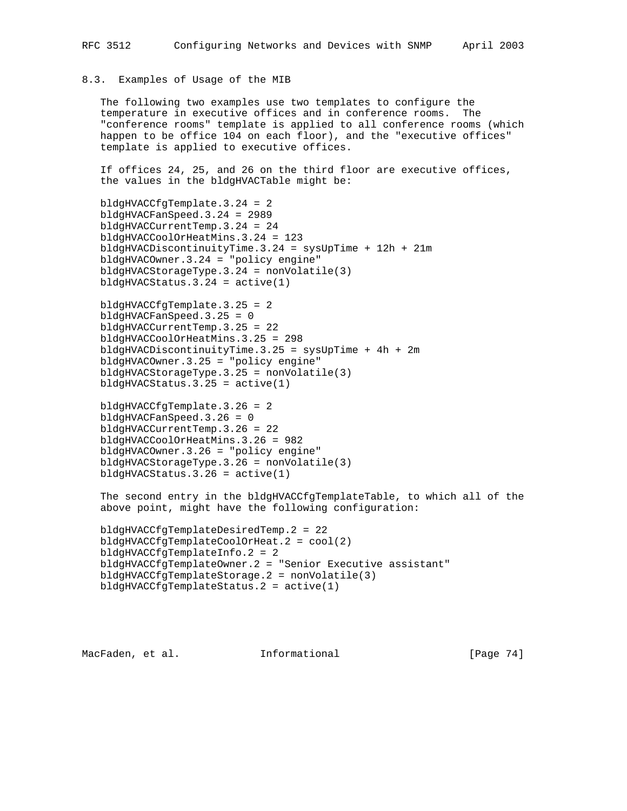## 8.3. Examples of Usage of the MIB

 The following two examples use two templates to configure the temperature in executive offices and in conference rooms. The "conference rooms" template is applied to all conference rooms (which happen to be office 104 on each floor), and the "executive offices" template is applied to executive offices.

 If offices 24, 25, and 26 on the third floor are executive offices, the values in the bldgHVACTable might be:

```
 bldgHVACCfgTemplate.3.24 = 2
 bldgHVACFanSpeed.3.24 = 2989
 bldgHVACCurrentTemp.3.24 = 24
 bldgHVACCoolOrHeatMins.3.24 = 123
 bldgHVACDiscontinuityTime.3.24 = sysUpTime + 12h + 21m
 bldgHVACOwner.3.24 = "policy engine"
 bldgHVACStorageType.3.24 = nonVolatile(3)
 bldgHVACStatus.3.24 = active(1)
```

```
 bldgHVACCfgTemplate.3.25 = 2
 bldgHVACFanSpeed.3.25 = 0
 bldgHVACCurrentTemp.3.25 = 22
 bldgHVACCoolOrHeatMins.3.25 = 298
 bldgHVACDiscontinuityTime.3.25 = sysUpTime + 4h + 2m
 bldgHVACOwner.3.25 = "policy engine"
 bldgHVACStorageType.3.25 = nonVolatile(3)
 bldgHVACStatus.3.25 = active(1)
```

```
 bldgHVACCfgTemplate.3.26 = 2
 bldgHVACFanSpeed.3.26 = 0
 bldgHVACCurrentTemp.3.26 = 22
 bldgHVACCoolOrHeatMins.3.26 = 982
 bldgHVACOwner.3.26 = "policy engine"
 bldgHVACStorageType.3.26 = nonVolatile(3)
 bldgHVACStatus.3.26 = active(1)
```

```
 The second entry in the bldgHVACCfgTemplateTable, to which all of the
 above point, might have the following configuration:
```

```
 bldgHVACCfgTemplateDesiredTemp.2 = 22
 bldgHVACCfgTemplateCoolOrHeat.2 = cool(2)
 bldgHVACCfgTemplateInfo.2 = 2
 bldgHVACCfgTemplateOwner.2 = "Senior Executive assistant"
 bldgHVACCfgTemplateStorage.2 = nonVolatile(3)
 bldgHVACCfgTemplateStatus.2 = active(1)
```
MacFaden, et al. 1nformational 1999 [Page 74]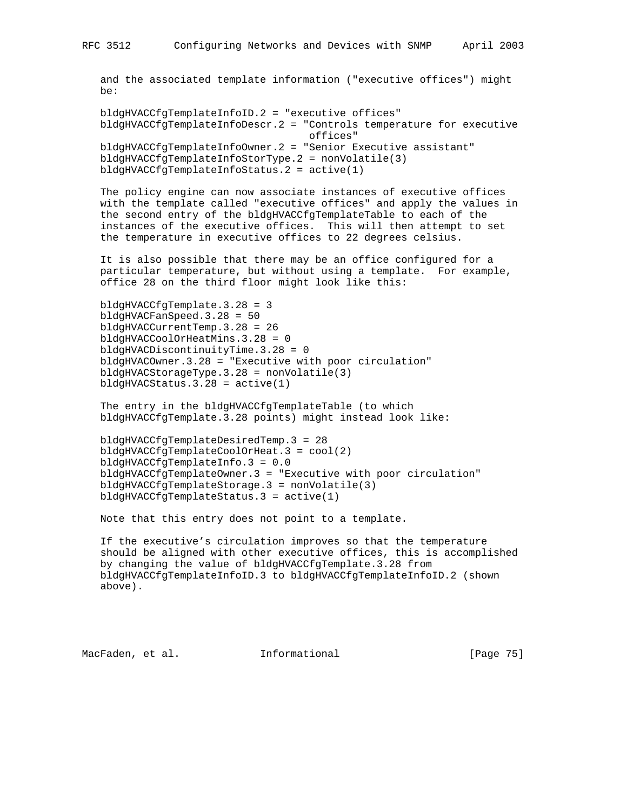and the associated template information ("executive offices") might be:

 bldgHVACCfgTemplateInfoID.2 = "executive offices" bldgHVACCfgTemplateInfoDescr.2 = "Controls temperature for executive offices" bldgHVACCfgTemplateInfoOwner.2 = "Senior Executive assistant" bldgHVACCfgTemplateInfoStorType.2 = nonVolatile(3) bldgHVACCfgTemplateInfoStatus.2 = active(1)

 The policy engine can now associate instances of executive offices with the template called "executive offices" and apply the values in the second entry of the bldgHVACCfgTemplateTable to each of the instances of the executive offices. This will then attempt to set the temperature in executive offices to 22 degrees celsius.

 It is also possible that there may be an office configured for a particular temperature, but without using a template. For example, office 28 on the third floor might look like this:

 bldgHVACCfgTemplate.3.28 = 3 bldgHVACFanSpeed.3.28 = 50 bldgHVACCurrentTemp.3.28 = 26 bldgHVACCoolOrHeatMins.3.28 = 0 bldgHVACDiscontinuityTime.3.28 = 0 bldgHVACOwner.3.28 = "Executive with poor circulation" bldgHVACStorageType.3.28 = nonVolatile(3) bldgHVACStatus.3.28 = active(1)

 The entry in the bldgHVACCfgTemplateTable (to which bldgHVACCfgTemplate.3.28 points) might instead look like:

 bldgHVACCfgTemplateDesiredTemp.3 = 28 bldgHVACCfgTemplateCoolOrHeat.3 = cool(2) bldgHVACCfgTemplateInfo.3 = 0.0 bldgHVACCfgTemplateOwner.3 = "Executive with poor circulation" bldgHVACCfgTemplateStorage.3 = nonVolatile(3) bldgHVACCfgTemplateStatus.3 = active(1)

Note that this entry does not point to a template.

 If the executive's circulation improves so that the temperature should be aligned with other executive offices, this is accomplished by changing the value of bldgHVACCfgTemplate.3.28 from bldgHVACCfgTemplateInfoID.3 to bldgHVACCfgTemplateInfoID.2 (shown above).

MacFaden, et al. 1nformational [Page 75]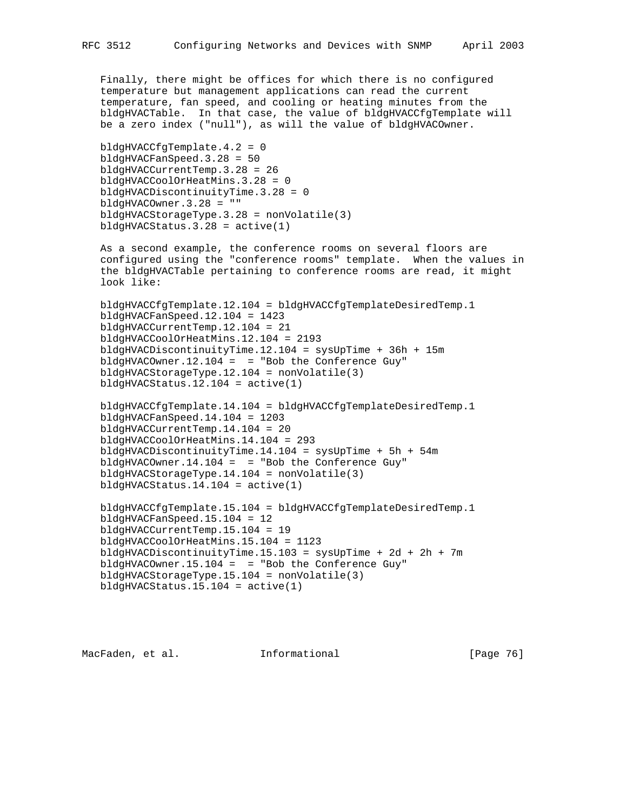Finally, there might be offices for which there is no configured temperature but management applications can read the current temperature, fan speed, and cooling or heating minutes from the bldgHVACTable. In that case, the value of bldgHVACCfgTemplate will be a zero index ("null"), as will the value of bldgHVACOwner.

```
 bldgHVACCfgTemplate.4.2 = 0
 bldgHVACFanSpeed.3.28 = 50
 bldgHVACCurrentTemp.3.28 = 26
 bldgHVACCoolOrHeatMins.3.28 = 0
 bldgHVACDiscontinuityTime.3.28 = 0
 bldgHVACOwner.3.28 = ""
 bldgHVACStorageType.3.28 = nonVolatile(3)
bldgHVACStatus.3.28 = active(1)
```
 As a second example, the conference rooms on several floors are configured using the "conference rooms" template. When the values in the bldgHVACTable pertaining to conference rooms are read, it might look like:

```
 bldgHVACCfgTemplate.12.104 = bldgHVACCfgTemplateDesiredTemp.1
 bldgHVACFanSpeed.12.104 = 1423
 bldgHVACCurrentTemp.12.104 = 21
 bldgHVACCoolOrHeatMins.12.104 = 2193
 bldgHVACDiscontinuityTime.12.104 = sysUpTime + 36h + 15m
 bldgHVACOwner.12.104 = = "Bob the Conference Guy"
 bldgHVACStorageType.12.104 = nonVolatile(3)
 bldgHVACStatus.12.104 = active(1)
```

```
 bldgHVACCfgTemplate.14.104 = bldgHVACCfgTemplateDesiredTemp.1
 bldgHVACFanSpeed.14.104 = 1203
 bldgHVACCurrentTemp.14.104 = 20
 bldgHVACCoolOrHeatMins.14.104 = 293
 bldgHVACDiscontinuityTime.14.104 = sysUpTime + 5h + 54m
bldgHVACOWner.14.104 = = "Bob the Conference Guy"
 bldgHVACStorageType.14.104 = nonVolatile(3)
bldqHVACStatus.14.104 = active(1)
```

```
 bldgHVACCfgTemplate.15.104 = bldgHVACCfgTemplateDesiredTemp.1
 bldgHVACFanSpeed.15.104 = 12
 bldgHVACCurrentTemp.15.104 = 19
 bldgHVACCoolOrHeatMins.15.104 = 1123
 bldgHVACDiscontinuityTime.15.103 = sysUpTime + 2d + 2h + 7m
 bldgHVACOwner.15.104 = = "Bob the Conference Guy"
 bldgHVACStorageType.15.104 = nonVolatile(3)
 bldgHVACStatus.15.104 = active(1)
```
MacFaden, et al. 1nformational 1999 [Page 76]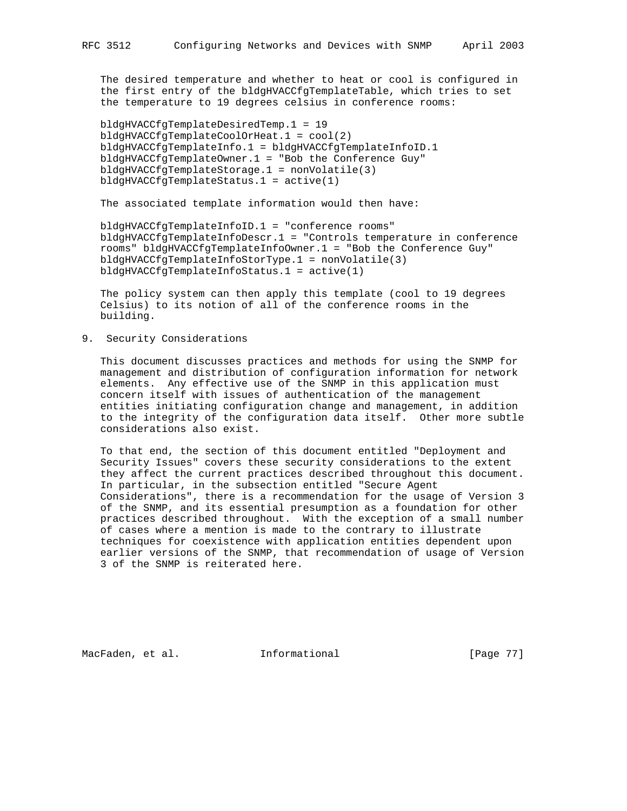The desired temperature and whether to heat or cool is configured in the first entry of the bldgHVACCfgTemplateTable, which tries to set the temperature to 19 degrees celsius in conference rooms:

 bldgHVACCfgTemplateDesiredTemp.1 = 19 bldgHVACCfgTemplateCoolOrHeat.1 = cool(2) bldgHVACCfgTemplateInfo.1 = bldgHVACCfgTemplateInfoID.1 bldgHVACCfgTemplateOwner.1 = "Bob the Conference Guy" bldgHVACCfgTemplateStorage.1 = nonVolatile(3) bldgHVACCfgTemplateStatus.1 = active(1)

The associated template information would then have:

 bldgHVACCfgTemplateInfoID.1 = "conference rooms" bldgHVACCfgTemplateInfoDescr.1 = "Controls temperature in conference rooms" bldgHVACCfgTemplateInfoOwner.1 = "Bob the Conference Guy" bldgHVACCfgTemplateInfoStorType.1 = nonVolatile(3) bldgHVACCfgTemplateInfoStatus.1 = active(1)

 The policy system can then apply this template (cool to 19 degrees Celsius) to its notion of all of the conference rooms in the building.

9. Security Considerations

 This document discusses practices and methods for using the SNMP for management and distribution of configuration information for network elements. Any effective use of the SNMP in this application must concern itself with issues of authentication of the management entities initiating configuration change and management, in addition to the integrity of the configuration data itself. Other more subtle considerations also exist.

 To that end, the section of this document entitled "Deployment and Security Issues" covers these security considerations to the extent they affect the current practices described throughout this document. In particular, in the subsection entitled "Secure Agent Considerations", there is a recommendation for the usage of Version 3 of the SNMP, and its essential presumption as a foundation for other practices described throughout. With the exception of a small number of cases where a mention is made to the contrary to illustrate techniques for coexistence with application entities dependent upon earlier versions of the SNMP, that recommendation of usage of Version 3 of the SNMP is reiterated here.

MacFaden, et al. 1nformational 1999 [Page 77]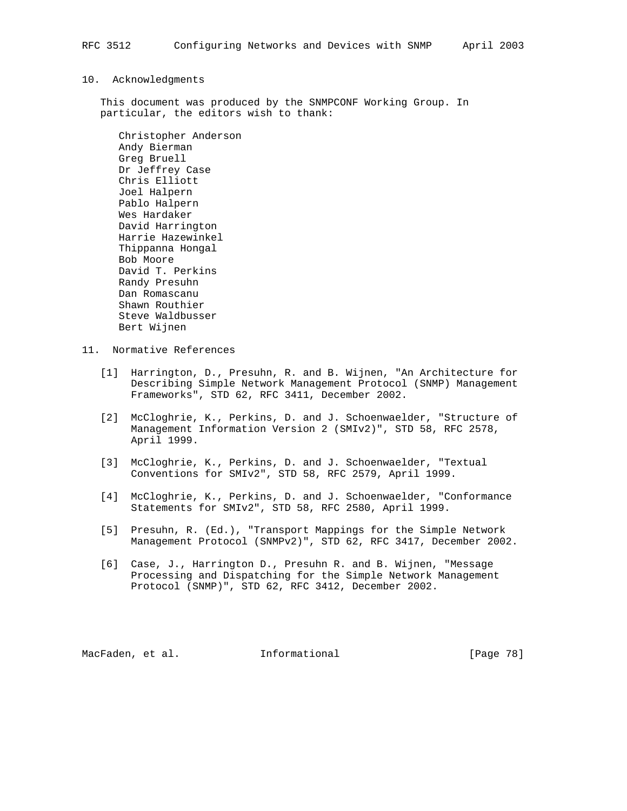## 10. Acknowledgments

 This document was produced by the SNMPCONF Working Group. In particular, the editors wish to thank:

 Christopher Anderson Andy Bierman Greg Bruell Dr Jeffrey Case Chris Elliott Joel Halpern Pablo Halpern Wes Hardaker David Harrington Harrie Hazewinkel Thippanna Hongal Bob Moore David T. Perkins Randy Presuhn Dan Romascanu Shawn Routhier Steve Waldbusser Bert Wijnen

- 11. Normative References
	- [1] Harrington, D., Presuhn, R. and B. Wijnen, "An Architecture for Describing Simple Network Management Protocol (SNMP) Management Frameworks", STD 62, RFC 3411, December 2002.
	- [2] McCloghrie, K., Perkins, D. and J. Schoenwaelder, "Structure of Management Information Version 2 (SMIv2)", STD 58, RFC 2578, April 1999.
	- [3] McCloghrie, K., Perkins, D. and J. Schoenwaelder, "Textual Conventions for SMIv2", STD 58, RFC 2579, April 1999.
	- [4] McCloghrie, K., Perkins, D. and J. Schoenwaelder, "Conformance Statements for SMIv2", STD 58, RFC 2580, April 1999.
	- [5] Presuhn, R. (Ed.), "Transport Mappings for the Simple Network Management Protocol (SNMPv2)", STD 62, RFC 3417, December 2002.
	- [6] Case, J., Harrington D., Presuhn R. and B. Wijnen, "Message Processing and Dispatching for the Simple Network Management Protocol (SNMP)", STD 62, RFC 3412, December 2002.

MacFaden, et al. 1nformational 1999 [Page 78]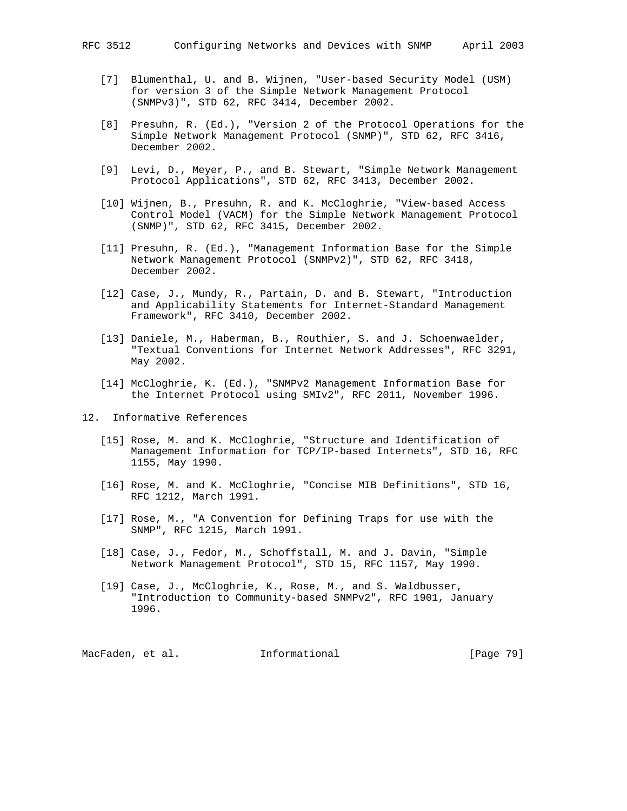- [7] Blumenthal, U. and B. Wijnen, "User-based Security Model (USM) for version 3 of the Simple Network Management Protocol (SNMPv3)", STD 62, RFC 3414, December 2002.
- [8] Presuhn, R. (Ed.), "Version 2 of the Protocol Operations for the Simple Network Management Protocol (SNMP)", STD 62, RFC 3416, December 2002.
- [9] Levi, D., Meyer, P., and B. Stewart, "Simple Network Management Protocol Applications", STD 62, RFC 3413, December 2002.
- [10] Wijnen, B., Presuhn, R. and K. McCloghrie, "View-based Access Control Model (VACM) for the Simple Network Management Protocol (SNMP)", STD 62, RFC 3415, December 2002.
- [11] Presuhn, R. (Ed.), "Management Information Base for the Simple Network Management Protocol (SNMPv2)", STD 62, RFC 3418, December 2002.
- [12] Case, J., Mundy, R., Partain, D. and B. Stewart, "Introduction and Applicability Statements for Internet-Standard Management Framework", RFC 3410, December 2002.
- [13] Daniele, M., Haberman, B., Routhier, S. and J. Schoenwaelder, "Textual Conventions for Internet Network Addresses", RFC 3291, May 2002.
- [14] McCloghrie, K. (Ed.), "SNMPv2 Management Information Base for the Internet Protocol using SMIv2", RFC 2011, November 1996.

12. Informative References

- [15] Rose, M. and K. McCloghrie, "Structure and Identification of Management Information for TCP/IP-based Internets", STD 16, RFC 1155, May 1990.
- [16] Rose, M. and K. McCloghrie, "Concise MIB Definitions", STD 16, RFC 1212, March 1991.
- [17] Rose, M., "A Convention for Defining Traps for use with the SNMP", RFC 1215, March 1991.
- [18] Case, J., Fedor, M., Schoffstall, M. and J. Davin, "Simple Network Management Protocol", STD 15, RFC 1157, May 1990.
- [19] Case, J., McCloghrie, K., Rose, M., and S. Waldbusser, "Introduction to Community-based SNMPv2", RFC 1901, January 1996.

MacFaden, et al. 1nformational 1999 [Page 79]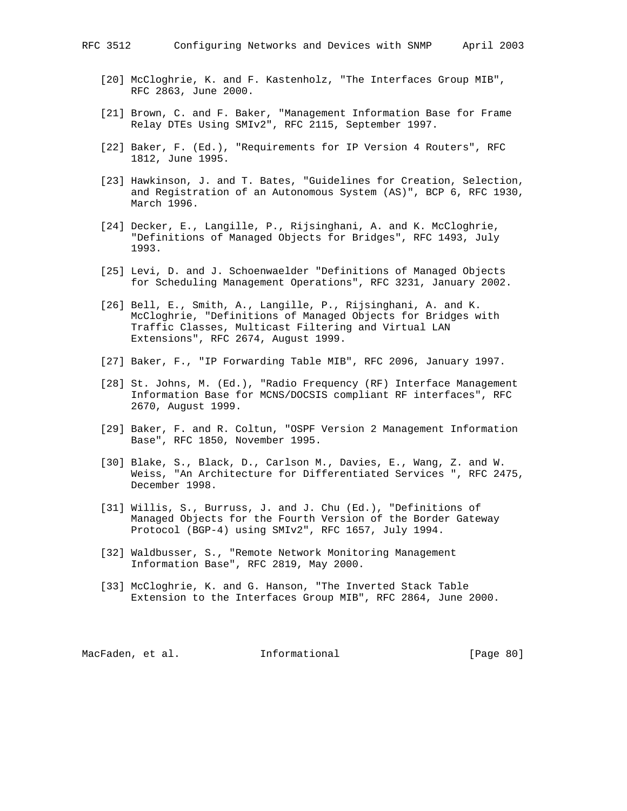- [21] Brown, C. and F. Baker, "Management Information Base for Frame Relay DTEs Using SMIv2", RFC 2115, September 1997.
- [22] Baker, F. (Ed.), "Requirements for IP Version 4 Routers", RFC 1812, June 1995.
- [23] Hawkinson, J. and T. Bates, "Guidelines for Creation, Selection, and Registration of an Autonomous System (AS)", BCP 6, RFC 1930, March 1996.
- [24] Decker, E., Langille, P., Rijsinghani, A. and K. McCloghrie, "Definitions of Managed Objects for Bridges", RFC 1493, July 1993.
- [25] Levi, D. and J. Schoenwaelder "Definitions of Managed Objects for Scheduling Management Operations", RFC 3231, January 2002.
- [26] Bell, E., Smith, A., Langille, P., Rijsinghani, A. and K. McCloghrie, "Definitions of Managed Objects for Bridges with Traffic Classes, Multicast Filtering and Virtual LAN Extensions", RFC 2674, August 1999.
- [27] Baker, F., "IP Forwarding Table MIB", RFC 2096, January 1997.
- [28] St. Johns, M. (Ed.), "Radio Frequency (RF) Interface Management Information Base for MCNS/DOCSIS compliant RF interfaces", RFC 2670, August 1999.
- [29] Baker, F. and R. Coltun, "OSPF Version 2 Management Information Base", RFC 1850, November 1995.
- [30] Blake, S., Black, D., Carlson M., Davies, E., Wang, Z. and W. Weiss, "An Architecture for Differentiated Services ", RFC 2475, December 1998.
- [31] Willis, S., Burruss, J. and J. Chu (Ed.), "Definitions of Managed Objects for the Fourth Version of the Border Gateway Protocol (BGP-4) using SMIv2", RFC 1657, July 1994.
- [32] Waldbusser, S., "Remote Network Monitoring Management Information Base", RFC 2819, May 2000.
- [33] McCloghrie, K. and G. Hanson, "The Inverted Stack Table Extension to the Interfaces Group MIB", RFC 2864, June 2000.

MacFaden, et al. 1nformational [Page 80]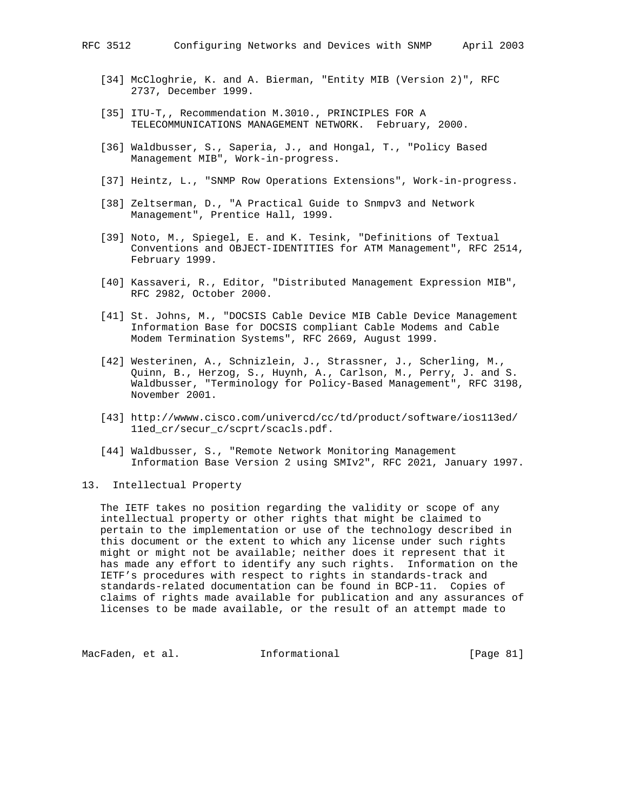- [34] McCloghrie, K. and A. Bierman, "Entity MIB (Version 2)", RFC 2737, December 1999.
- [35] ITU-T,, Recommendation M.3010., PRINCIPLES FOR A TELECOMMUNICATIONS MANAGEMENT NETWORK. February, 2000.
- [36] Waldbusser, S., Saperia, J., and Hongal, T., "Policy Based Management MIB", Work-in-progress.
- [37] Heintz, L., "SNMP Row Operations Extensions", Work-in-progress.
- [38] Zeltserman, D., "A Practical Guide to Snmpv3 and Network Management", Prentice Hall, 1999.
- [39] Noto, M., Spiegel, E. and K. Tesink, "Definitions of Textual Conventions and OBJECT-IDENTITIES for ATM Management", RFC 2514, February 1999.
- [40] Kassaveri, R., Editor, "Distributed Management Expression MIB", RFC 2982, October 2000.
- [41] St. Johns, M., "DOCSIS Cable Device MIB Cable Device Management Information Base for DOCSIS compliant Cable Modems and Cable Modem Termination Systems", RFC 2669, August 1999.
- [42] Westerinen, A., Schnizlein, J., Strassner, J., Scherling, M., Quinn, B., Herzog, S., Huynh, A., Carlson, M., Perry, J. and S. Waldbusser, "Terminology for Policy-Based Management", RFC 3198, November 2001.
- [43] http://wwww.cisco.com/univercd/cc/td/product/software/ios113ed/ 11ed\_cr/secur\_c/scprt/scacls.pdf.
- [44] Waldbusser, S., "Remote Network Monitoring Management Information Base Version 2 using SMIv2", RFC 2021, January 1997.
- 13. Intellectual Property

 The IETF takes no position regarding the validity or scope of any intellectual property or other rights that might be claimed to pertain to the implementation or use of the technology described in this document or the extent to which any license under such rights might or might not be available; neither does it represent that it has made any effort to identify any such rights. Information on the IETF's procedures with respect to rights in standards-track and standards-related documentation can be found in BCP-11. Copies of claims of rights made available for publication and any assurances of licenses to be made available, or the result of an attempt made to

MacFaden, et al. 1nformational 1999 [Page 81]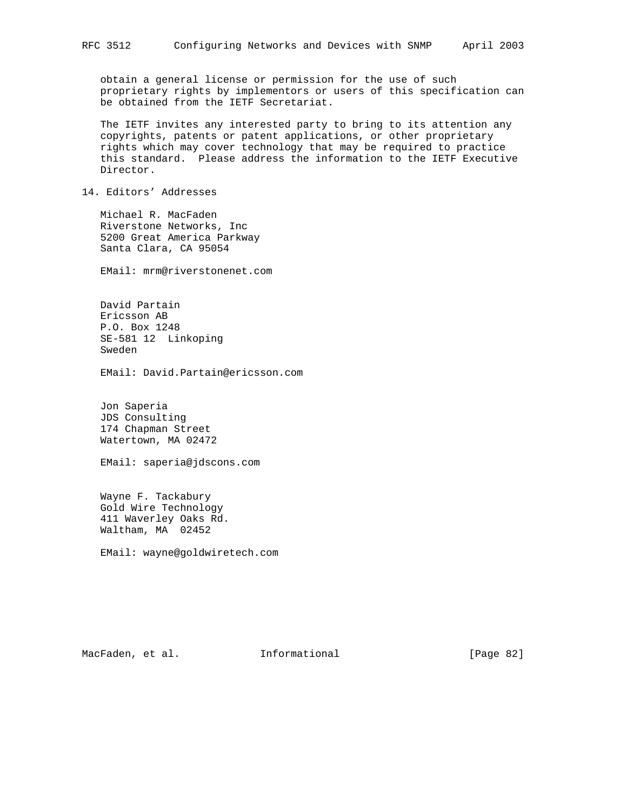obtain a general license or permission for the use of such proprietary rights by implementors or users of this specification can be obtained from the IETF Secretariat.

 The IETF invites any interested party to bring to its attention any copyrights, patents or patent applications, or other proprietary rights which may cover technology that may be required to practice this standard. Please address the information to the IETF Executive Director.

# 14. Editors' Addresses

 Michael R. MacFaden Riverstone Networks, Inc 5200 Great America Parkway Santa Clara, CA 95054

EMail: mrm@riverstonenet.com

 David Partain Ericsson AB P.O. Box 1248 SE-581 12 Linkoping Sweden

EMail: David.Partain@ericsson.com

 Jon Saperia JDS Consulting 174 Chapman Street Watertown, MA 02472

EMail: saperia@jdscons.com

 Wayne F. Tackabury Gold Wire Technology 411 Waverley Oaks Rd. Waltham, MA 02452

EMail: wayne@goldwiretech.com

MacFaden, et al. 1nformational 1999 [Page 82]